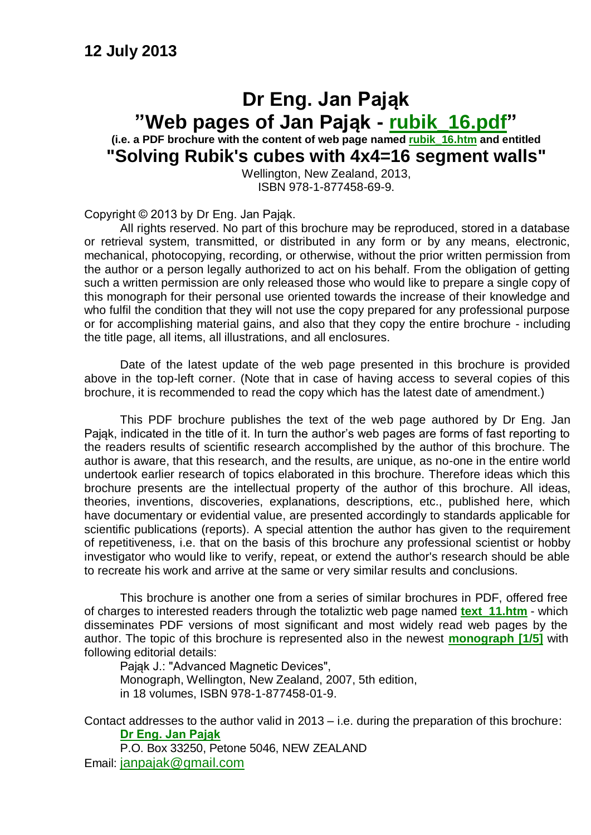### **Dr Eng. Jan Pająk "Web pages of Jan Pająk - [rubik\\_16.pdf"](http://totalizm.com.pl/rubik_16.pdf) (i.e. a PDF brochure with the content of web page named [rubik\\_16.htm](http://totalizm.com.pl/rubik_16.htm) and entitled "Solving Rubik's cubes with 4x4=16 segment walls"**

Wellington, New Zealand, 2013, ISBN 978-1-877458-69-9.

Copyright © 2013 by Dr Eng. Jan Pająk.

All rights reserved. No part of this brochure may be reproduced, stored in a database or retrieval system, transmitted, or distributed in any form or by any means, electronic, mechanical, photocopying, recording, or otherwise, without the prior written permission from the author or a person legally authorized to act on his behalf. From the obligation of getting such a written permission are only released those who would like to prepare a single copy of this monograph for their personal use oriented towards the increase of their knowledge and who fulfil the condition that they will not use the copy prepared for any professional purpose or for accomplishing material gains, and also that they copy the entire brochure - including the title page, all items, all illustrations, and all enclosures.

Date of the latest update of the web page presented in this brochure is provided above in the top-left corner. (Note that in case of having access to several copies of this brochure, it is recommended to read the copy which has the latest date of amendment.)

This PDF brochure publishes the text of the web page authored by Dr Eng. Jan Pająk, indicated in the title of it. In turn the author's web pages are forms of fast reporting to the readers results of scientific research accomplished by the author of this brochure. The author is aware, that this research, and the results, are unique, as no-one in the entire world undertook earlier research of topics elaborated in this brochure. Therefore ideas which this brochure presents are the intellectual property of the author of this brochure. All ideas, theories, inventions, discoveries, explanations, descriptions, etc., published here, which have documentary or evidential value, are presented accordingly to standards applicable for scientific publications (reports). A special attention the author has given to the requirement of repetitiveness, i.e. that on the basis of this brochure any professional scientist or hobby investigator who would like to verify, repeat, or extend the author's research should be able to recreate his work and arrive at the same or very similar results and conclusions.

This brochure is another one from a series of similar brochures in PDF, offered free of charges to interested readers through the totaliztic web page named **[text\\_11.htm](http://totalizm.com.pl/text_11.htm)** - which disseminates PDF versions of most significant and most widely read web pages by the author. The topic of this brochure is represented also in the newest **[monograph \[1/5\]](http://totalizm.com.pl/text_1_5.htm)** with following editorial details:

Pająk J.: "Advanced Magnetic Devices", Monograph, Wellington, New Zealand, 2007, 5th edition, in 18 volumes, ISBN 978-1-877458-01-9.

Contact addresses to the author valid in 2013 – i.e. during the preparation of this brochure: **[Dr Eng. Jan Pająk](http://images.google.co.nz/images?hl=en&q=Jan+Pajak&btnG=Search+Images&gbv=1)**

P.O. Box 33250, Petone 5046, NEW ZEALAND Email: [janpajak@gmail.com](mailto:%20janpajak@gmail.com)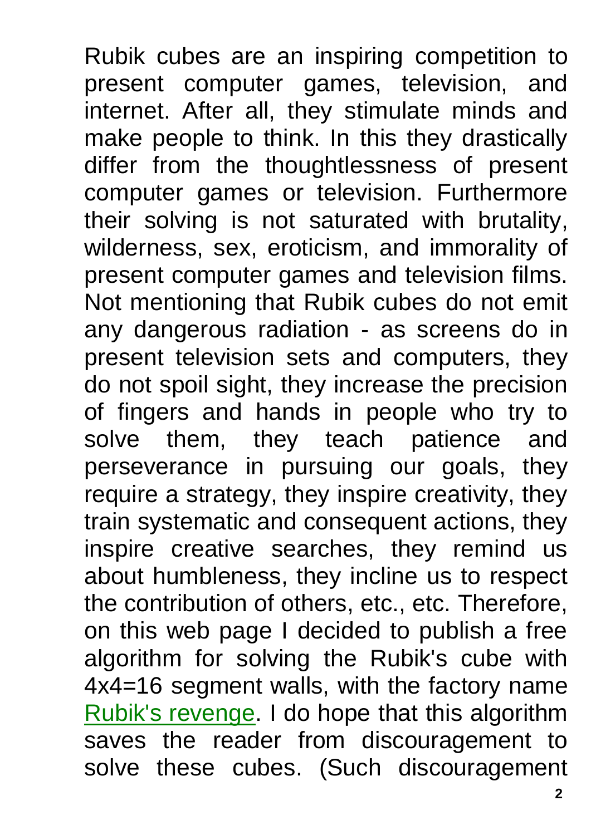Rubik cubes are an inspiring competition to present computer games, television, and internet. After all, they stimulate minds and make people to think. In this they drastically differ from the thoughtlessness of present computer games or television. Furthermore their solving is not saturated with brutality, wilderness, sex, eroticism, and immorality of present computer games and television films. Not mentioning that Rubik cubes do not emit any dangerous radiation - as screens do in present television sets and computers, they do not spoil sight, they increase the precision of fingers and hands in people who try to solve them, they teach patience and perseverance in pursuing our goals, they require a strategy, they inspire creativity, they train systematic and consequent actions, they inspire creative searches, they remind us about humbleness, they incline us to respect the contribution of others, etc., etc. Therefore, on this web page I decided to publish a free algorithm for solving the Rubik's cube with 4x4=16 segment walls, with the factory name [Rubik's revenge.](http://totalizm.com.pl/rubik_16.htm) I do hope that this algorithm saves the reader from discouragement to solve these cubes. (Such discouragement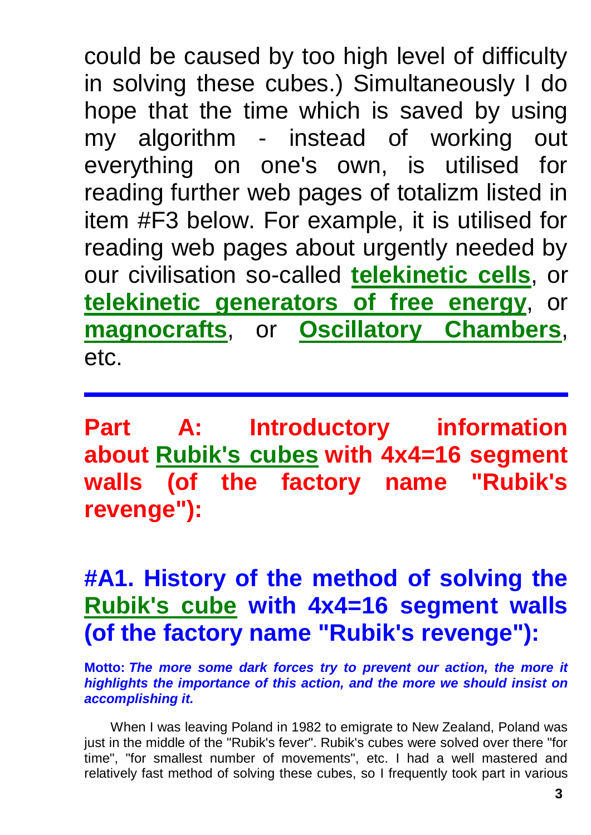could be caused by too high level of difficulty in solving these cubes.) Simultaneously I do hope that the time which is saved by using my algorithm - instead of working out everything on one's own, is utilised for reading further web pages of totalizm listed in item #F3 below. For example, it is utilised for reading web pages about urgently needed by our civilisation so-called **[telekinetic cells](http://totalizm.com.pl/fe_cell.htm)**, or **[telekinetic generators of free energy](http://totalizm.com.pl/free_energy.htm)**, or **[magnocrafts](http://totalizm.com.pl/magnocraft.htm)**, or **[Oscillatory Chambers](http://totalizm.com.pl/oscillatory_chamber.htm)**, etc.

**Part A: Introductory information about [Rubik's cubes](http://totalizm.com.pl/rubik_16_pl.htm) with 4x4=16 segment walls (of the factory name "Rubik's revenge"):**

# **#A1. History of the method of solving the [Rubik's cube](http://totalizm.com.pl/rubik_16.htm) with 4x4=16 segment walls (of the factory name "Rubik's revenge"):**

**Motto:** *The more some dark forces try to prevent our action, the more it highlights the importance of this action, and the more we should insist on accomplishing it.*

When I was leaving Poland in 1982 to emigrate to New Zealand, Poland was just in the middle of the "Rubik's fever". Rubik's cubes were solved over there "for time", "for smallest number of movements", etc. I had a well mastered and relatively fast method of solving these cubes, so I frequently took part in various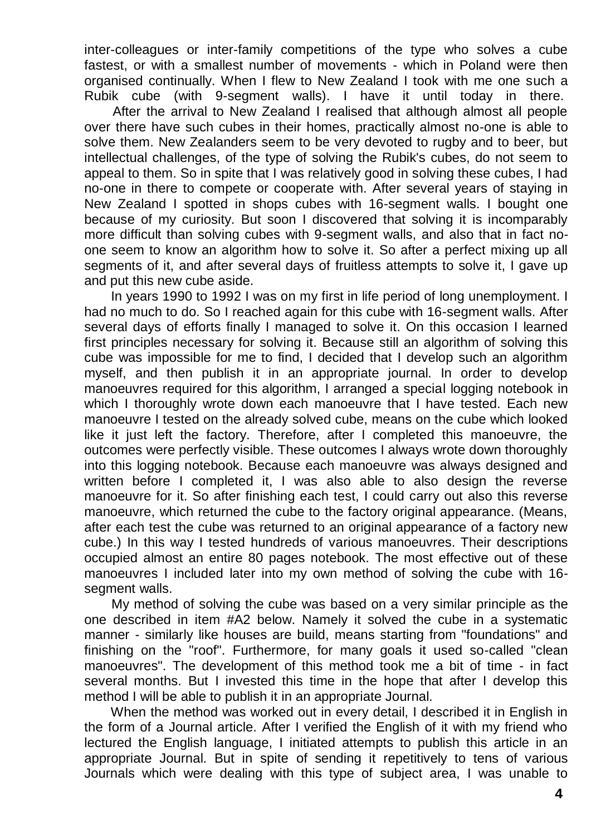inter-colleagues or inter-family competitions of the type who solves a cube fastest, or with a smallest number of movements - which in Poland were then organised continually. When I flew to New Zealand I took with me one such a Rubik cube (with 9-segment walls). I have it until today in there.

After the arrival to New Zealand I realised that although almost all people over there have such cubes in their homes, practically almost no-one is able to solve them. New Zealanders seem to be very devoted to rugby and to beer, but intellectual challenges, of the type of solving the Rubik's cubes, do not seem to appeal to them. So in spite that I was relatively good in solving these cubes, I had no-one in there to compete or cooperate with. After several years of staying in New Zealand I spotted in shops cubes with 16-segment walls. I bought one because of my curiosity. But soon I discovered that solving it is incomparably more difficult than solving cubes with 9-segment walls, and also that in fact noone seem to know an algorithm how to solve it. So after a perfect mixing up all segments of it, and after several days of fruitless attempts to solve it, I gave up and put this new cube aside.

In years 1990 to 1992 I was on my first in life period of long unemployment. I had no much to do. So I reached again for this cube with 16-segment walls. After several days of efforts finally I managed to solve it. On this occasion I learned first principles necessary for solving it. Because still an algorithm of solving this cube was impossible for me to find, I decided that I develop such an algorithm myself, and then publish it in an appropriate journal. In order to develop manoeuvres required for this algorithm, I arranged a special logging notebook in which I thoroughly wrote down each manoeuvre that I have tested. Each new manoeuvre I tested on the already solved cube, means on the cube which looked like it just left the factory. Therefore, after I completed this manoeuvre, the outcomes were perfectly visible. These outcomes I always wrote down thoroughly into this logging notebook. Because each manoeuvre was always designed and written before I completed it, I was also able to also design the reverse manoeuvre for it. So after finishing each test, I could carry out also this reverse manoeuvre, which returned the cube to the factory original appearance. (Means, after each test the cube was returned to an original appearance of a factory new cube.) In this way I tested hundreds of various manoeuvres. Their descriptions occupied almost an entire 80 pages notebook. The most effective out of these manoeuvres I included later into my own method of solving the cube with 16 segment walls.

My method of solving the cube was based on a very similar principle as the one described in item #A2 below. Namely it solved the cube in a systematic manner - similarly like houses are build, means starting from "foundations" and finishing on the "roof". Furthermore, for many goals it used so-called "clean manoeuvres". The development of this method took me a bit of time - in fact several months. But I invested this time in the hope that after I develop this method I will be able to publish it in an appropriate Journal.

When the method was worked out in every detail, I described it in English in the form of a Journal article. After I verified the English of it with my friend who lectured the English language, I initiated attempts to publish this article in an appropriate Journal. But in spite of sending it repetitively to tens of various Journals which were dealing with this type of subject area, I was unable to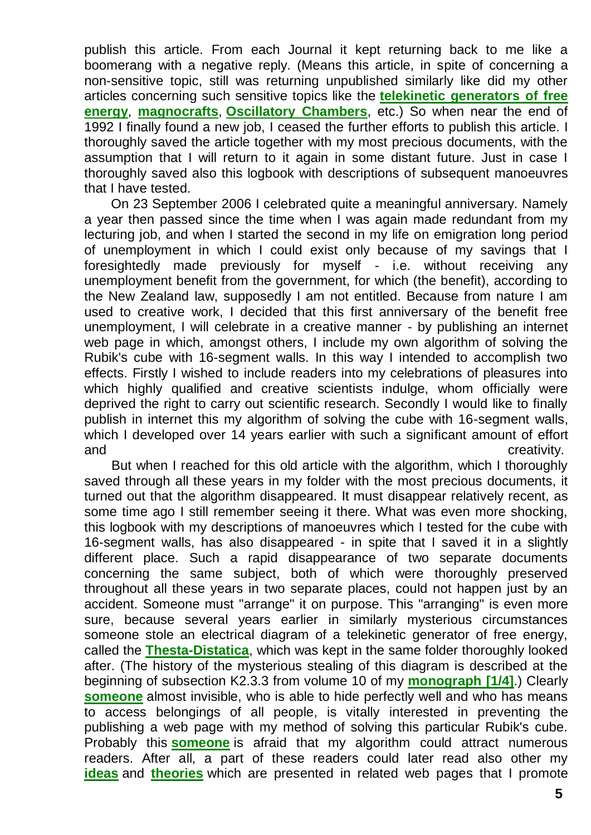publish this article. From each Journal it kept returning back to me like a boomerang with a negative reply. (Means this article, in spite of concerning a non-sensitive topic, still was returning unpublished similarly like did my other articles concerning such sensitive topics like the **[telekinetic generators of free](http://totalizm.com.pl/free_energy.htm)  [energy](http://totalizm.com.pl/free_energy.htm)**, **[magnocrafts](http://totalizm.com.pl/magnocraft.htm)**, **[Oscillatory Chambers](http://totalizm.com.pl/oscillatory_chamber.htm)**, etc.) So when near the end of 1992 I finally found a new job, I ceased the further efforts to publish this article. I thoroughly saved the article together with my most precious documents, with the assumption that I will return to it again in some distant future. Just in case I thoroughly saved also this logbook with descriptions of subsequent manoeuvres that I have tested.

On 23 September 2006 I celebrated quite a meaningful anniversary. Namely a year then passed since the time when I was again made redundant from my lecturing job, and when I started the second in my life on emigration long period of unemployment in which I could exist only because of my savings that I foresightedly made previously for myself - i.e. without receiving any unemployment benefit from the government, for which (the benefit), according to the New Zealand law, supposedly I am not entitled. Because from nature I am used to creative work, I decided that this first anniversary of the benefit free unemployment, I will celebrate in a creative manner - by publishing an internet web page in which, amongst others, I include my own algorithm of solving the Rubik's cube with 16-segment walls. In this way I intended to accomplish two effects. Firstly I wished to include readers into my celebrations of pleasures into which highly qualified and creative scientists indulge, whom officially were deprived the right to carry out scientific research. Secondly I would like to finally publish in internet this my algorithm of solving the cube with 16-segment walls, which I developed over 14 years earlier with such a significant amount of effort and **creativity.** 

But when I reached for this old article with the algorithm, which I thoroughly saved through all these years in my folder with the most precious documents, it turned out that the algorithm disappeared. It must disappear relatively recent, as some time ago I still remember seeing it there. What was even more shocking, this logbook with my descriptions of manoeuvres which I tested for the cube with 16-segment walls, has also disappeared - in spite that I saved it in a slightly different place. Such a rapid disappearance of two separate documents concerning the same subject, both of which were thoroughly preserved throughout all these years in two separate places, could not happen just by an accident. Someone must "arrange" it on purpose. This "arranging" is even more sure, because several years earlier in similarly mysterious circumstances someone stole an electrical diagram of a telekinetic generator of free energy, called the **[Thesta-Distatica](http://totalizm.com.pl/free_energy.htm)**, which was kept in the same folder thoroughly looked after. (The history of the mysterious stealing of this diagram is described at the beginning of subsection K2.3.3 from volume 10 of my **[monograph \[1/4\]](http://totalizm.com.pl/text_1_4.htm)**.) Clearly **[someone](http://totalizm.com.pl/evil.htm)** almost invisible, who is able to hide perfectly well and who has means to access belongings of all people, is vitally interested in preventing the publishing a web page with my method of solving this particular Rubik's cube. Probably this **[someone](http://totalizm.com.pl/evil.htm)** is afraid that my algorithm could attract numerous readers. After all, a part of these readers could later read also other my **[ideas](http://totalizm.com.pl/evolution_pl.htm)** and **[theories](http://totalizm.com.pl/dipolar_gravity_pl.htm)** which are presented in related web pages that I promote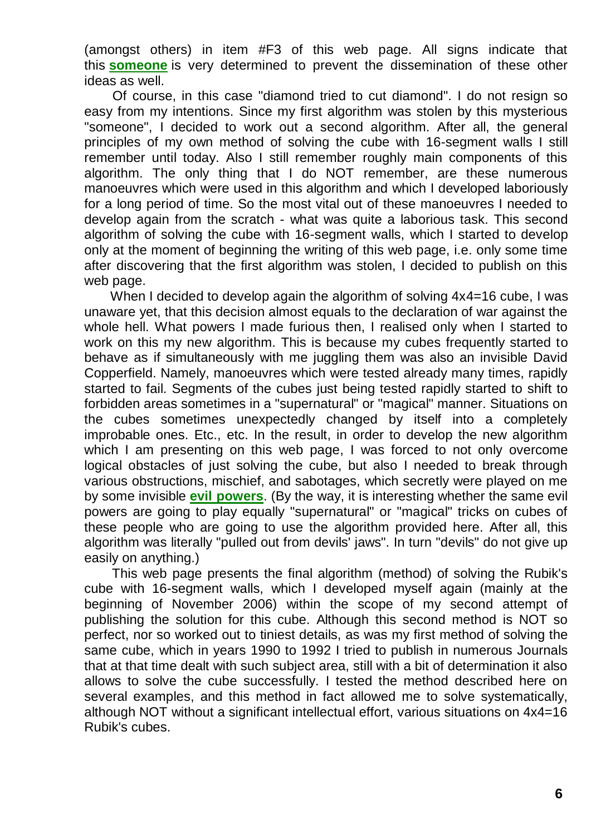(amongst others) in item #F3 of this web page. All signs indicate that this **[someone](http://totalizm.com.pl/military_magnocraft.htm)** is very determined to prevent the dissemination of these other ideas as well.

Of course, in this case "diamond tried to cut diamond". I do not resign so easy from my intentions. Since my first algorithm was stolen by this mysterious "someone", I decided to work out a second algorithm. After all, the general principles of my own method of solving the cube with 16-segment walls I still remember until today. Also I still remember roughly main components of this algorithm. The only thing that I do NOT remember, are these numerous manoeuvres which were used in this algorithm and which I developed laboriously for a long period of time. So the most vital out of these manoeuvres I needed to develop again from the scratch - what was quite a laborious task. This second algorithm of solving the cube with 16-segment walls, which I started to develop only at the moment of beginning the writing of this web page, i.e. only some time after discovering that the first algorithm was stolen, I decided to publish on this web page.

When I decided to develop again the algorithm of solving  $4x4=16$  cube, I was unaware yet, that this decision almost equals to the declaration of war against the whole hell. What powers I made furious then, I realised only when I started to work on this my new algorithm. This is because my cubes frequently started to behave as if simultaneously with me juggling them was also an invisible David Copperfield. Namely, manoeuvres which were tested already many times, rapidly started to fail. Segments of the cubes just being tested rapidly started to shift to forbidden areas sometimes in a "supernatural" or "magical" manner. Situations on the cubes sometimes unexpectedly changed by itself into a completely improbable ones. Etc., etc. In the result, in order to develop the new algorithm which I am presenting on this web page, I was forced to not only overcome logical obstacles of just solving the cube, but also I needed to break through various obstructions, mischief, and sabotages, which secretly were played on me by some invisible **[evil powers](http://totalizm.com.pl/evil.htm)**. (By the way, it is interesting whether the same evil powers are going to play equally "supernatural" or "magical" tricks on cubes of these people who are going to use the algorithm provided here. After all, this algorithm was literally "pulled out from devils' jaws". In turn "devils" do not give up easily on anything.)

This web page presents the final algorithm (method) of solving the Rubik's cube with 16-segment walls, which I developed myself again (mainly at the beginning of November 2006) within the scope of my second attempt of publishing the solution for this cube. Although this second method is NOT so perfect, nor so worked out to tiniest details, as was my first method of solving the same cube, which in years 1990 to 1992 I tried to publish in numerous Journals that at that time dealt with such subject area, still with a bit of determination it also allows to solve the cube successfully. I tested the method described here on several examples, and this method in fact allowed me to solve systematically, although NOT without a significant intellectual effort, various situations on 4x4=16 Rubik's cubes.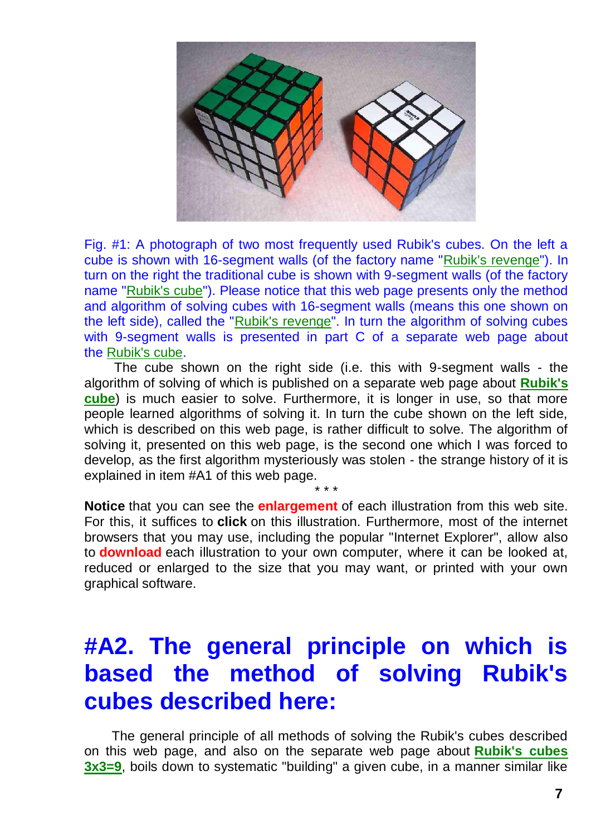

Fig. #1: A photograph of two most frequently used Rubik's cubes. On the left a cube is shown with 16-segment walls (of the factory name ["Rubik's revenge"](http://totalizm.com.pl/rubik_16.htm)). In turn on the right the traditional cube is shown with 9-segment walls (of the factory name ["Rubik's cube"](http://totalizm.com.pl/rubik.htm)). Please notice that this web page presents only the method and algorithm of solving cubes with 16-segment walls (means this one shown on the left side), called the ["Rubik's revenge"](http://totalizm.com.pl/rubik_16.htm). In turn the algorithm of solving cubes with 9-segment walls is presented in part C of a separate web page about the [Rubik's cube.](http://totalizm.com.pl/rubik.htm)

The cube shown on the right side (i.e. this with 9-segment walls - the algorithm of solving of which is published on a separate web page about **[Rubik's](http://totalizm.com.pl/rubik.htm)  [cube](http://totalizm.com.pl/rubik.htm)**) is much easier to solve. Furthermore, it is longer in use, so that more people learned algorithms of solving it. In turn the cube shown on the left side, which is described on this web page, is rather difficult to solve. The algorithm of solving it, presented on this web page, is the second one which I was forced to develop, as the first algorithm mysteriously was stolen - the strange history of it is explained in item #A1 of this web page.

**Notice** that you can see the **enlargement** of each illustration from this web site. For this, it suffices to **click** on this illustration. Furthermore, most of the internet browsers that you may use, including the popular "Internet Explorer", allow also to **download** each illustration to your own computer, where it can be looked at, reduced or enlarged to the size that you may want, or printed with your own graphical software.

\* \* \*

# **#A2. The general principle on which is based the method of solving Rubik's cubes described here:**

The general principle of all methods of solving the Rubik's cubes described on this web page, and also on the separate web page about **[Rubik's cubes](http://totalizm.com.pl/rubik.htm)  [3x3=9](http://totalizm.com.pl/rubik.htm)**, boils down to systematic "building" a given cube, in a manner similar like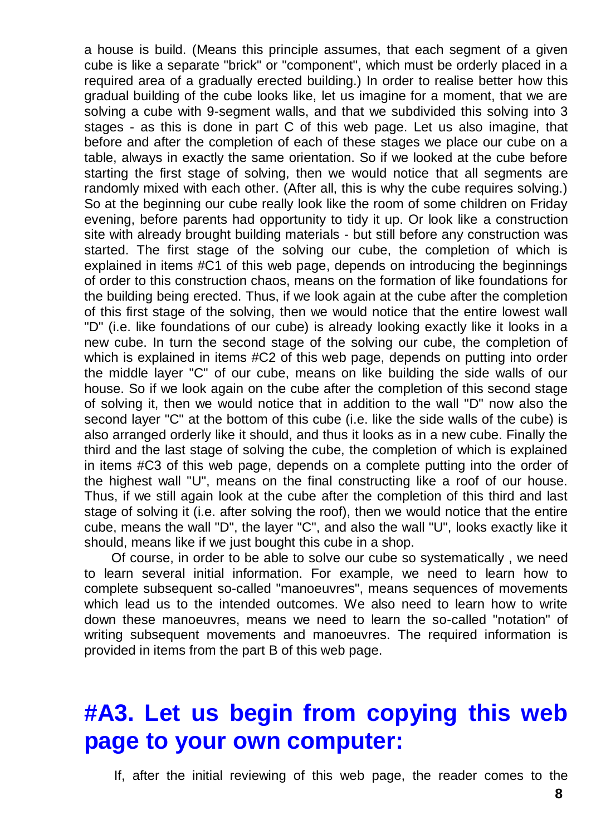a house is build. (Means this principle assumes, that each segment of a given cube is like a separate "brick" or "component", which must be orderly placed in a required area of a gradually erected building.) In order to realise better how this gradual building of the cube looks like, let us imagine for a moment, that we are solving a cube with 9-segment walls, and that we subdivided this solving into 3 stages - as this is done in part C of this web page. Let us also imagine, that before and after the completion of each of these stages we place our cube on a table, always in exactly the same orientation. So if we looked at the cube before starting the first stage of solving, then we would notice that all segments are randomly mixed with each other. (After all, this is why the cube requires solving.) So at the beginning our cube really look like the room of some children on Friday evening, before parents had opportunity to tidy it up. Or look like a construction site with already brought building materials - but still before any construction was started. The first stage of the solving our cube, the completion of which is explained in items #C1 of this web page, depends on introducing the beginnings of order to this construction chaos, means on the formation of like foundations for the building being erected. Thus, if we look again at the cube after the completion of this first stage of the solving, then we would notice that the entire lowest wall "D" (i.e. like foundations of our cube) is already looking exactly like it looks in a new cube. In turn the second stage of the solving our cube, the completion of which is explained in items #C2 of this web page, depends on putting into order the middle layer "C" of our cube, means on like building the side walls of our house. So if we look again on the cube after the completion of this second stage of solving it, then we would notice that in addition to the wall "D" now also the second layer "C" at the bottom of this cube (i.e. like the side walls of the cube) is also arranged orderly like it should, and thus it looks as in a new cube. Finally the third and the last stage of solving the cube, the completion of which is explained in items #C3 of this web page, depends on a complete putting into the order of the highest wall "U", means on the final constructing like a roof of our house. Thus, if we still again look at the cube after the completion of this third and last stage of solving it (i.e. after solving the roof), then we would notice that the entire cube, means the wall "D", the layer "C", and also the wall "U", looks exactly like it should, means like if we just bought this cube in a shop.

Of course, in order to be able to solve our cube so systematically , we need to learn several initial information. For example, we need to learn how to complete subsequent so-called "manoeuvres", means sequences of movements which lead us to the intended outcomes. We also need to learn how to write down these manoeuvres, means we need to learn the so-called "notation" of writing subsequent movements and manoeuvres. The required information is provided in items from the part B of this web page.

## **#A3. Let us begin from copying this web page to your own computer:**

If, after the initial reviewing of this web page, the reader comes to the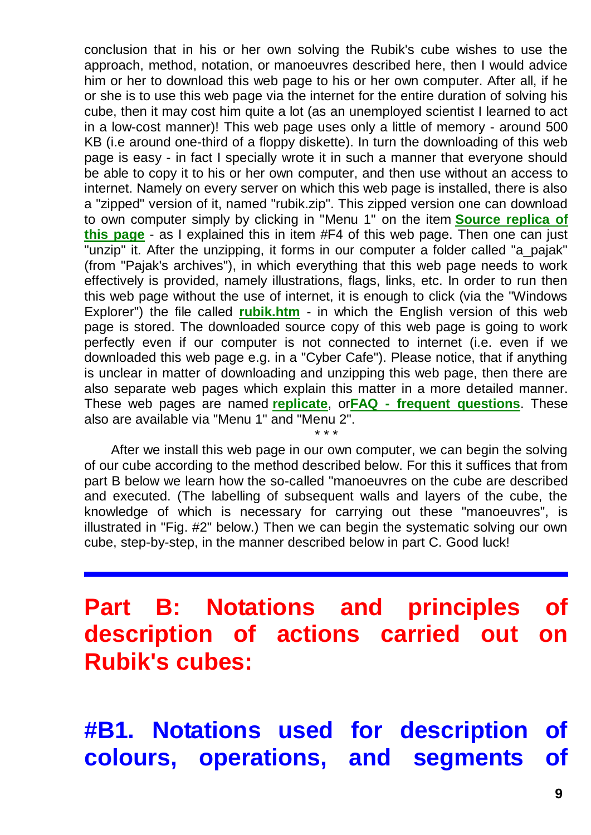conclusion that in his or her own solving the Rubik's cube wishes to use the approach, method, notation, or manoeuvres described here, then I would advice him or her to download this web page to his or her own computer. After all, if he or she is to use this web page via the internet for the entire duration of solving his cube, then it may cost him quite a lot (as an unemployed scientist I learned to act in a low-cost manner)! This web page uses only a little of memory - around 500 KB (i.e around one-third of a floppy diskette). In turn the downloading of this web page is easy - in fact I specially wrote it in such a manner that everyone should be able to copy it to his or her own computer, and then use without an access to internet. Namely on every server on which this web page is installed, there is also a "zipped" version of it, named "rubik.zip". This zipped version one can download to own computer simply by clicking in "Menu 1" on the item **[Source replica of](http://totalizm.com.pl/rubik.zip)  [this page](http://totalizm.com.pl/rubik.zip)** - as I explained this in item #F4 of this web page. Then one can just "unzip" it. After the unzipping, it forms in our computer a folder called "a\_pajak" (from "Pajak's archives"), in which everything that this web page needs to work effectively is provided, namely illustrations, flags, links, etc. In order to run then this web page without the use of internet, it is enough to click (via the "Windows Explorer") the file called **[rubik.htm](http://totalizm.com.pl/rubik.htm)** - in which the English version of this web page is stored. The downloaded source copy of this web page is going to work perfectly even if our computer is not connected to internet (i.e. even if we downloaded this web page e.g. in a "Cyber Cafe"). Please notice, that if anything is unclear in matter of downloading and unzipping this web page, then there are also separate web pages which explain this matter in a more detailed manner. These web pages are named **[replicate](http://totalizm.com.pl/replicate_pl.htm)**, or**FAQ - [frequent questions](http://totalizm.com.pl/faq_pl.htm)**. These also are available via "Menu 1" and "Menu 2". \* \* \*

After we install this web page in our own computer, we can begin the solving of our cube according to the method described below. For this it suffices that from part B below we learn how the so-called "manoeuvres on the cube are described and executed. (The labelling of subsequent walls and layers of the cube, the knowledge of which is necessary for carrying out these "manoeuvres", is illustrated in "Fig. #2" below.) Then we can begin the systematic solving our own cube, step-by-step, in the manner described below in part C. Good luck!

**Part B: Notations and principles of description of actions carried out on Rubik's cubes:**

**#B1. Notations used for description of colours, operations, and segments of**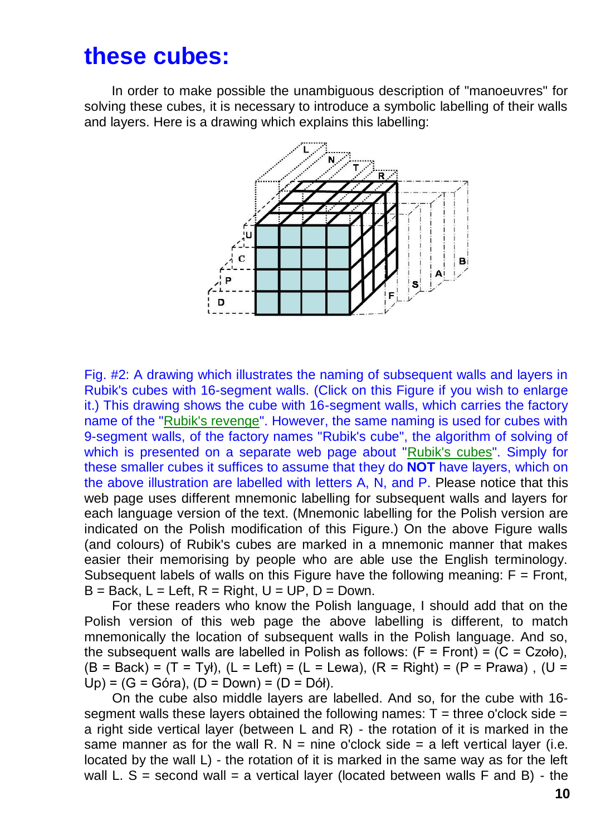### **these cubes:**

In order to make possible the unambiguous description of "manoeuvres" for solving these cubes, it is necessary to introduce a symbolic labelling of their walls and layers. Here is a drawing which explains this labelling:



Fig. #2: A drawing which illustrates the naming of subsequent walls and layers in Rubik's cubes with 16-segment walls. (Click on this Figure if you wish to enlarge it.) This drawing shows the cube with 16-segment walls, which carries the factory name of the ["Rubik's revenge"](http://totalizm.com.pl/rubik_16.htm). However, the same naming is used for cubes with 9-segment walls, of the factory names "Rubik's cube", the algorithm of solving of which is presented on a separate web page about ["Rubik's cubes"](http://totalizm.com.pl/rubik.htm). Simply for these smaller cubes it suffices to assume that they do **NOT** have layers, which on the above illustration are labelled with letters A, N, and P. Please notice that this web page uses different mnemonic labelling for subsequent walls and layers for each language version of the text. (Mnemonic labelling for the Polish version are indicated on the Polish modification of this Figure.) On the above Figure walls (and colours) of Rubik's cubes are marked in a mnemonic manner that makes easier their memorising by people who are able use the English terminology. Subsequent labels of walls on this Figure have the following meaning:  $F =$  Front,  $B = Back$ ,  $L = Left$ ,  $R = Right$ ,  $U = UP$ ,  $D = Down$ .

For these readers who know the Polish language, I should add that on the Polish version of this web page the above labelling is different, to match mnemonically the location of subsequent walls in the Polish language. And so, the subsequent walls are labelled in Polish as follows:  $(F = Front) = (C = Czoło)$ ,  $(B = Back) = (T = Ty)$ ,  $(L = Left) = (L = Lewa)$ ,  $(R = Right) = (P = Prawa)$ ,  $(U =$  $Up$  = (G = Góra), (D = Down) = (D = Dół).

On the cube also middle layers are labelled. And so, for the cube with 16 segment walls these layers obtained the following names:  $T =$  three o'clock side = a right side vertical layer (between L and R) - the rotation of it is marked in the same manner as for the wall R. N = nine o'clock side = a left vertical laver (i.e. located by the wall L) - the rotation of it is marked in the same way as for the left wall L.  $S =$  second wall = a vertical layer (located between walls F and B) - the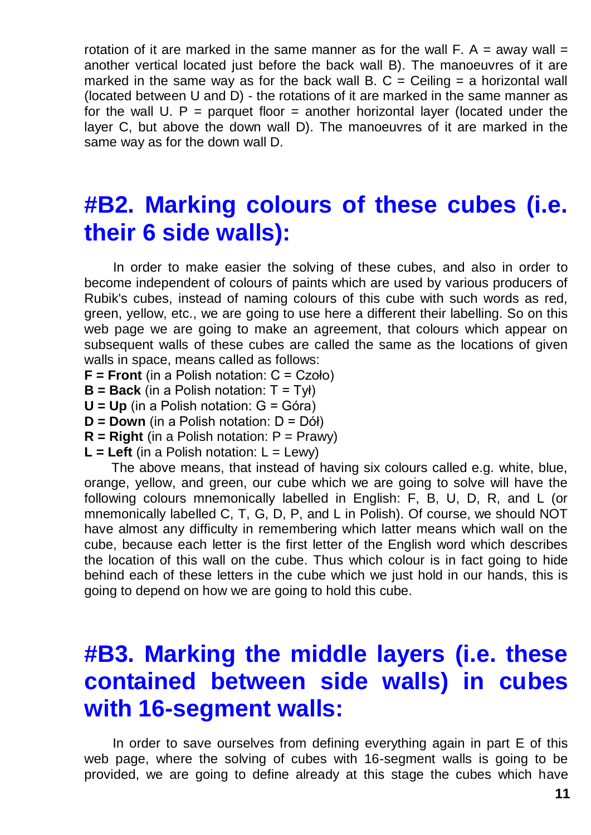rotation of it are marked in the same manner as for the wall  $F. A =$  away wall  $=$ another vertical located just before the back wall B). The manoeuvres of it are marked in the same way as for the back wall B.  $C =$  Ceiling  $=$  a horizontal wall (located between U and D) - the rotations of it are marked in the same manner as for the wall U.  $P =$  parquet floor  $=$  another horizontal layer (located under the layer C, but above the down wall D). The manoeuvres of it are marked in the same way as for the down wall D.

### **#B2. Marking colours of these cubes (i.e. their 6 side walls):**

In order to make easier the solving of these cubes, and also in order to become independent of colours of paints which are used by various producers of Rubik's cubes, instead of naming colours of this cube with such words as red, green, yellow, etc., we are going to use here a different their labelling. So on this web page we are going to make an agreement, that colours which appear on subsequent walls of these cubes are called the same as the locations of given walls in space, means called as follows:

- **F = Front** (in a Polish notation: C = Czoło)
- **B = Back** (in a Polish notation: T = Tył)
- **U = Up** (in a Polish notation: G = Góra)
- **D = Down** (in a Polish notation: D = Dół)
- $R = Right$  (in a Polish notation:  $P = Prawy$ )
- $L = Letf$  (in a Polish notation:  $L = Lewv$ )

The above means, that instead of having six colours called e.g. white, blue, orange, yellow, and green, our cube which we are going to solve will have the following colours mnemonically labelled in English: F, B, U, D, R, and L (or mnemonically labelled C, T, G, D, P, and L in Polish). Of course, we should NOT have almost any difficulty in remembering which latter means which wall on the cube, because each letter is the first letter of the English word which describes the location of this wall on the cube. Thus which colour is in fact going to hide behind each of these letters in the cube which we just hold in our hands, this is going to depend on how we are going to hold this cube.

## **#B3. Marking the middle layers (i.e. these contained between side walls) in cubes with 16-segment walls:**

In order to save ourselves from defining everything again in part E of this web page, where the solving of cubes with 16-segment walls is going to be provided, we are going to define already at this stage the cubes which have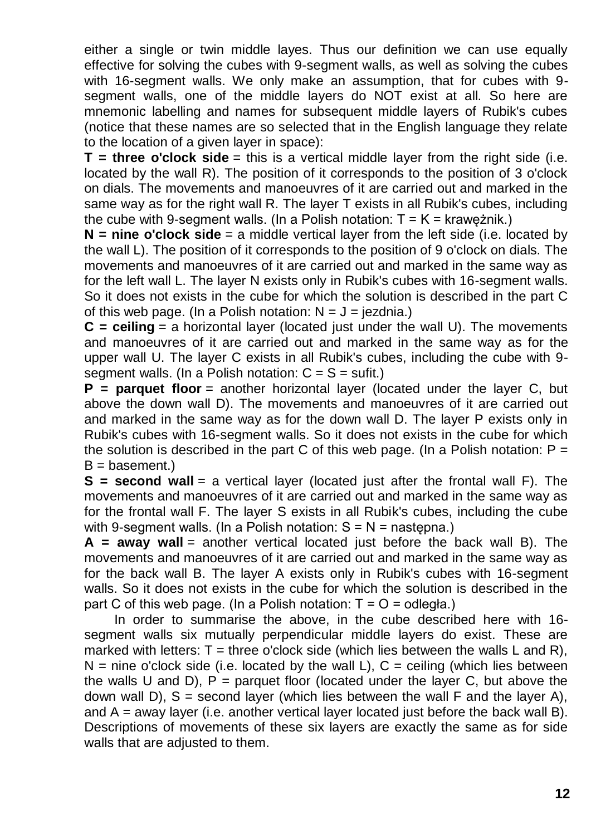either a single or twin middle layes. Thus our definition we can use equally effective for solving the cubes with 9-segment walls, as well as solving the cubes with 16-segment walls. We only make an assumption, that for cubes with 9 segment walls, one of the middle layers do NOT exist at all. So here are mnemonic labelling and names for subsequent middle layers of Rubik's cubes (notice that these names are so selected that in the English language they relate to the location of a given layer in space):

**T** = three o'clock side = this is a vertical middle laver from the right side (i.e. located by the wall R). The position of it corresponds to the position of 3 o'clock on dials. The movements and manoeuvres of it are carried out and marked in the same way as for the right wall R. The layer T exists in all Rubik's cubes, including the cube with 9-segment walls. (In a Polish notation:  $T = K = k$ raweżnik.)

**N = nine o'clock side** = a middle vertical layer from the left side (i.e. located by the wall L). The position of it corresponds to the position of 9 o'clock on dials. The movements and manoeuvres of it are carried out and marked in the same way as for the left wall L. The layer N exists only in Rubik's cubes with 16-segment walls. So it does not exists in the cube for which the solution is described in the part C of this web page. (In a Polish notation:  $N = J = i$ ezdnia.)

**C = ceiling** = a horizontal layer (located just under the wall U). The movements and manoeuvres of it are carried out and marked in the same way as for the upper wall U. The layer C exists in all Rubik's cubes, including the cube with 9 segment walls. (In a Polish notation:  $C = S = \text{suffix}$ .)

**P = parquet floor** = another horizontal layer (located under the layer C, but above the down wall D). The movements and manoeuvres of it are carried out and marked in the same way as for the down wall D. The layer P exists only in Rubik's cubes with 16-segment walls. So it does not exists in the cube for which the solution is described in the part C of this web page. (In a Polish notation:  $P =$  $B =$  basement.)

**S** = second wall = a vertical layer (located just after the frontal wall F). The movements and manoeuvres of it are carried out and marked in the same way as for the frontal wall F. The layer S exists in all Rubik's cubes, including the cube with 9-segment walls. (In a Polish notation:  $S = N =$  nastepna.)

**A = away wall** = another vertical located just before the back wall B). The movements and manoeuvres of it are carried out and marked in the same way as for the back wall B. The layer A exists only in Rubik's cubes with 16-segment walls. So it does not exists in the cube for which the solution is described in the part C of this web page. (In a Polish notation:  $T = Q =$  odległa.)

In order to summarise the above, in the cube described here with 16 segment walls six mutually perpendicular middle layers do exist. These are marked with letters:  $T =$  three o'clock side (which lies between the walls L and R),  $N =$  nine o'clock side (i.e. located by the wall L),  $C =$  ceiling (which lies between the walls U and D),  $P =$  parquet floor (located under the layer C, but above the down wall D),  $S =$  second layer (which lies between the wall F and the layer A), and  $A =$  away layer (i.e. another vertical layer located just before the back wall B). Descriptions of movements of these six layers are exactly the same as for side walls that are adjusted to them.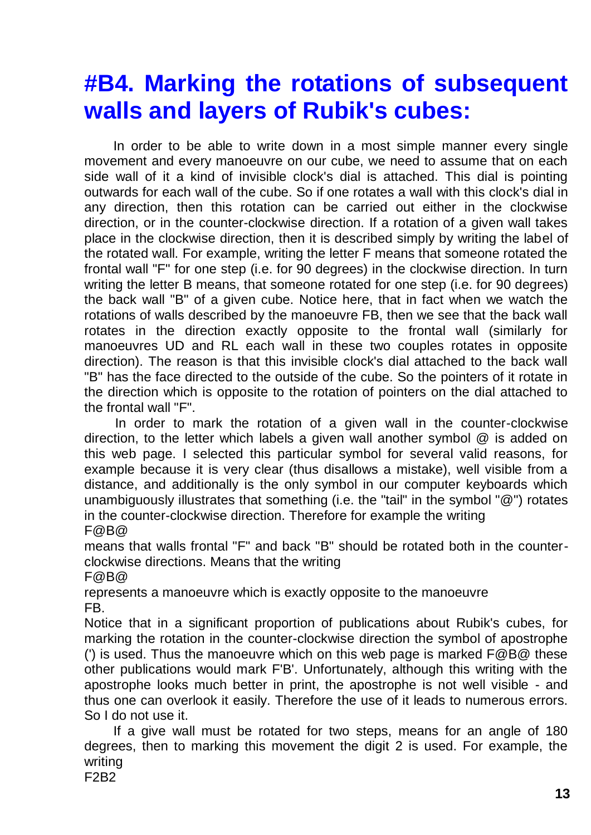## **#B4. Marking the rotations of subsequent walls and layers of Rubik's cubes:**

In order to be able to write down in a most simple manner every single movement and every manoeuvre on our cube, we need to assume that on each side wall of it a kind of invisible clock's dial is attached. This dial is pointing outwards for each wall of the cube. So if one rotates a wall with this clock's dial in any direction, then this rotation can be carried out either in the clockwise direction, or in the counter-clockwise direction. If a rotation of a given wall takes place in the clockwise direction, then it is described simply by writing the label of the rotated wall. For example, writing the letter F means that someone rotated the frontal wall "F" for one step (i.e. for 90 degrees) in the clockwise direction. In turn writing the letter B means, that someone rotated for one step (i.e. for 90 degrees) the back wall "B" of a given cube. Notice here, that in fact when we watch the rotations of walls described by the manoeuvre FB, then we see that the back wall rotates in the direction exactly opposite to the frontal wall (similarly for manoeuvres UD and RL each wall in these two couples rotates in opposite direction). The reason is that this invisible clock's dial attached to the back wall "B" has the face directed to the outside of the cube. So the pointers of it rotate in the direction which is opposite to the rotation of pointers on the dial attached to the frontal wall "F".

In order to mark the rotation of a given wall in the counter-clockwise direction, to the letter which labels a given wall another symbol @ is added on this web page. I selected this particular symbol for several valid reasons, for example because it is very clear (thus disallows a mistake), well visible from a distance, and additionally is the only symbol in our computer keyboards which unambiguously illustrates that something (i.e. the "tail" in the symbol "@") rotates in the counter-clockwise direction. Therefore for example the writing  $F@B@$ 

means that walls frontal "F" and back "B" should be rotated both in the counterclockwise directions. Means that the writing

 $F@B@$ 

represents a manoeuvre which is exactly opposite to the manoeuvre FB.

Notice that in a significant proportion of publications about Rubik's cubes, for marking the rotation in the counter-clockwise direction the symbol of apostrophe (') is used. Thus the manoeuvre which on this web page is marked F@B@ these other publications would mark F'B'. Unfortunately, although this writing with the apostrophe looks much better in print, the apostrophe is not well visible - and thus one can overlook it easily. Therefore the use of it leads to numerous errors. So I do not use it.

If a give wall must be rotated for two steps, means for an angle of 180 degrees, then to marking this movement the digit 2 is used. For example, the writing

F2B2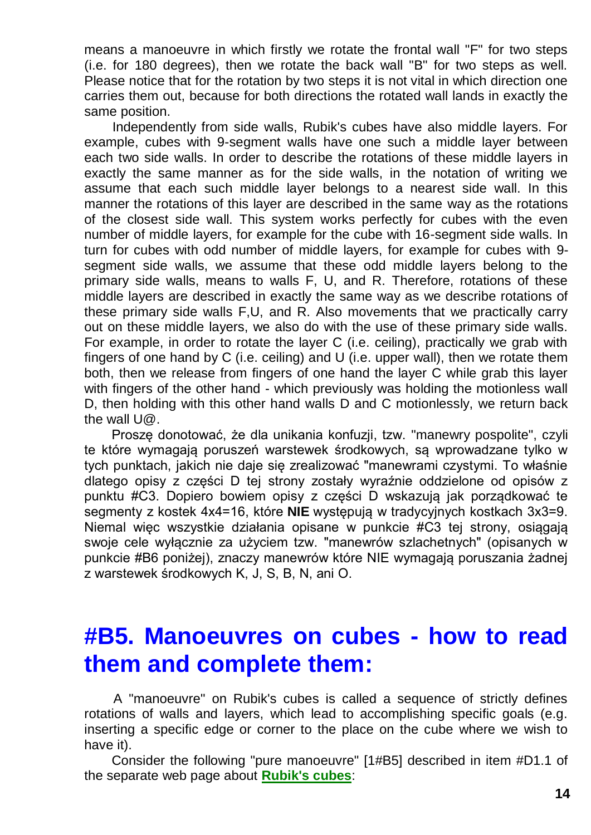means a manoeuvre in which firstly we rotate the frontal wall "F" for two steps (i.e. for 180 degrees), then we rotate the back wall "B" for two steps as well. Please notice that for the rotation by two steps it is not vital in which direction one carries them out, because for both directions the rotated wall lands in exactly the same position.

Independently from side walls, Rubik's cubes have also middle layers. For example, cubes with 9-segment walls have one such a middle layer between each two side walls. In order to describe the rotations of these middle layers in exactly the same manner as for the side walls, in the notation of writing we assume that each such middle layer belongs to a nearest side wall. In this manner the rotations of this layer are described in the same way as the rotations of the closest side wall. This system works perfectly for cubes with the even number of middle layers, for example for the cube with 16-segment side walls. In turn for cubes with odd number of middle layers, for example for cubes with 9 segment side walls, we assume that these odd middle layers belong to the primary side walls, means to walls F, U, and R. Therefore, rotations of these middle layers are described in exactly the same way as we describe rotations of these primary side walls F,U, and R. Also movements that we practically carry out on these middle layers, we also do with the use of these primary side walls. For example, in order to rotate the layer C (i.e. ceiling), practically we grab with fingers of one hand by C (i.e. ceiling) and U (i.e. upper wall), then we rotate them both, then we release from fingers of one hand the layer C while grab this layer with fingers of the other hand - which previously was holding the motionless wall D, then holding with this other hand walls D and C motionlessly, we return back the wall U@.

Proszę donotować, że dla unikania konfuzji, tzw. "manewry pospolite", czyli te które wymagają poruszeń warstewek środkowych, są wprowadzane tylko w tych punktach, jakich nie daje się zrealizować "manewrami czystymi. To właśnie dlatego opisy z części D tej strony zostały wyraźnie oddzielone od opisów z punktu #C3. Dopiero bowiem opisy z części D wskazują jak porządkować te segmenty z kostek 4x4=16, które **NIE** występują w tradycyjnych kostkach 3x3=9. Niemal więc wszystkie działania opisane w punkcie #C3 tej strony, osiągają swoje cele wyłącznie za użyciem tzw. "manewrów szlachetnych" (opisanych w punkcie #B6 poniżej), znaczy manewrów które NIE wymagają poruszania żadnej z warstewek środkowych K, J, S, B, N, ani O.

### **#B5. Manoeuvres on cubes - how to read them and complete them:**

A "manoeuvre" on Rubik's cubes is called a sequence of strictly defines rotations of walls and layers, which lead to accomplishing specific goals (e.g. inserting a specific edge or corner to the place on the cube where we wish to have it).

Consider the following "pure manoeuvre" [1#B5] described in item #D1.1 of the separate web page about **[Rubik's cubes](http://totalizm.com.pl/rubik.htm)**: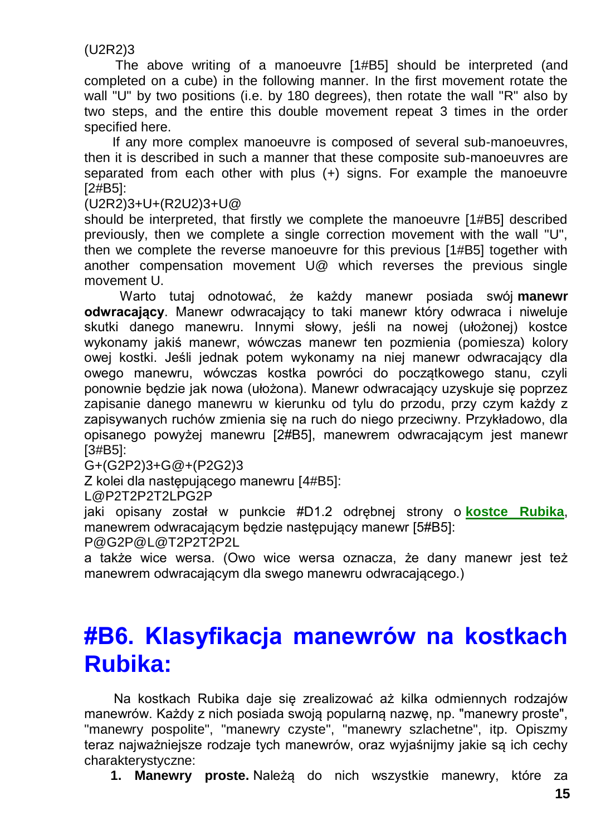#### (U2R2)3

The above writing of a manoeuvre [1#B5] should be interpreted (and completed on a cube) in the following manner. In the first movement rotate the wall "U" by two positions (i.e. by 180 degrees), then rotate the wall "R" also by two steps, and the entire this double movement repeat 3 times in the order specified here.

If any more complex manoeuvre is composed of several sub-manoeuvres, then it is described in such a manner that these composite sub-manoeuvres are separated from each other with plus (+) signs. For example the manoeuvre [2#B5]:

(U2R2)3+U+(R2U2)3+U@

should be interpreted, that firstly we complete the manoeuvre [1#B5] described previously, then we complete a single correction movement with the wall "U", then we complete the reverse manoeuvre for this previous [1#B5] together with another compensation movement U@ which reverses the previous single movement U.

Warto tutaj odnotować, że każdy manewr posiada swój **manewr odwracający**. Manewr odwracający to taki manewr który odwraca i niweluje skutki danego manewru. Innymi słowy, jeśli na nowej (ułożonej) kostce wykonamy jakiś manewr, wówczas manewr ten pozmienia (pomiesza) kolory owej kostki. Jeśli jednak potem wykonamy na niej manewr odwracający dla owego manewru, wówczas kostka powróci do początkowego stanu, czyli ponownie będzie jak nowa (ułożona). Manewr odwracający uzyskuje się poprzez zapisanie danego manewru w kierunku od tylu do przodu, przy czym każdy z zapisywanych ruchów zmienia się na ruch do niego przeciwny. Przykładowo, dla opisanego powyżej manewru [2#B5], manewrem odwracającym jest manewr [3#B5]:

G+(G2P2)3+G@+(P2G2)3

Z kolei dla następującego manewru [4#B5]:

L@P2T2P2T2LPG2P

jaki opisany został w punkcie #D1.2 odrębnej strony o **[kostce Rubika](http://totalizm.com.pl/rubik_pl.htm)**, manewrem odwracającym będzie następujący manewr [5#B5]:

P@G2P@L@T2P2T2P2L

a także wice wersa. (Owo wice wersa oznacza, że dany manewr jest też manewrem odwracającym dla swego manewru odwracającego.)

## **#B6. Klasyfikacja manewrów na kostkach Rubika:**

Na kostkach Rubika daje się zrealizować aż kilka odmiennych rodzajów manewrów. Każdy z nich posiada swoją popularną nazwę, np. "manewry proste", "manewry pospolite", "manewry czyste", "manewry szlachetne", itp. Opiszmy teraz najważniejsze rodzaje tych manewrów, oraz wyjaśnijmy jakie są ich cechy charakterystyczne:

**1. Manewry proste.** Należą do nich wszystkie manewry, które za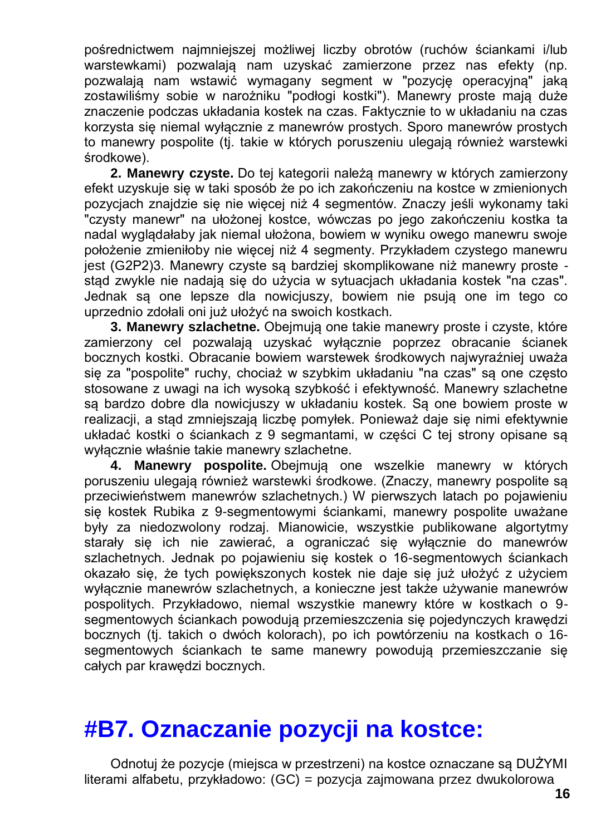pośrednictwem najmniejszej możliwej liczby obrotów (ruchów ściankami i/lub warstewkami) pozwalają nam uzyskać zamierzone przez nas efekty (np. pozwalają nam wstawić wymagany segment w "pozycję operacyjną" jaką zostawiliśmy sobie w narożniku "podłogi kostki"). Manewry proste mają duże znaczenie podczas układania kostek na czas. Faktycznie to w układaniu na czas korzysta się niemal wyłącznie z manewrów prostych. Sporo manewrów prostych to manewry pospolite (tj. takie w których poruszeniu ulegają również warstewki środkowe).

**2. Manewry czyste.** Do tej kategorii należą manewry w których zamierzony efekt uzyskuje się w taki sposób że po ich zakończeniu na kostce w zmienionych pozycjach znajdzie się nie więcej niż 4 segmentów. Znaczy jeśli wykonamy taki "czysty manewr" na ułożonej kostce, wówczas po jego zakończeniu kostka ta nadal wyglądałaby jak niemal ułożona, bowiem w wyniku owego manewru swoje położenie zmieniłoby nie więcej niż 4 segmenty. Przykładem czystego manewru jest (G2P2)3. Manewry czyste są bardziej skomplikowane niż manewry proste stąd zwykle nie nadają się do użycia w sytuacjach układania kostek "na czas". Jednak są one lepsze dla nowicjuszy, bowiem nie psują one im tego co uprzednio zdołali oni już ułożyć na swoich kostkach.

**3. Manewry szlachetne.** Obejmują one takie manewry proste i czyste, które zamierzony cel pozwalają uzyskać wyłącznie poprzez obracanie ścianek bocznych kostki. Obracanie bowiem warstewek środkowych najwyraźniej uważa się za "pospolite" ruchy, chociaż w szybkim układaniu "na czas" są one często stosowane z uwagi na ich wysoką szybkość i efektywność. Manewry szlachetne są bardzo dobre dla nowicjuszy w układaniu kostek. Są one bowiem proste w realizacii, a stad zmniejszają liczbę pomyłek. Ponieważ daje się nimi efektywnie układać kostki o ściankach z 9 segmantami, w części C tej strony opisane są wyłącznie właśnie takie manewry szlachetne.

**4. Manewry pospolite.** Obejmują one wszelkie manewry w których poruszeniu ulegają również warstewki środkowe. (Znaczy, manewry pospolite są przeciwieństwem manewrów szlachetnych.) W pierwszych latach po pojawieniu się kostek Rubika z 9-segmentowymi ściankami, manewry pospolite uważane były za niedozwolony rodzaj. Mianowicie, wszystkie publikowane algortytmy starały się ich nie zawierać, a ograniczać się wyłącznie do manewrów szlachetnych. Jednak po pojawieniu się kostek o 16-segmentowych ściankach okazało się, że tych powiększonych kostek nie daje się już ułożyć z użyciem wyłącznie manewrów szlachetnych, a konieczne jest także używanie manewrów pospolitych. Przykładowo, niemal wszystkie manewry które w kostkach o 9 segmentowych ściankach powodują przemieszczenia się pojedynczych krawędzi bocznych (tj. takich o dwóch kolorach), po ich powtórzeniu na kostkach o 16 segmentowych ściankach te same manewry powodują przemieszczanie się całych par krawędzi bocznych.

### **#B7. Oznaczanie pozycji na kostce:**

Odnotuj że pozycje (miejsca w przestrzeni) na kostce oznaczane są DUŻYMI literami alfabetu, przykładowo: (GC) = pozycja zajmowana przez dwukolorowa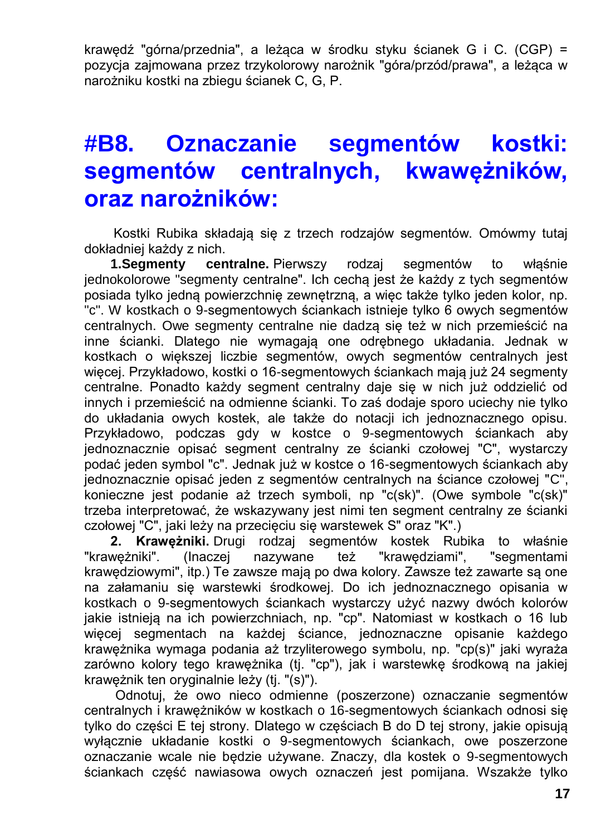krawędź "górna/przednia", a leżąca w środku styku ścianek G i C. (CGP) = pozycja zajmowana przez trzykolorowy narożnik "góra/przód/prawa", a leżąca w narożniku kostki na zbiegu ścianek C, G, P.

## **#B8. Oznaczanie segmentów kostki: segmentów centralnych, kwawężników, oraz narożników:**

Kostki Rubika składają się z trzech rodzajów segmentów. Omówmy tutaj dokładniej każdy z nich.

**1.Segmenty centralne.** Pierwszy rodzaj segmentów to włąśnie jednokolorowe "segmenty centralne". Ich cechą jest że każdy z tych segmentów posiada tylko jedną powierzchnię zewnętrzną, a więc także tylko jeden kolor, np. "c". W kostkach o 9-segmentowych ściankach istnieje tylko 6 owych segmentów centralnych. Owe segmenty centralne nie dadzą się też w nich przemieścić na inne ścianki. Dlatego nie wymagają one odrębnego układania. Jednak w kostkach o większej liczbie segmentów, owych segmentów centralnych jest więcej. Przykładowo, kostki o 16-segmentowych ściankach mają już 24 segmenty centralne. Ponadto każdy segment centralny daje się w nich już oddzielić od innych i przemieścić na odmienne ścianki. To zaś dodaje sporo uciechy nie tylko do układania owych kostek, ale także do notacji ich jednoznacznego opisu. Przykładowo, podczas gdy w kostce o 9-segmentowych ściankach aby jednoznacznie opisać segment centralny ze ścianki czołowej "C", wystarczy podać jeden symbol "c". Jednak już w kostce o 16-segmentowych ściankach aby jednoznacznie opisać jeden z segmentów centralnych na ściance czołowej "C", konieczne jest podanie aż trzech symboli, np "c(sk)". (Owe symbole "c(sk)" trzeba interpretować, że wskazywany jest nimi ten segment centralny ze ścianki czołowej "C", jaki leży na przecięciu się warstewek S" oraz "K".)

**2. Krawężniki.** Drugi rodzaj segmentów kostek Rubika to właśnie "krawężniki". (Inaczej nazywane też "krawędziami", "segmentami krawędziowymi", itp.) Te zawsze mają po dwa kolory. Zawsze też zawarte są one na załamaniu się warstewki środkowej. Do ich jednoznacznego opisania w kostkach o 9-segmentowych ściankach wystarczy użyć nazwy dwóch kolorów jakie istnieją na ich powierzchniach, np. "cp". Natomiast w kostkach o 16 lub więcej segmentach na każdej ściance, jednoznaczne opisanie każdego krawężnika wymaga podania aż trzyliterowego symbolu, np. "cp(s)" jaki wyraża zarówno kolory tego krawężnika (tj. "cp"), jak i warstewkę środkową na jakiej krawężnik ten oryginalnie leży (tj. "(s)").

Odnotuj, że owo nieco odmienne (poszerzone) oznaczanie segmentów centralnych i krawężników w kostkach o 16-segmentowych ściankach odnosi się tylko do części E tej strony. Dlatego w częściach B do D tej strony, jakie opisują wyłącznie układanie kostki o 9-segmentowych ściankach, owe poszerzone oznaczanie wcale nie będzie używane. Znaczy, dla kostek o 9-segmentowych ściankach część nawiasowa owych oznaczeń jest pomijana. Wszakże tylko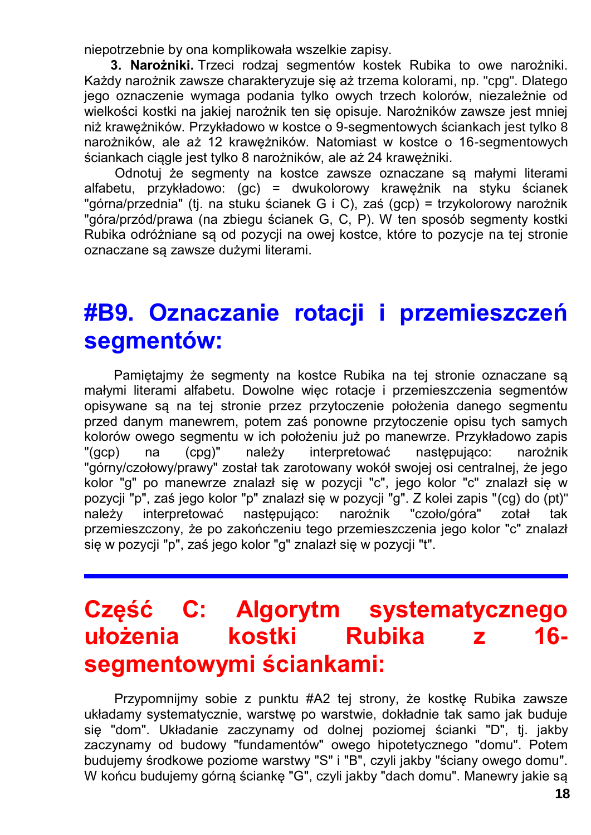niepotrzebnie by ona komplikowała wszelkie zapisy.

**3. Narożniki.** Trzeci rodzaj segmentów kostek Rubika to owe narożniki. Każdy narożnik zawsze charakteryzuje się aż trzema kolorami, np. "cpg". Dlatego jego oznaczenie wymaga podania tylko owych trzech kolorów, niezależnie od wielkości kostki na jakiej narożnik ten się opisuje. Narożników zawsze jest mniej niż krawężników. Przykładowo w kostce o 9-segmentowych ściankach jest tylko 8 narożników, ale aż 12 krawężników. Natomiast w kostce o 16-segmentowych ściankach ciągle jest tylko 8 narożników, ale aż 24 krawężniki.

Odnotuj że segmenty na kostce zawsze oznaczane są małymi literami alfabetu, przykładowo: (gc) = dwukolorowy krawężnik na styku ścianek "górna/przednia" (tj. na stuku ścianek G i C), zaś (gcp) = trzykolorowy narożnik "góra/przód/prawa (na zbiegu ścianek G, C, P). W ten sposób segmenty kostki Rubika odróżniane są od pozycji na owej kostce, które to pozycje na tej stronie oznaczane są zawsze dużymi literami.

### **#B9. Oznaczanie rotacji i przemieszczeń segmentów:**

Pamiętajmy że segmenty na kostce Rubika na tej stronie oznaczane są małymi literami alfabetu. Dowolne więc rotacje i przemieszczenia segmentów opisywane są na tej stronie przez przytoczenie położenia danego segmentu przed danym manewrem, potem zaś ponowne przytoczenie opisu tych samych kolorów owego segmentu w ich położeniu już po manewrze. Przykładowo zapis "(gcp) na (cpg)" należy interpretować następująco: narożnik "górny/czołowy/prawy" został tak zarotowany wokół swojej osi centralnej, że jego kolor "g" po manewrze znalazł się w pozycji "c", jego kolor "c" znalazł się w pozycji "p", zaś jego kolor "p" znalazł się w pozycji "g". Z kolei zapis "(cg) do (pt)" należy interpretować następująco: narożnik "czoło/góra" zotał tak przemieszczony, że po zakończeniu tego przemieszczenia jego kolor "c" znalazł się w pozycji "p", zaś jego kolor "g" znalazł się w pozycji "t".

# **Część C: Algorytm systematycznego ułożenia kostki Rubika z 16 segmentowymi ściankami:**

Przypomnijmy sobie z punktu #A2 tej strony, że kostkę Rubika zawsze układamy systematycznie, warstwę po warstwie, dokładnie tak samo jak buduje się "dom". Układanie zaczynamy od dolnej poziomej ścianki "D", tj. jakby zaczynamy od budowy "fundamentów" owego hipotetycznego "domu". Potem budujemy środkowe poziome warstwy "S" i "B", czyli jakby "ściany owego domu". W końcu budujemy górną ściankę "G", czyli jakby "dach domu". Manewry jakie są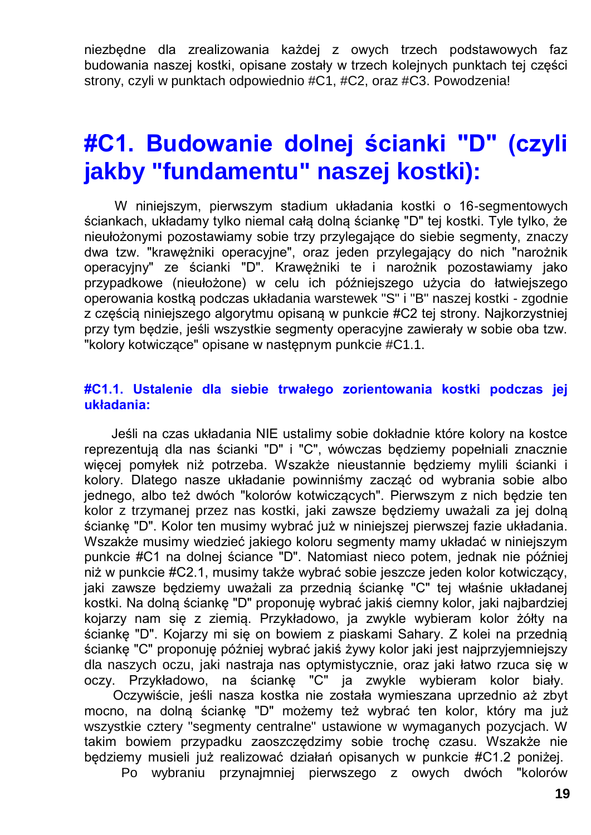niezbędne dla zrealizowania każdej z owych trzech podstawowych faz budowania naszej kostki, opisane zostały w trzech kolejnych punktach tej części strony, czyli w punktach odpowiednio #C1, #C2, oraz #C3. Powodzenia!

## **#C1. Budowanie dolnej ścianki "D" (czyli jakby "fundamentu" naszej kostki):**

W niniejszym, pierwszym stadium układania kostki o 16-segmentowych ściankach, układamy tylko niemal całą dolną ściankę "D" tej kostki. Tyle tylko, że nieułożonymi pozostawiamy sobie trzy przylegające do siebie segmenty, znaczy dwa tzw. "krawężniki operacyjne", oraz jeden przylegający do nich "narożnik operacyjny" ze ścianki "D". Krawężniki te i narożnik pozostawiamy jako przypadkowe (nieułożone) w celu ich późniejszego użycia do łatwiejszego operowania kostką podczas układania warstewek "S" i "B" naszej kostki - zgodnie z częścią niniejszego algorytmu opisaną w punkcie #C2 tej strony. Najkorzystniej przy tym będzie, jeśli wszystkie segmenty operacyjne zawierały w sobie oba tzw. "kolory kotwiczące" opisane w następnym punkcie #C1.1.

#### **#C1.1. Ustalenie dla siebie trwałego zorientowania kostki podczas jej układania:**

Jeśli na czas układania NIE ustalimy sobie dokładnie które kolory na kostce reprezentują dla nas ścianki "D" i "C", wówczas będziemy popełniali znacznie więcej pomyłek niż potrzeba. Wszakże nieustannie będziemy mylili ścianki i kolory. Dlatego nasze układanie powinniśmy zacząć od wybrania sobie albo jednego, albo też dwóch "kolorów kotwiczących". Pierwszym z nich będzie ten kolor z trzymanej przez nas kostki, jaki zawsze będziemy uważali za jej dolną ściankę "D". Kolor ten musimy wybrać już w niniejszej pierwszej fazie układania. Wszakże musimy wiedzieć jakiego koloru segmenty mamy układać w niniejszym punkcie #C1 na dolnej ściance "D". Natomiast nieco potem, jednak nie później niż w punkcie #C2.1, musimy także wybrać sobie jeszcze jeden kolor kotwiczący, jaki zawsze będziemy uważali za przednią ściankę "C" tej właśnie układanej kostki. Na dolną ściankę "D" proponuję wybrać jakiś ciemny kolor, jaki najbardziej kojarzy nam się z ziemią. Przykładowo, ja zwykle wybieram kolor żółty na ściankę "D". Kojarzy mi się on bowiem z piaskami Sahary. Z kolei na przednią ściankę "C" proponuję później wybrać jakiś żywy kolor jaki jest najprzyjemniejszy dla naszych oczu, jaki nastraja nas optymistycznie, oraz jaki łatwo rzuca się w oczy. Przykładowo, na ściankę "C" ja zwykle wybieram kolor biały.

Oczywiście, jeśli nasza kostka nie została wymieszana uprzednio aż zbyt mocno, na dolną ściankę "D" możemy też wybrać ten kolor, który ma już wszystkie cztery "segmenty centralne" ustawione w wymaganych pozycjach. W takim bowiem przypadku zaoszczędzimy sobie trochę czasu. Wszakże nie będziemy musieli już realizować działań opisanych w punkcie #C1.2 poniżej.

Po wybraniu przynajmniej pierwszego z owych dwóch "kolorów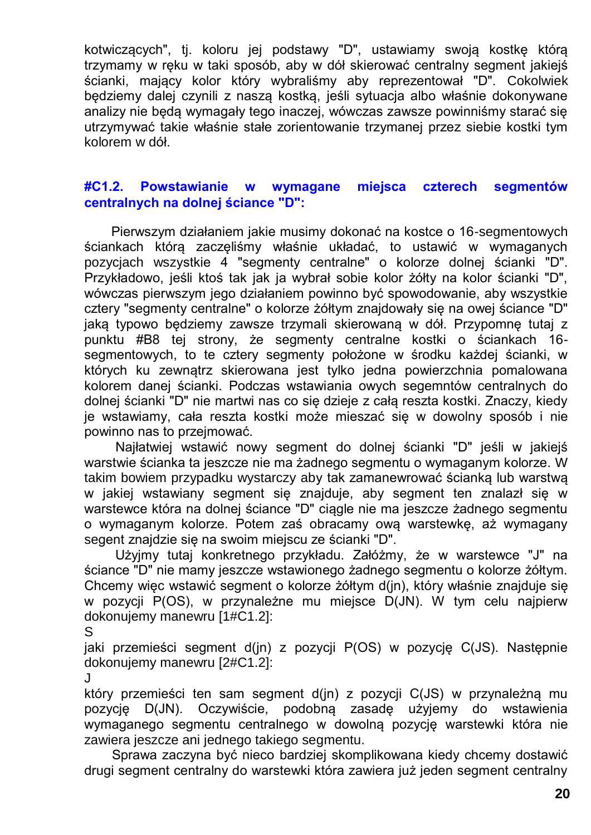kotwiczących", tj. koloru jej podstawy "D", ustawiamy swoją kostkę którą trzymamy w ręku w taki sposób, aby w dół skierować centralny segment jakiejś ścianki, mający kolor który wybraliśmy aby reprezentował "D". Cokolwiek będziemy dalej czynili z naszą kostką, jeśli sytuacja albo właśnie dokonywane analizy nie będą wymagały tego inaczej, wówczas zawsze powinniśmy starać się utrzymywać takie właśnie stałe zorientowanie trzymanej przez siebie kostki tym kolorem w dół.

#### **#C1.2. Powstawianie w wymagane miejsca czterech segmentów centralnych na dolnej ściance "D":**

Pierwszym działaniem jakie musimy dokonać na kostce o 16-segmentowych ściankach którą zaczęliśmy właśnie układać, to ustawić w wymaganych pozycjach wszystkie 4 "segmenty centralne" o kolorze dolnej ścianki "D". Przykładowo, jeśli ktoś tak jak ja wybrał sobie kolor żółty na kolor ścianki "D", wówczas pierwszym jego działaniem powinno być spowodowanie, aby wszystkie cztery "segmenty centralne" o kolorze żółtym znajdowały się na owej ściance "D" jaką typowo będziemy zawsze trzymali skierowaną w dół. Przypomnę tutaj z punktu #B8 tej strony, że segmenty centralne kostki o ściankach 16 segmentowych, to te cztery segmenty położone w środku każdej ścianki, w których ku zewnątrz skierowana jest tylko jedna powierzchnia pomalowana kolorem danej ścianki. Podczas wstawiania owych segemntów centralnych do dolnej ścianki "D" nie martwi nas co się dzieje z całą reszta kostki. Znaczy, kiedy je wstawiamy, cała reszta kostki może mieszać się w dowolny sposób i nie powinno nas to przejmować.

Najłatwiej wstawić nowy segment do dolnej ścianki "D" jeśli w jakiejś warstwie ścianka ta jeszcze nie ma żadnego segmentu o wymaganym kolorze. W takim bowiem przypadku wystarczy aby tak zamanewrować ścianką lub warstwą w jakiej wstawiany segment się znajduje, aby segment ten znalazł się w warstewce która na dolnej ściance "D" ciągle nie ma jeszcze żadnego segmentu o wymaganym kolorze. Potem zaś obracamy ową warstewkę, aż wymagany segent znajdzie się na swoim miejscu ze ścianki "D".

Użyjmy tutaj konkretnego przykładu. Załóżmy, że w warstewce "J" na ściance "D" nie mamy jeszcze wstawionego żadnego segmentu o kolorze żółtym. Chcemy więc wstawić segment o kolorze żółtym d(jn), który właśnie znajduje się w pozycji P(OS), w przynależne mu miejsce D(JN). W tym celu najpierw dokonujemy manewru [1#C1.2]:

S

jaki przemieści segment d(jn) z pozycji P(OS) w pozycję C(JS). Następnie dokonujemy manewru [2#C1.2]:

J

który przemieści ten sam segment d(jn) z pozycji C(JS) w przynależną mu pozycję D(JN). Oczywiście, podobną zasadę użyjemy do wstawienia wymaganego segmentu centralnego w dowolną pozycję warstewki która nie zawiera jeszcze ani jednego takiego segmentu.

Sprawa zaczyna być nieco bardziej skomplikowana kiedy chcemy dostawić drugi segment centralny do warstewki która zawiera już jeden segment centralny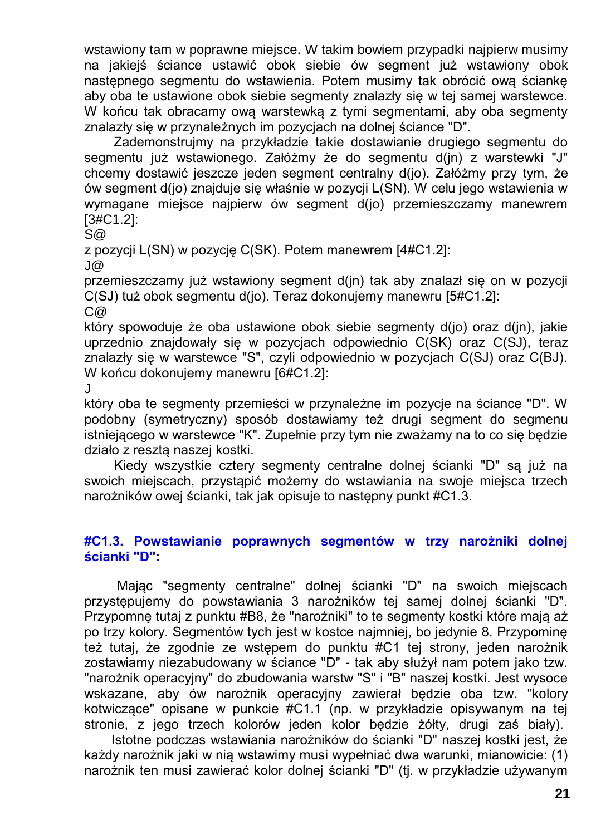wstawiony tam w poprawne miejsce. W takim bowiem przypadki najpierw musimy na jakiejś ściance ustawić obok siebie ów segment już wstawiony obok następnego segmentu do wstawienia. Potem musimy tak obrócić ową ściankę aby oba te ustawione obok siebie segmenty znalazły się w tej samej warstewce. W końcu tak obracamy ową warstewką z tymi segmentami, aby oba segmenty znalazły się w przynależnych im pozycjach na dolnej ściance "D".

Zademonstrujmy na przykładzie takie dostawianie drugiego segmentu do segmentu już wstawionego. Załóżmy że do segmentu d(jn) z warstewki "J" chcemy dostawić jeszcze jeden segment centralny d(jo). Załóżmy przy tym, że ów segment d(jo) znajduje się właśnie w pozycji L(SN). W celu jego wstawienia w wymagane miejsce najpierw ów segment d(jo) przemieszczamy manewrem [3#C1.2]:

S@

z pozycji L(SN) w pozycję C(SK). Potem manewrem [4#C1.2]:

J@

przemieszczamy już wstawiony segment d(jn) tak aby znalazł się on w pozycji C(SJ) tuż obok segmentu d(jo). Teraz dokonujemy manewru [5#C1.2]:  $C@$ 

który spowoduje że oba ustawione obok siebie segmenty d(jo) oraz d(jn), jakie uprzednio znajdowały się w pozycjach odpowiednio C(SK) oraz C(SJ), teraz znalazły się w warstewce "S", czyli odpowiednio w pozycjach C(SJ) oraz C(BJ). W końcu dokonujemy manewru [6#C1.2]:

J

który oba te segmenty przemieści w przynależne im pozycje na ściance "D". W podobny (symetryczny) sposób dostawiamy też drugi segment do segmenu istniejącego w warstewce "K". Zupełnie przy tym nie zważamy na to co się będzie działo z resztą naszej kostki.

Kiedy wszystkie cztery segmenty centralne dolnej ścianki "D" są już na swoich miejscach, przystąpić możemy do wstawiania na swoje miejsca trzech narożników owej ścianki, tak jak opisuje to następny punkt #C1.3.

#### **#C1.3. Powstawianie poprawnych segmentów w trzy narożniki dolnej ścianki "D":**

Mając "segmenty centralne" dolnej ścianki "D" na swoich miejscach przystępujemy do powstawiania 3 narożników tej samej dolnej ścianki "D". Przypomnę tutaj z punktu #B8, że "narożniki" to te segmenty kostki które mają aż po trzy kolory. Segmentów tych jest w kostce najmniej, bo jedynie 8. Przypominę też tutaj, że zgodnie ze wstępem do punktu #C1 tej strony, jeden narożnik zostawiamy niezabudowany w ściance "D" - tak aby służył nam potem jako tzw. "narożnik operacyjny" do zbudowania warstw "S" i "B" naszej kostki. Jest wysoce wskazane, aby ów narożnik operacyjny zawierał będzie oba tzw. "kolory kotwiczące" opisane w punkcie #C1.1 (np. w przykładzie opisywanym na tej stronie, z jego trzech kolorów jeden kolor będzie żółty, drugi zaś biały).

Istotne podczas wstawiania narożników do ścianki "D" naszej kostki jest, że każdy narożnik jaki w nią wstawimy musi wypełniać dwa warunki, mianowicie: (1) narożnik ten musi zawierać kolor dolnej ścianki "D" (tj. w przykładzie używanym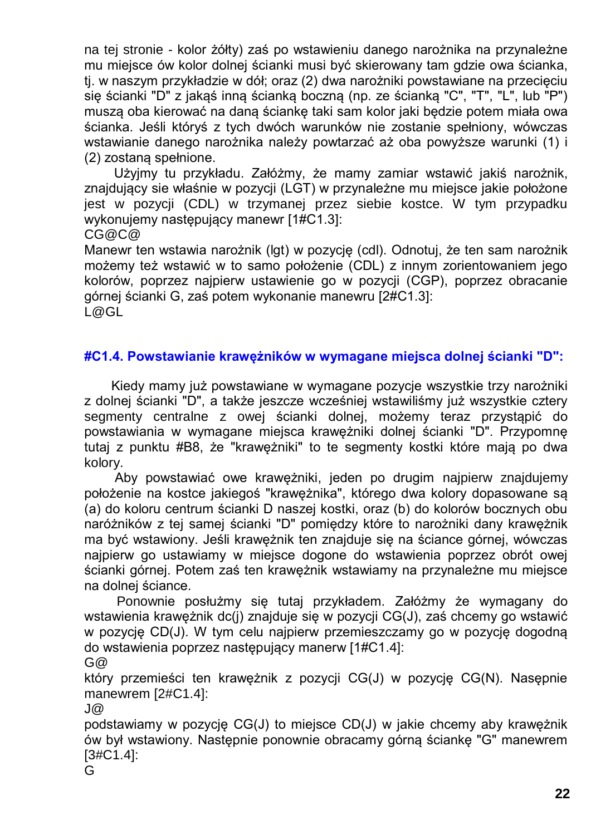na tej stronie - kolor żółty) zaś po wstawieniu danego narożnika na przynależne mu miejsce ów kolor dolnej ścianki musi być skierowany tam gdzie owa ścianka, tj. w naszym przykładzie w dół; oraz (2) dwa narożniki powstawiane na przecięciu się ścianki "D" z jakąś inną ścianką boczną (np. ze ścianką "C", "T", "L", lub "P") muszą oba kierować na daną ściankę taki sam kolor jaki będzie potem miała owa ścianka. Jeśli któryś z tych dwóch warunków nie zostanie spełniony, wówczas wstawianie danego narożnika należy powtarzać aż oba powyższe warunki (1) i (2) zostaną spełnione.

Użyjmy tu przykładu. Załóżmy, że mamy zamiar wstawić jakiś narożnik, znajdujący sie właśnie w pozycji (LGT) w przynależne mu miejsce jakie położone jest w pozycji (CDL) w trzymanej przez siebie kostce. W tym przypadku wykonujemy następujący manewr [1#C1.3]: CG@C@

Manewr ten wstawia narożnik (lgt) w pozycję (cdl). Odnotuj, że ten sam narożnik możemy też wstawić w to samo położenie (CDL) z innym zorientowaniem jego kolorów, poprzez najpierw ustawienie go w pozycji (CGP), poprzez obracanie górnej ścianki G, zaś potem wykonanie manewru [2#C1.3]: L@GL

#### **#C1.4. Powstawianie krawężników w wymagane miejsca dolnej ścianki "D":**

Kiedy mamy już powstawiane w wymagane pozycje wszystkie trzy narożniki z dolnej ścianki "D", a także jeszcze wcześniej wstawiliśmy już wszystkie cztery segmenty centralne z owej ścianki dolnej, możemy teraz przystąpić do powstawiania w wymagane miejsca krawężniki dolnej ścianki "D". Przypomnę tutaj z punktu #B8, że "krawężniki" to te segmenty kostki które mają po dwa kolory.

Aby powstawiać owe krawężniki, jeden po drugim najpierw znajdujemy położenie na kostce jakiegoś "krawężnika", którego dwa kolory dopasowane są (a) do koloru centrum ścianki D naszej kostki, oraz (b) do kolorów bocznych obu naróżników z tej samej ścianki "D" pomiędzy które to narożniki dany krawężnik ma być wstawiony. Jeśli krawężnik ten znajduje się na ściance górnej, wówczas najpierw go ustawiamy w miejsce dogone do wstawienia poprzez obrót owej ścianki górnej. Potem zaś ten krawężnik wstawiamy na przynależne mu miejsce na dolnej ściance.

Ponownie posłużmy się tutaj przykładem. Załóżmy że wymagany do wstawienia krawężnik dc(j) znajduje się w pozycji CG(J), zaś chcemy go wstawić w pozycję CD(J). W tym celu najpierw przemieszczamy go w pozycję dogodną do wstawienia poprzez następujący manerw [1#C1.4]:

G@

który przemieści ten krawężnik z pozycji CG(J) w pozycję CG(N). Nasępnie manewrem [2#C1.4]:

J@

podstawiamy w pozycję CG(J) to miejsce CD(J) w jakie chcemy aby krawężnik ów był wstawiony. Następnie ponownie obracamy górną ściankę "G" manewrem [3#C1.4]:

G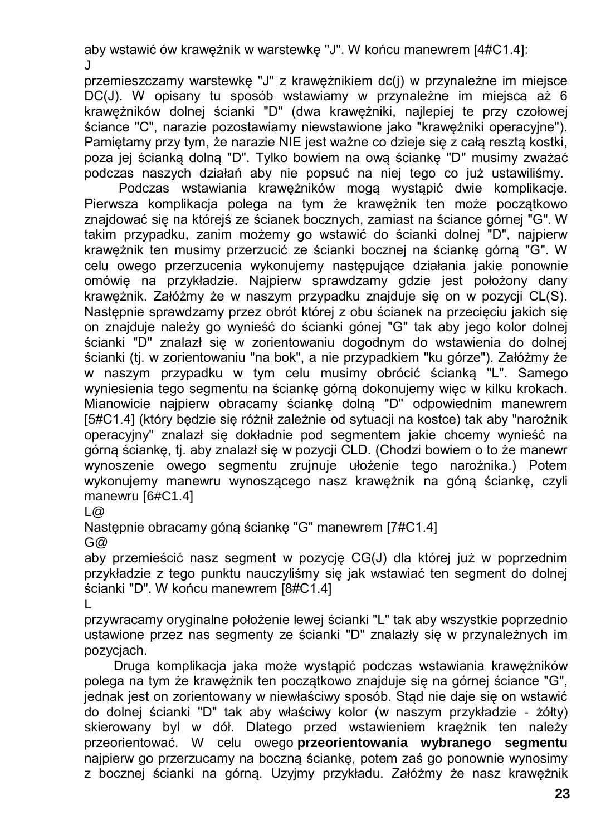aby wstawić ów krawężnik w warstewkę "J". W końcu manewrem [4#C1.4]: J

przemieszczamy warstewkę "J" z krawężnikiem dc(j) w przynależne im miejsce DC(J). W opisany tu sposób wstawiamy w przynależne im miejsca aż 6 krawężników dolnej ścianki "D" (dwa krawężniki, najlepiej te przy czołowej ściance "C", narazie pozostawiamy niewstawione jako "krawężniki operacyjne"). Pamiętamy przy tym, że narazie NIE jest ważne co dzieje się z całą resztą kostki, poza jej ścianką dolną "D". Tylko bowiem na ową ściankę "D" musimy zważać podczas naszych działań aby nie popsuć na niej tego co już ustawiliśmy.

Podczas wstawiania krawężników mogą wystąpić dwie komplikacje. Pierwsza komplikacja polega na tym że krawężnik ten może początkowo znajdować się na którejś ze ścianek bocznych, zamiast na ściance górnej "G". W takim przypadku, zanim możemy go wstawić do ścianki dolnej "D", najpierw krawężnik ten musimy przerzucić ze ścianki bocznej na ściankę górną "G". W celu owego przerzucenia wykonujemy następujące działania jakie ponownie omówię na przykładzie. Najpierw sprawdzamy gdzie jest położony dany krawężnik. Załóżmy że w naszym przypadku znajduje się on w pozycji CL(S). Nastepnie sprawdzamy przez obrót której z obu ścianek na przecięciu jakich się on znajduje należy go wynieść do ścianki gónej "G" tak aby jego kolor dolnej ścianki "D" znalazł się w zorientowaniu dogodnym do wstawienia do dolnej ścianki (tj. w zorientowaniu "na bok", a nie przypadkiem "ku górze"). Załóżmy że w naszym przypadku w tym celu musimy obrócić ścianką "L". Samego wyniesienia tego segmentu na ściankę górną dokonujemy więc w kilku krokach. Mianowicie najpierw obracamy ściankę dolną "D" odpowiednim manewrem [5#C1.4] (który będzie się różnił zależnie od sytuacji na kostce) tak aby "narożnik operacyjny" znalazł się dokładnie pod segmentem jakie chcemy wynieść na górną ściankę, tj. aby znalazł się w pozycji CLD. (Chodzi bowiem o to że manewr wynoszenie owego segmentu zrujnuje ułożenie tego narożnika.) Potem wykonujemy manewru wynoszącego nasz krawężnik na góną ściankę, czyli manewru [6#C1.4]

L@

Następnie obracamy góną ściankę "G" manewrem [7#C1.4]  $G@$ 

aby przemieścić nasz segment w pozycję CG(J) dla której już w poprzednim przykładzie z tego punktu nauczyliśmy się jak wstawiać ten segment do dolnej ścianki "D". W końcu manewrem [8#C1.4]

L

przywracamy oryginalne położenie lewej ścianki "L" tak aby wszystkie poprzednio ustawione przez nas segmenty ze ścianki "D" znalazły się w przynależnych im pozycjach.

Druga komplikacja jaka może wystąpić podczas wstawiania krawężników polega na tym że krawężnik ten początkowo znajduje się na górnej ściance "G", jednak jest on zorientowany w niewłaściwy sposób. Stąd nie daje się on wstawić do dolnej ścianki "D" tak aby właściwy kolor (w naszym przykładzie - żółty) skierowany byl w dół. Dlatego przed wstawieniem kraężnik ten należy przeorientować. W celu owego **przeorientowania wybranego segmentu** najpierw go przerzucamy na boczną ściankę, potem zaś go ponownie wynosimy z bocznej ścianki na górną. Uzyjmy przykładu. Załóżmy że nasz krawężnik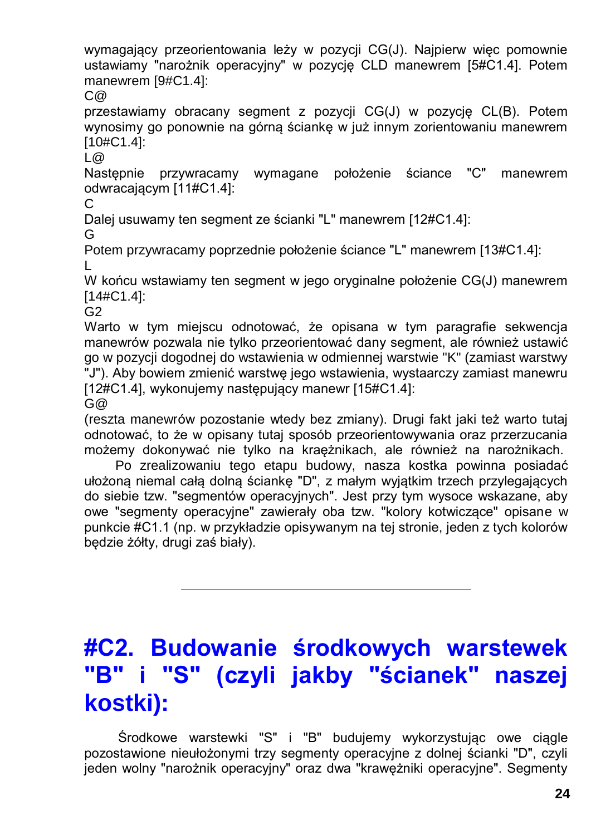wymagający przeorientowania leży w pozycji CG(J). Najpierw więc pomownie ustawiamy "narożnik operacyjny" w pozycję CLD manewrem [5#C1.4]. Potem manewrem [9#C1.4]:

C@

przestawiamy obracany segment z pozycji CG(J) w pozycję CL(B). Potem wynosimy go ponownie na górną ściankę w już innym zorientowaniu manewrem [10#C1.4]:

L@

Następnie przywracamy wymagane położenie ściance "C" manewrem odwracającym [11#C1.4]:

 $\mathcal{C}$ 

Dalej usuwamy ten segment ze ścianki "L" manewrem [12#C1.4]:

G

Potem przywracamy poprzednie położenie ściance "L" manewrem [13#C1.4]: L

W końcu wstawiamy ten segment w jego oryginalne położenie CG(J) manewrem [14#C1.4]:

 $G<sub>2</sub>$ 

Warto w tym miejscu odnotować, że opisana w tym paragrafie sekwencja manewrów pozwala nie tylko przeorientować dany segment, ale również ustawić go w pozycji dogodnej do wstawienia w odmiennej warstwie "K" (zamiast warstwy "J"). Aby bowiem zmienić warstwę jego wstawienia, wystaarczy zamiast manewru [12#C1.4], wykonujemy następujący manewr [15#C1.4]:

 $G@$ 

(reszta manewrów pozostanie wtedy bez zmiany). Drugi fakt jaki też warto tutaj odnotować, to że w opisany tutaj sposób przeorientowywania oraz przerzucania możemy dokonywać nie tylko na kraężnikach, ale również na narożnikach.

Po zrealizowaniu tego etapu budowy, nasza kostka powinna posiadać ułożoną niemal całą dolną ściankę "D", z małym wyjątkim trzech przylegających do siebie tzw. "segmentów operacyjnych". Jest przy tym wysoce wskazane, aby owe "segmenty operacyjne" zawierały oba tzw. "kolory kotwiczące" opisane w punkcie #C1.1 (np. w przykładzie opisywanym na tej stronie, jeden z tych kolorów będzie żółty, drugi zaś biały).

# **#C2. Budowanie środkowych warstewek**  "S" (czyli jakby "ścianek" naszej **kostki):**

Środkowe warstewki "S" i "B" budujemy wykorzystując owe ciągle pozostawione nieułożonymi trzy segmenty operacyjne z dolnej ścianki "D", czyli jeden wolny "narożnik operacyjny" oraz dwa "krawężniki operacyjne". Segmenty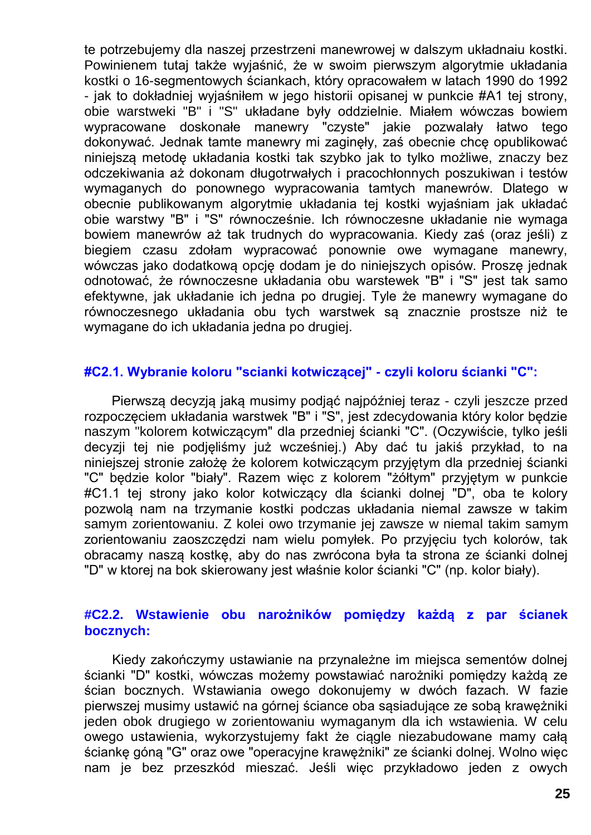te potrzebujemy dla naszej przestrzeni manewrowej w dalszym układnaiu kostki. Powinienem tutaj także wyjaśnić, że w swoim pierwszym algorytmie układania kostki o 16-segmentowych ściankach, który opracowałem w latach 1990 do 1992 - jak to dokładniej wyjaśniłem w jego historii opisanej w punkcie #A1 tej strony, obie warstweki "B" i "S" układane były oddzielnie. Miałem wówczas bowiem wypracowane doskonałe manewry "czyste" jakie pozwalały łatwo tego dokonywać. Jednak tamte manewry mi zaginęły, zaś obecnie chcę opublikować niniejszą metodę układania kostki tak szybko jak to tylko możliwe, znaczy bez odczekiwania aż dokonam długotrwałych i pracochłonnych poszukiwan i testów wymaganych do ponownego wypracowania tamtych manewrów. Dlatego w obecnie publikowanym algorytmie układania tej kostki wyjaśniam jak układać obie warstwy "B" i "S" równocześnie. Ich równoczesne układanie nie wymaga bowiem manewrów aż tak trudnych do wypracowania. Kiedy zaś (oraz jeśli) z biegiem czasu zdołam wypracować ponownie owe wymagane manewry, wówczas jako dodatkową opcję dodam je do niniejszych opisów. Proszę jednak odnotować, że równoczesne układania obu warstewek "B" i "S" jest tak samo efektywne, jak układanie ich jedna po drugiej. Tyle że manewry wymagane do równoczesnego układania obu tych warstwek są znacznie prostsze niż te wymagane do ich układania jedna po drugiej.

#### **#C2.1. Wybranie koloru "scianki kotwiczącej" - czyli koloru ścianki "C":**

Pierwszą decyzją jaką musimy podjąć najpóźniej teraz - czyli jeszcze przed rozpoczęciem układania warstwek "B" i "S", jest zdecydowania który kolor będzie naszym "kolorem kotwiczącym" dla przedniej ścianki "C". (Oczywiście, tylko jeśli decyzji tej nie podjęliśmy już wcześniej.) Aby dać tu jakiś przykład, to na niniejszej stronie założę że kolorem kotwiczącym przyjętym dla przedniej ścianki "C" będzie kolor "biały". Razem więc z kolorem "żółtym" przyjętym w punkcie #C1.1 tej strony jako kolor kotwiczący dla ścianki dolnej "D", oba te kolory pozwolą nam na trzymanie kostki podczas układania niemal zawsze w takim samym zorientowaniu. Z kolei owo trzymanie jej zawsze w niemal takim samym zorientowaniu zaoszczędzi nam wielu pomyłek. Po przyjęciu tych kolorów, tak obracamy naszą kostkę, aby do nas zwrócona była ta strona ze ścianki dolnej "D" w ktorej na bok skierowany jest właśnie kolor ścianki "C" (np. kolor biały).

#### **#C2.2. Wstawienie obu narożników pomiędzy każdą z par ścianek bocznych:**

Kiedy zakończymy ustawianie na przynależne im miejsca sementów dolnej ścianki "D" kostki, wówczas możemy powstawiać narożniki pomiędzy każdą ze ścian bocznych. Wstawiania owego dokonujemy w dwóch fazach. W fazie pierwszej musimy ustawić na górnej ściance oba sąsiadujące ze sobą krawężniki jeden obok drugiego w zorientowaniu wymaganym dla ich wstawienia. W celu owego ustawienia, wykorzystujemy fakt że ciągle niezabudowane mamy całą ściankę góną "G" oraz owe "operacyjne krawężniki" ze ścianki dolnej. Wolno więc nam je bez przeszkód mieszać. Jeśli więc przykładowo jeden z owych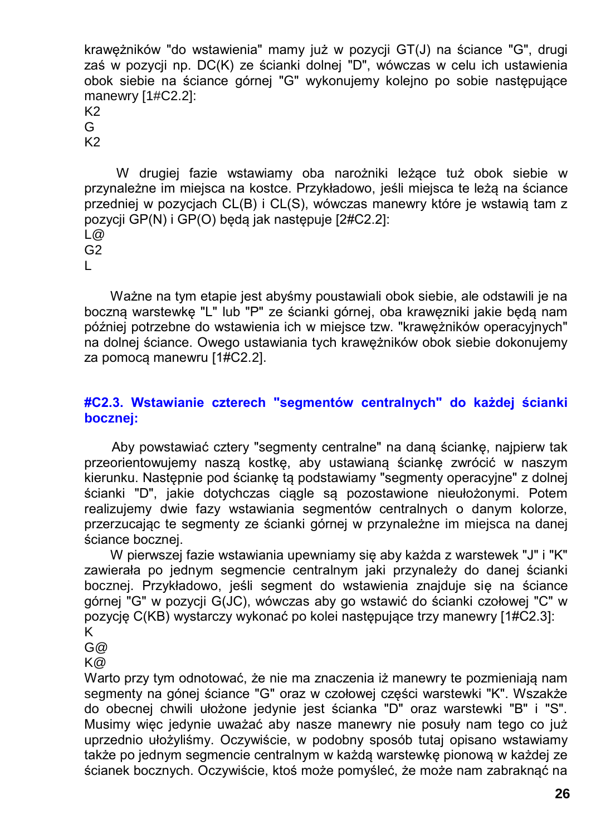krawężników "do wstawienia" mamy już w pozycji GT(J) na ściance "G", drugi zaś w pozycji np. DC(K) ze ścianki dolnej "D", wówczas w celu ich ustawienia obok siebie na ściance górnej "G" wykonujemy kolejno po sobie następujące manewry [1#C2.2]:

K2 G

K2

W drugiej fazie wstawiamy oba narożniki leżące tuż obok siebie w przynależne im miejsca na kostce. Przykładowo, jeśli miejsca te leżą na ściance przedniej w pozycjach CL(B) i CL(S), wówczas manewry które je wstawią tam z pozycji GP(N) i GP(O) będą jak następuje [2#C2.2]:  $\overline{a}$ G2

L

Ważne na tym etapie jest abyśmy poustawiali obok siebie, ale odstawili je na boczną warstewkę "L" lub "P" ze ścianki górnej, oba krawęzniki jakie będą nam później potrzebne do wstawienia ich w miejsce tzw. "krawężników operacyjnych" na dolnej ściance. Owego ustawiania tych krawężników obok siebie dokonujemy za pomocą manewru [1#C2.2].

#### **#C2.3. Wstawianie czterech "segmentów centralnych" do każdej ścianki bocznej:**

Aby powstawiać cztery "segmenty centralne" na daną ściankę, najpierw tak przeorientowujemy naszą kostkę, aby ustawianą ściankę zwrócić w naszym kierunku. Następnie pod ściankę tą podstawiamy "segmenty operacyjne" z dolnej ścianki "D", jakie dotychczas ciągle są pozostawione nieułożonymi. Potem realizujemy dwie fazy wstawiania segmentów centralnych o danym kolorze, przerzucając te segmenty ze ścianki górnej w przynależne im miejsca na danej ściance bocznej.

W pierwszej fazie wstawiania upewniamy się aby każda z warstewek "J" i "K" zawierała po jednym segmencie centralnym jaki przynależy do danej ścianki bocznej. Przykładowo, jeśli segment do wstawienia znajduje się na ściance górnej "G" w pozycji G(JC), wówczas aby go wstawić do ścianki czołowej "C" w pozycję C(KB) wystarczy wykonać po kolei następujące trzy manewry [1#C2.3]: K

G@

K@

Warto przy tym odnotować, że nie ma znaczenia iż manewry te pozmieniają nam segmenty na gónej ściance "G" oraz w czołowej części warstewki "K". Wszakże do obecnej chwili ułożone jedynie jest ścianka "D" oraz warstewki "B" i "S". Musimy więc jedynie uważać aby nasze manewry nie posuły nam tego co już uprzednio ułożyliśmy. Oczywiście, w podobny sposób tutaj opisano wstawiamy także po jednym segmencie centralnym w każdą warstewkę pionową w każdej ze ścianek bocznych. Oczywiście, ktoś może pomyśleć, że może nam zabraknąć na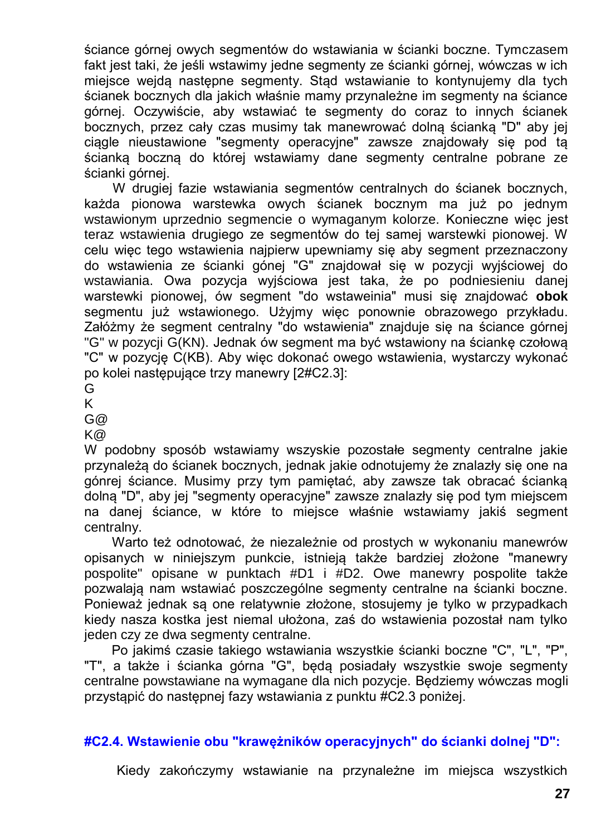ściance górnej owych segmentów do wstawiania w ścianki boczne. Tymczasem fakt jest taki, że jeśli wstawimy jedne segmenty ze ścianki górnej, wówczas w ich miejsce wejdą następne segmenty. Stąd wstawianie to kontynujemy dla tych ścianek bocznych dla jakich właśnie mamy przynależne im segmenty na ściance górnej. Oczywiście, aby wstawiać te segmenty do coraz to innych ścianek bocznych, przez cały czas musimy tak manewrować dolną ścianką "D" aby jej ciągle nieustawione "segmenty operacyjne" zawsze znajdowały się pod tą ścianką boczną do której wstawiamy dane segmenty centralne pobrane ze ścianki górnej.

W drugiej fazie wstawiania segmentów centralnych do ścianek bocznych, każda pionowa warstewka owych ścianek bocznym ma już po jednym wstawionym uprzednio segmencie o wymaganym kolorze. Konieczne więc jest teraz wstawienia drugiego ze segmentów do tej samej warstewki pionowej. W celu więc tego wstawienia najpierw upewniamy się aby segment przeznaczony do wstawienia ze ścianki gónej "G" znajdował się w pozycji wyjściowej do wstawiania. Owa pozycja wyjściowa jest taka, że po podniesieniu danej warstewki pionowej, ów segment "do wstaweinia" musi się znajdować **obok** segmentu już wstawionego. Użyjmy więc ponownie obrazowego przykładu. Załóżmy że segment centralny "do wstawienia" znajduje się na ściance górnej "G" w pozycji G(KN). Jednak ów segment ma być wstawiony na ściankę czołową "C" w pozycję C(KB). Aby więc dokonać owego wstawienia, wystarczy wykonać po kolei następujące trzy manewry [2#C2.3]:

G

K

G@

K@

W podobny sposób wstawiamy wszyskie pozostałe segmenty centralne jakie przynależą do ścianek bocznych, jednak jakie odnotujemy że znalazły się one na gónrej ściance. Musimy przy tym pamiętać, aby zawsze tak obracać ścianką dolną "D", aby jej "segmenty operacyjne" zawsze znalazły się pod tym miejscem na danej ściance, w które to miejsce właśnie wstawiamy jakiś segment centralny.

Warto też odnotować, że niezależnie od prostych w wykonaniu manewrów opisanych w niniejszym punkcie, istnieją także bardziej złożone "manewry pospolite" opisane w punktach #D1 i #D2. Owe manewry pospolite także pozwalają nam wstawiać poszczególne segmenty centralne na ścianki boczne. Ponieważ jednak są one relatywnie złożone, stosujemy je tylko w przypadkach kiedy nasza kostka jest niemal ułożona, zaś do wstawienia pozostał nam tylko jeden czy ze dwa segmenty centralne.

Po jakimś czasie takiego wstawiania wszystkie ścianki boczne "C", "L", "P", "T", a także i ścianka górna "G", będą posiadały wszystkie swoje segmenty centralne powstawiane na wymagane dla nich pozycje. Będziemy wówczas mogli przystąpić do następnej fazy wstawiania z punktu #C2.3 poniżej.

#### **#C2.4. Wstawienie obu "krawężników operacyjnych" do ścianki dolnej "D":**

Kiedy zakończymy wstawianie na przynależne im miejsca wszystkich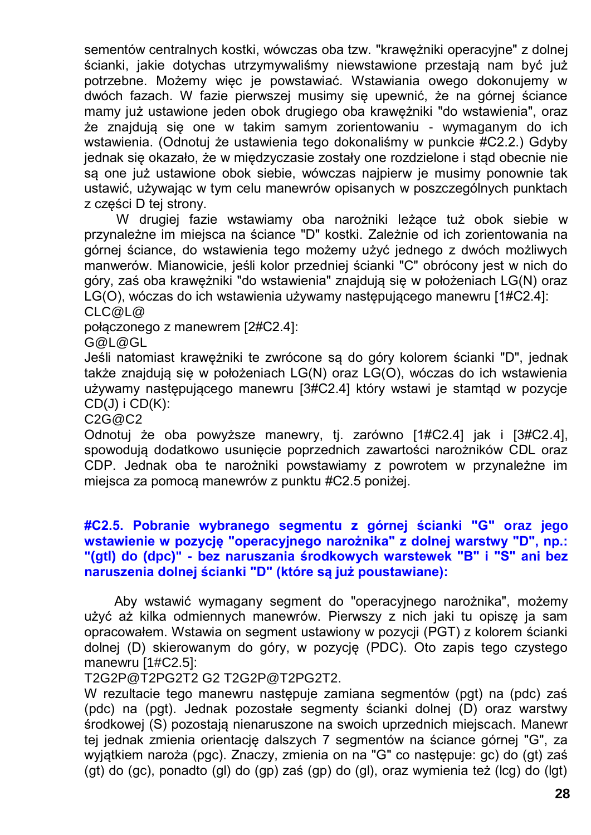sementów centralnych kostki, wówczas oba tzw. "krawężniki operacyjne" z dolnej ścianki, jakie dotychas utrzymywaliśmy niewstawione przestają nam być już potrzebne. Możemy więc je powstawiać. Wstawiania owego dokonujemy w dwóch fazach. W fazie pierwszej musimy się upewnić, że na górnej ściance mamy już ustawione jeden obok drugiego oba krawężniki "do wstawienia", oraz że znajdują się one w takim samym zorientowaniu - wymaganym do ich wstawienia. (Odnotuj że ustawienia tego dokonaliśmy w punkcie #C2.2.) Gdyby jednak się okazało, że w międzyczasie zostały one rozdzielone i stąd obecnie nie są one już ustawione obok siebie, wówczas najpierw je musimy ponownie tak ustawić, używając w tym celu manewrów opisanych w poszczególnych punktach z części D tej strony.

W drugiej fazie wstawiamy oba narożniki leżące tuż obok siebie w przynależne im miejsca na ściance "D" kostki. Zależnie od ich zorientowania na górnej ściance, do wstawienia tego możemy użyć jednego z dwóch możliwych manwerów. Mianowicie, jeśli kolor przedniej ścianki "C" obrócony jest w nich do góry, zaś oba krawężniki "do wstawienia" znajdują się w położeniach LG(N) oraz LG(O), wóczas do ich wstawienia używamy następującego manewru [1#C2.4]: CLC@L@

połączonego z manewrem [2#C2.4]:

G@L@GL

Jeśli natomiast krawężniki te zwrócone są do góry kolorem ścianki "D", jednak także znajdują się w położeniach LG(N) oraz LG(O), wóczas do ich wstawienia używamy następującego manewru [3#C2.4] który wstawi je stamtąd w pozycje  $CD(J)$  i  $CD(K)$ :

C2G@C2

Odnotuj że oba powyższe manewry, tj. zarówno [1#C2.4] jak i [3#C2.4], spowodują dodatkowo usunięcie poprzednich zawartości narożników CDL oraz CDP. Jednak oba te narożniki powstawiamy z powrotem w przynależne im miejsca za pomocą manewrów z punktu #C2.5 poniżej.

#### **#C2.5. Pobranie wybranego segmentu z górnej ścianki "G" oraz jego wstawienie w pozycję "operacyjnego narożnika" z dolnej warstwy "D", np.: "(gtl) do (dpc)" - bez naruszania środkowych warstewek "B" i "S" ani bez naruszenia dolnej ścianki "D" (które są już poustawiane):**

Aby wstawić wymagany segment do "operacyjnego narożnika", możemy użyć aż kilka odmiennych manewrów. Pierwszy z nich jaki tu opiszę ja sam opracowałem. Wstawia on segment ustawiony w pozycji (PGT) z kolorem ścianki dolnej (D) skierowanym do góry, w pozycję (PDC). Oto zapis tego czystego manewru [1#C2.5]:

T2G2P@T2PG2T2 G2 T2G2P@T2PG2T2.

W rezultacie tego manewru następuje zamiana segmentów (pgt) na (pdc) zaś (pdc) na (pgt). Jednak pozostałe segmenty ścianki dolnej (D) oraz warstwy środkowej (S) pozostają nienaruszone na swoich uprzednich miejscach. Manewr tej jednak zmienia orientację dalszych 7 segmentów na ściance górnej "G", za wyjątkiem naroża (pgc). Znaczy, zmienia on na "G" co następuje: gc) do (gt) zaś (gt) do (gc), ponadto (gl) do (gp) zaś (gp) do (gl), oraz wymienia też (lcg) do (lgt)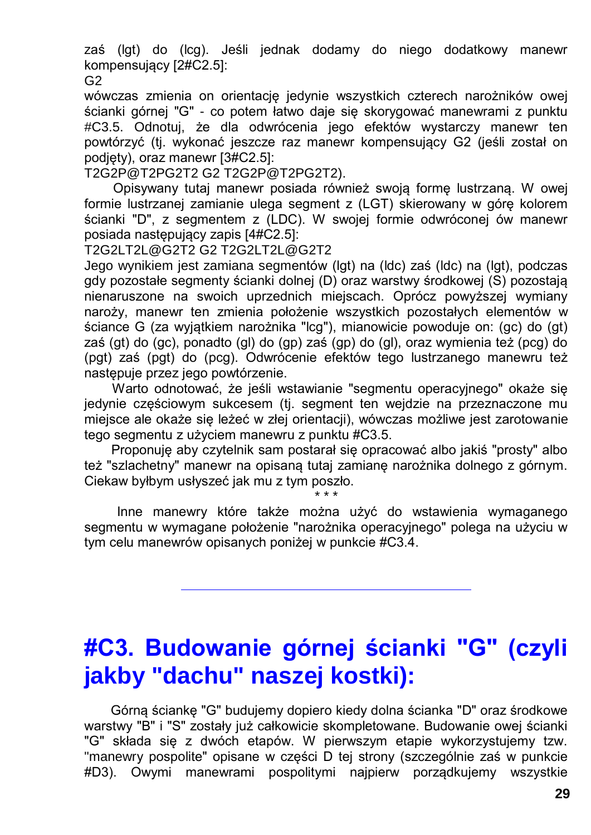zaś (lgt) do (lcg). Jeśli jednak dodamy do niego dodatkowy manewr kompensujący [2#C2.5]:

G2

wówczas zmienia on orientację jedynie wszystkich czterech narożników owej ścianki górnej "G" - co potem łatwo daje się skorygować manewrami z punktu #C3.5. Odnotuj, że dla odwrócenia jego efektów wystarczy manewr ten powtórzyć (tj. wykonać jeszcze raz manewr kompensujący G2 (jeśli został on podjęty), oraz manewr [3#C2.5]:

T2G2P@T2PG2T2 G2 T2G2P@T2PG2T2).

Opisywany tutaj manewr posiada również swoją formę lustrzaną. W owej formie lustrzanej zamianie ulega segment z (LGT) skierowany w górę kolorem ścianki "D", z segmentem z (LDC). W swojej formie odwróconej ów manewr posiada następujący zapis [4#C2.5]:

T2G2LT2L@G2T2 G2 T2G2LT2L@G2T2

Jego wynikiem jest zamiana segmentów (lgt) na (ldc) zaś (ldc) na (lgt), podczas gdy pozostałe segmenty ścianki dolnej (D) oraz warstwy środkowej (S) pozostają nienaruszone na swoich uprzednich miejscach. Oprócz powyższej wymiany naroży, manewr ten zmienia położenie wszystkich pozostałych elementów w ściance G (za wyjątkiem narożnika "lcg"), mianowicie powoduje on: (gc) do (gt) zaś (gt) do (gc), ponadto (gl) do (gp) zaś (gp) do (gl), oraz wymienia też (pcg) do (pgt) zaś (pgt) do (pcg). Odwrócenie efektów tego lustrzanego manewru też następuje przez jego powtórzenie.

Warto odnotować, że jeśli wstawianie "segmentu operacyjnego" okaże się jedynie częściowym sukcesem (tj. segment ten wejdzie na przeznaczone mu miejsce ale okaże się leżeć w złej orientacji), wówczas możliwe jest zarotowanie tego segmentu z użyciem manewru z punktu #C3.5.

Proponuję aby czytelnik sam postarał się opracować albo jakiś "prosty" albo też "szlachetny" manewr na opisaną tutaj zamianę narożnika dolnego z górnym. Ciekaw byłbym usłyszeć jak mu z tym poszło.

\* \* \*

Inne manewry które także można użyć do wstawienia wymaganego segmentu w wymagane położenie "narożnika operacyjnego" polega na użyciu w tym celu manewrów opisanych poniżej w punkcie #C3.4.

# **#C3. Budowanie górnej ścianki "G" (czyli jakby "dachu" naszej kostki):**

Górną ściankę "G" budujemy dopiero kiedy dolna ścianka "D" oraz środkowe warstwy "B" i "S" zostały już całkowicie skompletowane. Budowanie owej ścianki "G" składa się z dwóch etapów. W pierwszym etapie wykorzystujemy tzw. "manewry pospolite" opisane w części D tej strony (szczególnie zaś w punkcie #D3). Owymi manewrami pospolitymi najpierw porządkujemy wszystkie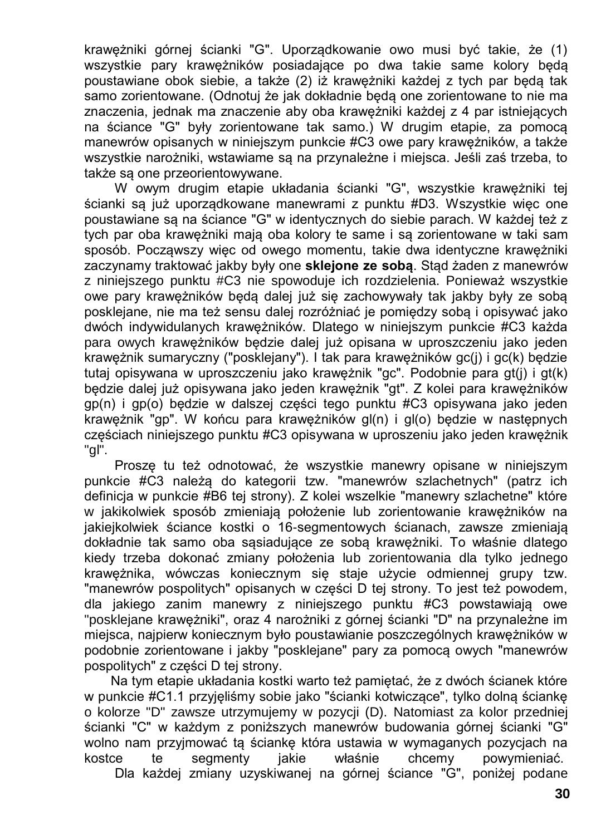krawężniki górnej ścianki "G". Uporządkowanie owo musi być takie, że (1) wszystkie pary krawężników posiadające po dwa takie same kolory będą poustawiane obok siebie, a także (2) iż krawężniki każdej z tych par będą tak samo zorientowane. (Odnotuj że jak dokładnie będą one zorientowane to nie ma znaczenia, jednak ma znaczenie aby oba krawężniki każdej z 4 par istniejących na ściance "G" były zorientowane tak samo.) W drugim etapie, za pomocą manewrów opisanych w niniejszym punkcie #C3 owe pary krawężników, a także wszystkie narożniki, wstawiame są na przynależne i miejsca. Jeśli zaś trzeba, to także są one przeorientowywane.

W owym drugim etapie układania ścianki "G", wszystkie krawężniki tej ścianki są już uporządkowane manewrami z punktu #D3. Wszystkie więc one poustawiane są na ściance "G" w identycznych do siebie parach. W każdej też z tych par oba krawężniki mają oba kolory te same i są zorientowane w taki sam sposób. Począwszy więc od owego momentu, takie dwa identyczne krawężniki zaczynamy traktować jakby były one **sklejone ze sobą**. Stąd żaden z manewrów z niniejszego punktu #C3 nie spowoduje ich rozdzielenia. Ponieważ wszystkie owe pary krawężników będą dalej już się zachowywały tak jakby były ze sobą posklejane, nie ma też sensu dalej rozróżniać je pomiędzy sobą i opisywać jako dwóch indywidulanych krawężników. Dlatego w niniejszym punkcie #C3 każda para owych krawężników będzie dalej już opisana w uproszczeniu jako jeden krawężnik sumaryczny ("posklejany"). I tak para krawężników gc(j) i gc(k) będzie tutaj opisywana w uproszczeniu jako krawężnik "gc". Podobnie para gt(j) i gt(k) będzie dalej już opisywana jako jeden krawężnik "gt". Z kolei para krawężników gp(n) i gp(o) będzie w dalszej części tego punktu #C3 opisywana jako jeden krawężnik "gp". W końcu para krawężników gl(n) i gl(o) będzie w następnych częściach niniejszego punktu #C3 opisywana w uproszeniu jako jeden krawężnik "gl".

Proszę tu też odnotować, że wszystkie manewry opisane w niniejszym punkcie #C3 należą do kategorii tzw. "manewrów szlachetnych" (patrz ich definicja w punkcie #B6 tej strony). Z kolei wszelkie "manewry szlachetne" które w jakikolwiek sposób zmieniają położenie lub zorientowanie krawężników na jakiejkolwiek ściance kostki o 16-segmentowych ścianach, zawsze zmieniają dokładnie tak samo oba sąsiadujące ze sobą krawężniki. To właśnie dlatego kiedy trzeba dokonać zmiany położenia lub zorientowania dla tylko jednego krawężnika, wówczas koniecznym się staje użycie odmiennej grupy tzw. "manewrów pospolitych" opisanych w części D tej strony. To jest też powodem, dla jakiego zanim manewry z niniejszego punktu #C3 powstawiają owe "posklejane krawężniki", oraz 4 narożniki z górnej ścianki "D" na przynależne im miejsca, najpierw koniecznym było poustawianie poszczególnych krawężników w podobnie zorientowane i jakby "posklejane" pary za pomocą owych "manewrów pospolitych" z części D tej strony.

Na tym etapie układania kostki warto też pamiętać, że z dwóch ścianek które w punkcie #C1.1 przyjęliśmy sobie jako "ścianki kotwiczące", tylko dolną ściankę o kolorze "D" zawsze utrzymujemy w pozycji (D). Natomiast za kolor przedniej ścianki "C" w każdym z poniższych manewrów budowania górnej ścianki "G" wolno nam przyjmować tą ściankę która ustawia w wymaganych pozycjach na kostce te segmenty jakie właśnie chcemy powymieniać. Dla każdej zmiany uzyskiwanej na górnej ściance "G", poniżej podane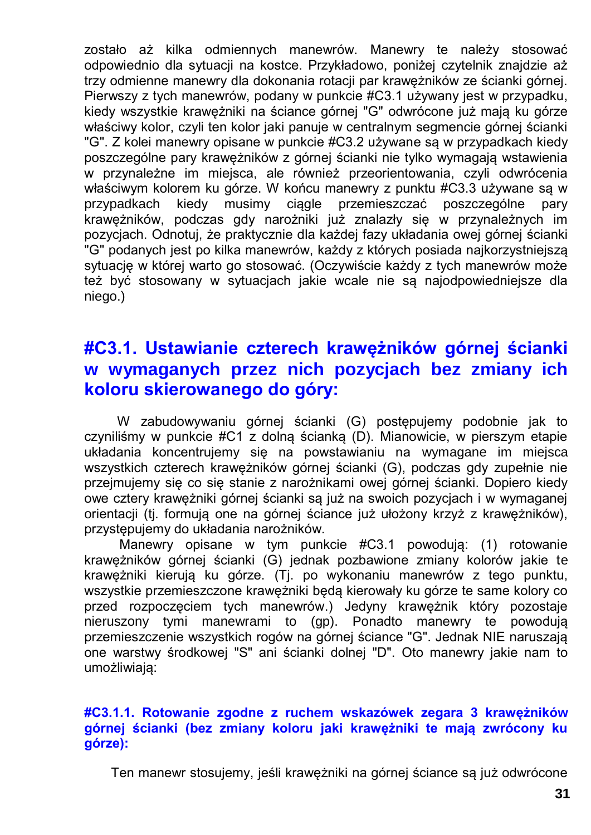zostało aż kilka odmiennych manewrów. Manewry te należy stosować odpowiednio dla sytuacji na kostce. Przykładowo, poniżej czytelnik znajdzie aż trzy odmienne manewry dla dokonania rotacji par krawężników ze ścianki górnej. Pierwszy z tych manewrów, podany w punkcie #C3.1 używany jest w przypadku, kiedy wszystkie krawężniki na ściance górnej "G" odwrócone już mają ku górze właściwy kolor, czyli ten kolor jaki panuje w centralnym segmencie górnej ścianki "G". Z kolei manewry opisane w punkcie #C3.2 używane są w przypadkach kiedy poszczególne pary krawężników z górnej ścianki nie tylko wymagają wstawienia w przynależne im miejsca, ale również przeorientowania, czyli odwrócenia właściwym kolorem ku górze. W końcu manewry z punktu #C3.3 używane są w przypadkach kiedy musimy ciągle przemieszczać poszczególne pary krawężników, podczas gdy narożniki już znalazły się w przynależnych im pozycjach. Odnotuj, że praktycznie dla każdej fazy układania owej górnej ścianki "G" podanych jest po kilka manewrów, każdy z których posiada najkorzystniejszą sytuację w której warto go stosować. (Oczywiście każdy z tych manewrów może też być stosowany w sytuacjach jakie wcale nie są najodpowiedniejsze dla niego.)

### **#C3.1. Ustawianie czterech krawężników górnej ścianki w wymaganych przez nich pozycjach bez zmiany ich koloru skierowanego do góry:**

W zabudowywaniu górnej ścianki (G) postępujemy podobnie jak to czyniliśmy w punkcie #C1 z dolną ścianką (D). Mianowicie, w pierszym etapie układania koncentrujemy się na powstawianiu na wymagane im miejsca wszystkich czterech krawężników górnej ścianki (G), podczas gdy zupełnie nie przejmujemy się co się stanie z narożnikami owej górnej ścianki. Dopiero kiedy owe cztery krawężniki górnej ścianki są już na swoich pozycjach i w wymaganej orientacji (tj. formują one na górnej ściance już ułożony krzyż z krawężników), przystępujemy do układania narożników.

Manewry opisane w tym punkcie #C3.1 powodują: (1) rotowanie krawężników górnej ścianki (G) jednak pozbawione zmiany kolorów jakie te krawężniki kierują ku górze. (Tj. po wykonaniu manewrów z tego punktu, wszystkie przemieszczone krawężniki będą kierowały ku górze te same kolory co przed rozpoczęciem tych manewrów.) Jedyny krawężnik który pozostaje nieruszony tymi manewrami to (gp). Ponadto manewry te powodują przemieszczenie wszystkich rogów na górnej ściance "G". Jednak NIE naruszają one warstwy środkowej "S" ani ścianki dolnej "D". Oto manewry jakie nam to umożliwiają:

#### **#C3.1.1. Rotowanie zgodne z ruchem wskazówek zegara 3 krawężników górnej ścianki (bez zmiany koloru jaki krawężniki te mają zwrócony ku górze):**

Ten manewr stosujemy, jeśli krawężniki na górnej ściance są już odwrócone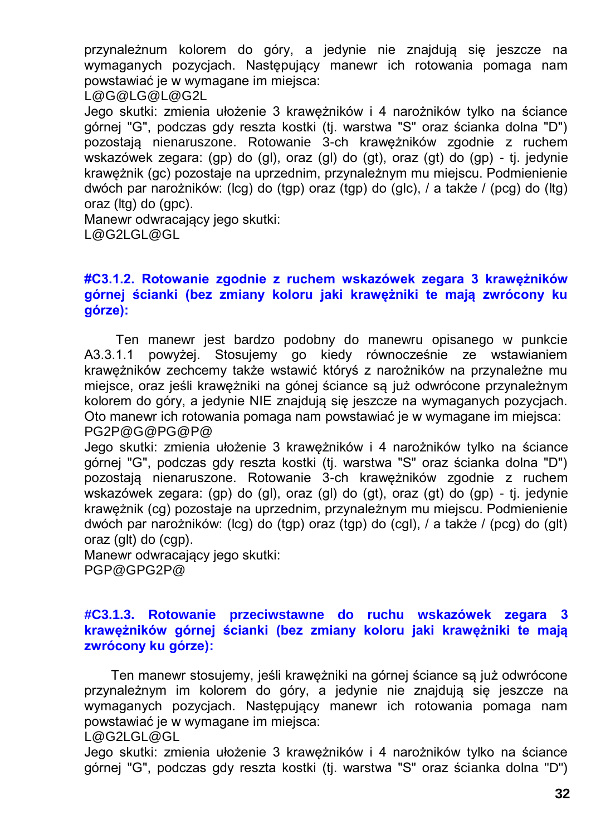przynależnum kolorem do góry, a jedynie nie znajdują się jeszcze na wymaganych pozycjach. Następujący manewr ich rotowania pomaga nam powstawiać je w wymagane im miejsca:

L@G@LG@L@G2L

Jego skutki: zmienia ułożenie 3 krawężników i 4 narożników tylko na ściance górnej "G", podczas gdy reszta kostki (tj. warstwa "S" oraz ścianka dolna "D") pozostają nienaruszone. Rotowanie 3-ch krawężników zgodnie z ruchem wskazówek zegara: (gp) do (gl), oraz (gl) do (gt), oraz (gt) do (gp) - tj. jedynie krawężnik (gc) pozostaje na uprzednim, przynależnym mu miejscu. Podmienienie dwóch par narożników: (lcg) do (tgp) oraz (tgp) do (glc), / a także / (pcg) do (ltg) oraz (ltg) do (gpc).

Manewr odwracający jego skutki: L@G2LGL@GL

#### **#C3.1.2. Rotowanie zgodnie z ruchem wskazówek zegara 3 krawężników górnej ścianki (bez zmiany koloru jaki krawężniki te mają zwrócony ku górze):**

Ten manewr jest bardzo podobny do manewru opisanego w punkcie A3.3.1.1 powyżej. Stosujemy go kiedy równocześnie ze wstawianiem krawężników zechcemy także wstawić któryś z narożników na przynależne mu miejsce, oraz jeśli krawężniki na gónej ściance są już odwrócone przynależnym kolorem do góry, a jedynie NIE znajdują się jeszcze na wymaganych pozycjach. Oto manewr ich rotowania pomaga nam powstawiać je w wymagane im miejsca: PG2P@G@PG@P@

Jego skutki: zmienia ułożenie 3 krawężników i 4 narożników tylko na ściance górnej "G", podczas gdy reszta kostki (tj. warstwa "S" oraz ścianka dolna "D") pozostają nienaruszone. Rotowanie 3-ch krawężników zgodnie z ruchem wskazówek zegara: (gp) do (gl), oraz (gl) do (gt), oraz (gt) do (gp) - tj. jedynie krawężnik (cg) pozostaje na uprzednim, przynależnym mu miejscu. Podmienienie dwóch par narożników: (lcg) do (tgp) oraz (tgp) do (cgl), / a także / (pcg) do (glt) oraz (glt) do (cgp).

Manewr odwracający jego skutki: PGP@GPG2P@

#### **#C3.1.3. Rotowanie przeciwstawne do ruchu wskazówek zegara 3 krawężników górnej ścianki (bez zmiany koloru jaki krawężniki te mają zwrócony ku górze):**

Ten manewr stosujemy, jeśli krawężniki na górnej ściance są już odwrócone przynależnym im kolorem do góry, a jedynie nie znajdują się jeszcze na wymaganych pozycjach. Następujący manewr ich rotowania pomaga nam powstawiać je w wymagane im miejsca:

L@G2LGL@GL

Jego skutki: zmienia ułożenie 3 krawężników i 4 narożników tylko na ściance górnej "G", podczas gdy reszta kostki (tj. warstwa "S" oraz ścianka dolna "D")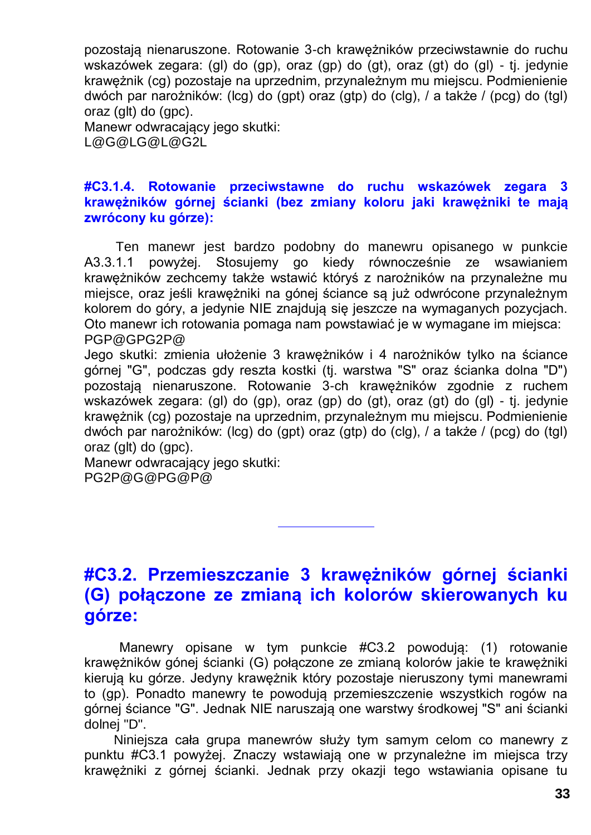pozostają nienaruszone. Rotowanie 3-ch krawężników przeciwstawnie do ruchu wskazówek zegara: (gl) do (gp), oraz (gp) do (gt), oraz (gt) do (gl) - tj. jedynie krawężnik (cg) pozostaje na uprzednim, przynależnym mu miejscu. Podmienienie dwóch par narożników: (lcg) do (gpt) oraz (gtp) do (clg), / a także / (pcg) do (tgl) oraz (glt) do (gpc).

Manewr odwracający jego skutki: L@G@LG@L@G2L

#### **#C3.1.4. Rotowanie przeciwstawne do ruchu wskazówek zegara 3 krawężników górnej ścianki (bez zmiany koloru jaki krawężniki te mają zwrócony ku górze):**

Ten manewr jest bardzo podobny do manewru opisanego w punkcie A3.3.1.1 powyżej. Stosujemy go kiedy równocześnie ze wsawianiem krawężników zechcemy także wstawić któryś z narożników na przynależne mu miejsce, oraz jeśli krawężniki na gónej ściance są już odwrócone przynależnym kolorem do góry, a jedynie NIE znajdują się jeszcze na wymaganych pozycjach. Oto manewr ich rotowania pomaga nam powstawiać je w wymagane im miejsca: PGP@GPG2P@

Jego skutki: zmienia ułożenie 3 krawężników i 4 narożników tylko na ściance górnej "G", podczas gdy reszta kostki (tj. warstwa "S" oraz ścianka dolna "D") pozostają nienaruszone. Rotowanie 3-ch krawężników zgodnie z ruchem wskazówek zegara: (gl) do (gp), oraz (gp) do (gt), oraz (gt) do (gl) - tj. jedynie krawężnik (cg) pozostaje na uprzednim, przynależnym mu miejscu. Podmienienie dwóch par narożników: (lcg) do (gpt) oraz (gtp) do (clg), / a także / (pcg) do (tgl) oraz (glt) do (gpc).

Manewr odwracający jego skutki: PG2P@G@PG@P@

### **#C3.2. Przemieszczanie 3 krawężników górnej ścianki (G) połączone ze zmianą ich kolorów skierowanych ku górze:**

Manewry opisane w tym punkcie #C3.2 powodują: (1) rotowanie krawężników gónej ścianki (G) połączone ze zmianą kolorów jakie te krawężniki kierują ku górze. Jedyny krawężnik który pozostaje nieruszony tymi manewrami to (gp). Ponadto manewry te powodują przemieszczenie wszystkich rogów na górnej ściance "G". Jednak NIE naruszają one warstwy środkowej "S" ani ścianki dolnej "D".

Niniejsza cała grupa manewrów służy tym samym celom co manewry z punktu #C3.1 powyżej. Znaczy wstawiają one w przynależne im miejsca trzy krawężniki z górnej ścianki. Jednak przy okazji tego wstawiania opisane tu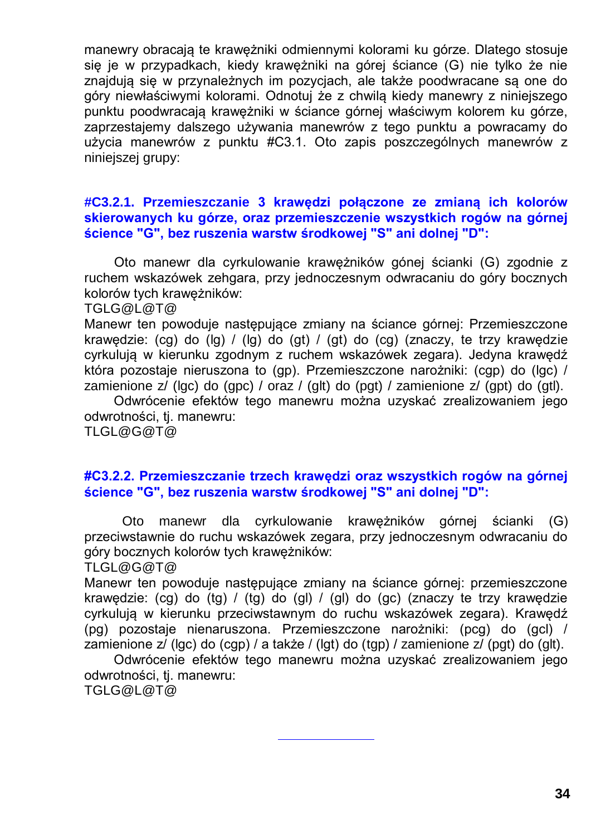manewry obracają te krawężniki odmiennymi kolorami ku górze. Dlatego stosuje się je w przypadkach, kiedy krawężniki na górej ściance (G) nie tylko że nie znajdują się w przynależnych im pozycjach, ale także poodwracane są one do góry niewłaściwymi kolorami. Odnotuj że z chwilą kiedy manewry z niniejszego punktu poodwracają krawężniki w ściance górnej właściwym kolorem ku górze, zaprzestajemy dalszego używania manewrów z tego punktu a powracamy do użycia manewrów z punktu #C3.1. Oto zapis poszczególnych manewrów z niniejszej grupy:

#### **#C3.2.1. Przemieszczanie 3 krawędzi połączone ze zmianą ich kolorów skierowanych ku górze, oraz przemieszczenie wszystkich rogów na górnej ścience "G", bez ruszenia warstw środkowej "S" ani dolnej "D":**

Oto manewr dla cyrkulowanie krawężników gónej ścianki (G) zgodnie z ruchem wskazówek zehgara, przy jednoczesnym odwracaniu do góry bocznych kolorów tych krawężników:

TGLG@L@T@

Manewr ten powoduje następujące zmiany na ściance górnej: Przemieszczone krawędzie: (cg) do (lg) / (lg) do (gt) / (gt) do (cg) (znaczy, te trzy krawędzie cyrkulują w kierunku zgodnym z ruchem wskazówek zegara). Jedyna krawędź która pozostaje nieruszona to (gp). Przemieszczone narożniki: (cgp) do (lgc) / zamienione z/ (lgc) do (gpc) / oraz / (glt) do (pgt) / zamienione z/ (gpt) do (gtl).

Odwrócenie efektów tego manewru można uzyskać zrealizowaniem jego odwrotności, tj. manewru: TLGL@G@T@

#### **#C3.2.2. Przemieszczanie trzech krawędzi oraz wszystkich rogów na górnej ścience "G", bez ruszenia warstw środkowej "S" ani dolnej "D":**

Oto manewr dla cyrkulowanie krawężników górnej ścianki (G) przeciwstawnie do ruchu wskazówek zegara, przy jednoczesnym odwracaniu do góry bocznych kolorów tych krawężników:

TLGL@G@T@

Manewr ten powoduje następujące zmiany na ściance górnej: przemieszczone krawędzie: (cg) do (tg) / (tg) do (gl) / (gl) do (gc) (znaczy te trzy krawędzie cyrkulują w kierunku przeciwstawnym do ruchu wskazówek zegara). Krawędź (pg) pozostaje nienaruszona. Przemieszczone narożniki: (pcg) do (gcl) / zamienione z/ (lgc) do (cgp) / a także / (lgt) do (tgp) / zamienione z/ (pgt) do (glt).

Odwrócenie efektów tego manewru można uzyskać zrealizowaniem jego odwrotności, tj. manewru:

TGLG@L@T@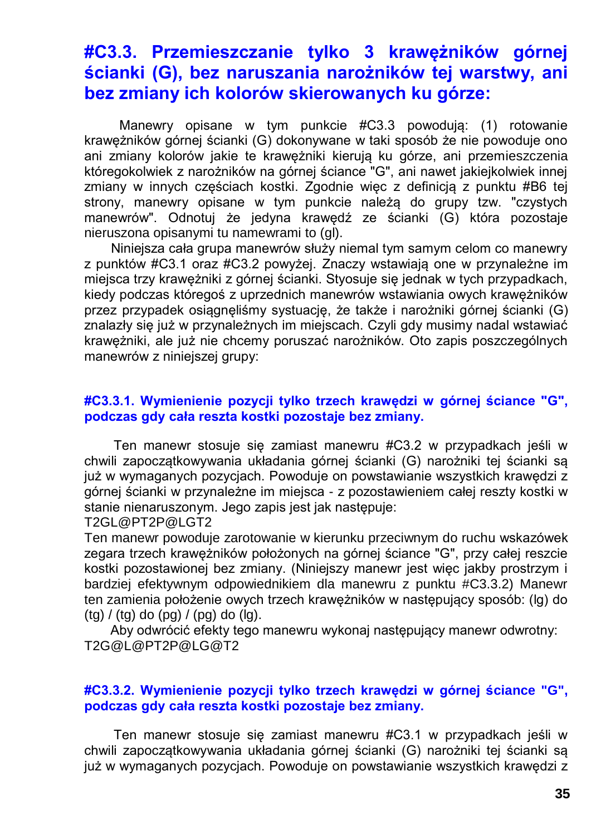### **#C3.3. Przemieszczanie tylko 3 krawężników górnej ścianki (G), bez naruszania narożników tej warstwy, ani bez zmiany ich kolorów skierowanych ku górze:**

Manewry opisane w tym punkcie #C3.3 powodują: (1) rotowanie krawężników górnej ścianki (G) dokonywane w taki sposób że nie powoduje ono ani zmiany kolorów jakie te krawężniki kierują ku górze, ani przemieszczenia któregokolwiek z narożników na górnej ściance "G", ani nawet jakiejkolwiek innej zmiany w innych częściach kostki. Zgodnie więc z definicją z punktu #B6 tej strony, manewry opisane w tym punkcie należą do grupy tzw. "czystych manewrów". Odnotuj że jedyna krawędź ze ścianki (G) która pozostaje nieruszona opisanymi tu namewrami to (gl).

Niniejsza cała grupa manewrów służy niemal tym samym celom co manewry z punktów #C3.1 oraz #C3.2 powyżej. Znaczy wstawiają one w przynależne im miejsca trzy krawężniki z górnej ścianki. Styosuje się jednak w tych przypadkach, kiedy podczas któregoś z uprzednich manewrów wstawiania owych krawężników przez przypadek osiągnęliśmy systuację, że także i narożniki górnej ścianki (G) znalazły się już w przynależnych im miejscach. Czyli gdy musimy nadal wstawiać krawężniki, ale już nie chcemy poruszać narożników. Oto zapis poszczególnych manewrów z niniejszej grupy:

#### **#C3.3.1. Wymienienie pozycji tylko trzech krawędzi w górnej ściance "G", podczas gdy cała reszta kostki pozostaje bez zmiany.**

Ten manewr stosuje się zamiast manewru #C3.2 w przypadkach jeśli w chwili zapoczątkowywania układania górnej ścianki (G) narożniki tej ścianki są już w wymaganych pozycjach. Powoduje on powstawianie wszystkich krawędzi z górnej ścianki w przynależne im miejsca - z pozostawieniem całej reszty kostki w stanie nienaruszonym. Jego zapis jest jak następuje:

#### T2GL@PT2P@LGT2

Ten manewr powoduje zarotowanie w kierunku przeciwnym do ruchu wskazówek zegara trzech krawężników położonych na górnej ściance "G", przy całej reszcie kostki pozostawionej bez zmiany. (Niniejszy manewr jest więc jakby prostrzym i bardziej efektywnym odpowiednikiem dla manewru z punktu #C3.3.2) Manewr ten zamienia położenie owych trzech krawężników w następujący sposób: (lg) do  $(tq) / (tq)$  do  $(pq) / (pq)$  do  $(lq)$ .

Aby odwrócić efekty tego manewru wykonaj następujący manewr odwrotny: T2G@L@PT2P@LG@T2

#### **#C3.3.2. Wymienienie pozycji tylko trzech krawędzi w górnej ściance "G", podczas gdy cała reszta kostki pozostaje bez zmiany.**

Ten manewr stosuje się zamiast manewru #C3.1 w przypadkach jeśli w chwili zapoczątkowywania układania górnej ścianki (G) narożniki tej ścianki są już w wymaganych pozycjach. Powoduje on powstawianie wszystkich krawędzi z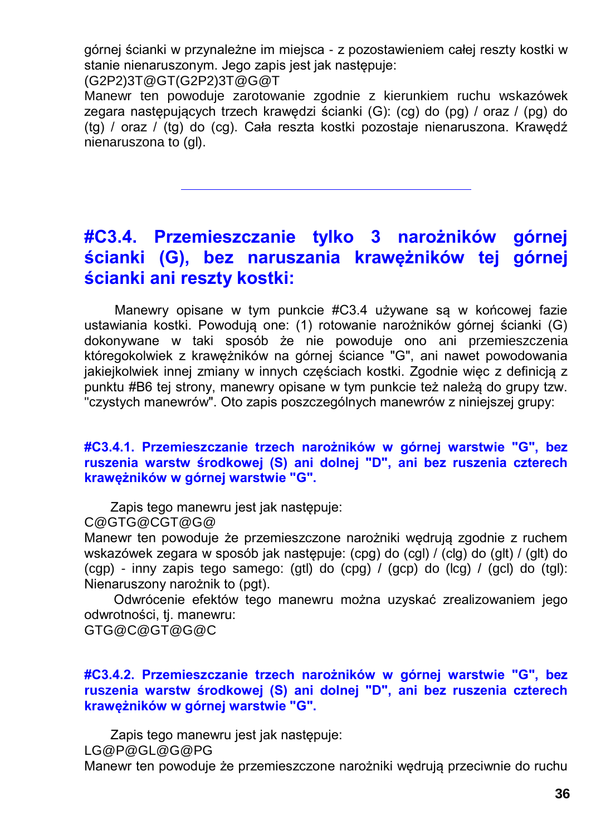górnej ścianki w przynależne im miejsca - z pozostawieniem całej reszty kostki w stanie nienaruszonym. Jego zapis jest jak następuje:

(G2P2)3T@GT(G2P2)3T@G@T

Manewr ten powoduje zarotowanie zgodnie z kierunkiem ruchu wskazówek zegara następujących trzech krawędzi ścianki (G): (cg) do (pg) / oraz / (pg) do (tg) / oraz / (tg) do (cg). Cała reszta kostki pozostaje nienaruszona. Krawędź nienaruszona to (gl).

### **#C3.4. Przemieszczanie tylko 3 narożników górnej ścianki (G), bez naruszania krawężników tej górnej ścianki ani reszty kostki:**

Manewry opisane w tym punkcie #C3.4 używane są w końcowej fazie ustawiania kostki. Powodują one: (1) rotowanie narożników górnej ścianki (G) dokonywane w taki sposób że nie powoduje ono ani przemieszczenia któregokolwiek z krawężników na górnej ściance "G", ani nawet powodowania jakiejkolwiek innej zmiany w innych częściach kostki. Zgodnie więc z definicją z punktu #B6 tej strony, manewry opisane w tym punkcie też należą do grupy tzw. "czystych manewrów". Oto zapis poszczególnych manewrów z niniejszej grupy:

#### **#C3.4.1. Przemieszczanie trzech narożników w górnej warstwie "G", bez ruszenia warstw środkowej (S) ani dolnej "D", ani bez ruszenia czterech krawężników w górnej warstwie "G".**

Zapis tego manewru jest jak następuje:

C@GTG@CGT@G@

Manewr ten powoduje że przemieszczone narożniki wędrują zgodnie z ruchem wskazówek zegara w sposób jak następuje: (cpg) do (cgl) / (clg) do (glt) / (glt) do (cgp) - inny zapis tego samego: (gtl) do (cpg) / (gcp) do (lcg) / (gcl) do (tgl): Nienaruszony narożnik to (pgt).

Odwrócenie efektów tego manewru można uzyskać zrealizowaniem jego odwrotności, tj. manewru:

GTG@C@GT@G@C

#### **#C3.4.2. Przemieszczanie trzech narożników w górnej warstwie "G", bez ruszenia warstw środkowej (S) ani dolnej "D", ani bez ruszenia czterech krawężników w górnej warstwie "G".**

Zapis tego manewru jest jak następuje:

LG@P@GL@G@PG

Manewr ten powoduje że przemieszczone narożniki wędrują przeciwnie do ruchu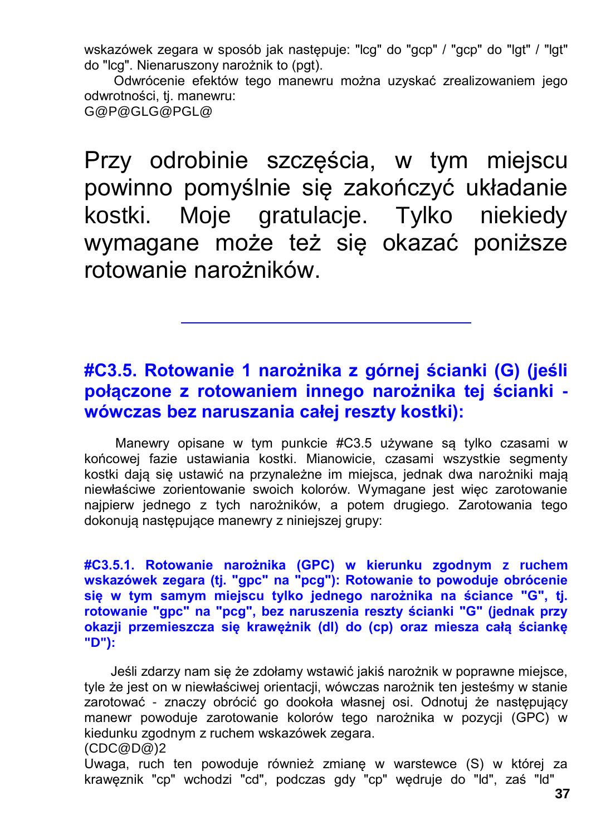wskazówek zegara w sposób jak następuje: "lcg" do "gcp" / "gcp" do "lgt" / "lgt" do "lcg". Nienaruszony narożnik to (pgt).

Odwrócenie efektów tego manewru można uzyskać zrealizowaniem jego odwrotności, tj. manewru:

G@P@GLG@PGL@

Przy odrobinie szczęścia, w tym miejscu powinno pomyślnie się zakończyć układanie kostki. Moje gratulacje. Tylko niekiedy wymagane może też się okazać poniższe rotowanie narożników.

### **#C3.5. Rotowanie 1 narożnika z górnej ścianki (G) (jeśli połączone z rotowaniem innego narożnika tej ścianki wówczas bez naruszania całej reszty kostki):**

Manewry opisane w tym punkcie #C3.5 używane są tylko czasami w końcowej fazie ustawiania kostki. Mianowicie, czasami wszystkie segmenty kostki dają się ustawić na przynależne im miejsca, jednak dwa narożniki mają niewłaściwe zorientowanie swoich kolorów. Wymagane jest więc zarotowanie najpierw jednego z tych narożników, a potem drugiego. Zarotowania tego dokonują następujące manewry z niniejszej grupy:

**#C3.5.1. Rotowanie narożnika (GPC) w kierunku zgodnym z ruchem wskazówek zegara (tj. "gpc" na "pcg"): Rotowanie to powoduje obrócenie się w tym samym miejscu tylko jednego narożnika na ściance "G", tj. rotowanie "gpc" na "pcg", bez naruszenia reszty ścianki "G" (jednak przy okazji przemieszcza się krawężnik (dl) do (cp) oraz miesza całą ściankę "D"):**

Jeśli zdarzy nam się że zdołamy wstawić jakiś narożnik w poprawne miejsce, tyle że jest on w niewłaściwej orientacji, wówczas narożnik ten jesteśmy w stanie zarotować - znaczy obrócić go dookoła własnej osi. Odnotuj że następujący manewr powoduje zarotowanie kolorów tego narożnika w pozycji (GPC) w kiedunku zgodnym z ruchem wskazówek zegara.

(CDC@D@)2

Uwaga, ruch ten powoduje również zmianę w warstewce (S) w której za krawęznik "cp" wchodzi "cd", podczas gdy "cp" wędruje do "ld", zaś "ld"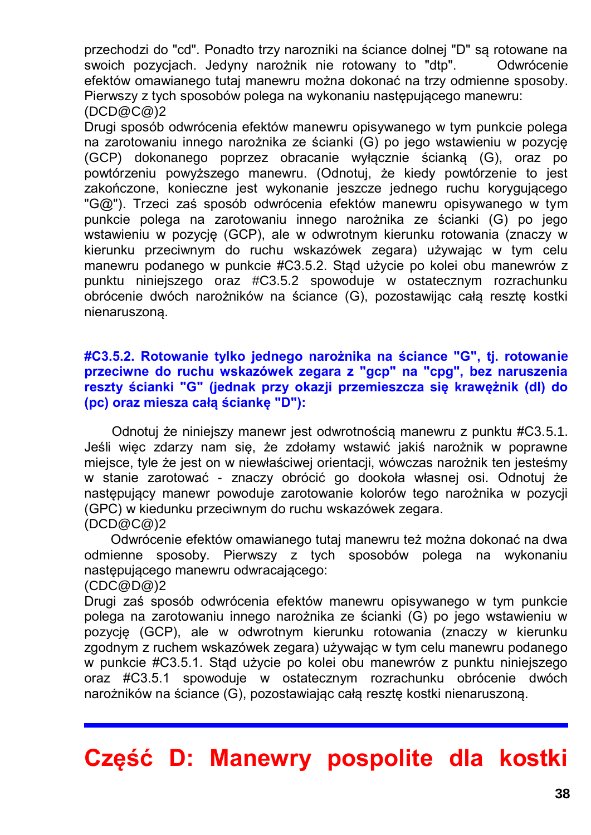przechodzi do "cd". Ponadto trzy narozniki na ściance dolnej "D" są rotowane na swoich pozycjach. Jedyny narożnik nie rotowany to "dtp". Odwrócenie efektów omawianego tutaj manewru można dokonać na trzy odmienne sposoby. Pierwszy z tych sposobów polega na wykonaniu następującego manewru: (DCD@C@)2

Drugi sposób odwrócenia efektów manewru opisywanego w tym punkcie polega na zarotowaniu innego narożnika ze ścianki (G) po jego wstawieniu w pozycję (GCP) dokonanego poprzez obracanie wyłącznie ścianką (G), oraz po powtórzeniu powyższego manewru. (Odnotuj, że kiedy powtórzenie to jest zakończone, konieczne jest wykonanie jeszcze jednego ruchu korygującego "G@"). Trzeci zaś sposób odwrócenia efektów manewru opisywanego w tym punkcie polega na zarotowaniu innego narożnika ze ścianki (G) po jego wstawieniu w pozycję (GCP), ale w odwrotnym kierunku rotowania (znaczy w kierunku przeciwnym do ruchu wskazówek zegara) używając w tym celu manewru podanego w punkcie #C3.5.2. Stąd użycie po kolei obu manewrów z punktu niniejszego oraz #C3.5.2 spowoduje w ostatecznym rozrachunku obrócenie dwóch narożników na ściance (G), pozostawijąc całą resztę kostki nienaruszoną.

#### **#C3.5.2. Rotowanie tylko jednego narożnika na ściance "G", tj. rotowanie przeciwne do ruchu wskazówek zegara z "gcp" na "cpg", bez naruszenia reszty ścianki "G" (jednak przy okazji przemieszcza się krawężnik (dl) do (pc) oraz miesza całą ściankę "D"):**

Odnotuj że niniejszy manewr jest odwrotnością manewru z punktu #C3.5.1. Jeśli więc zdarzy nam się, że zdołamy wstawić jakiś narożnik w poprawne miejsce, tyle że jest on w niewłaściwej orientacji, wówczas narożnik ten jesteśmy w stanie zarotować - znaczy obrócić go dookoła własnej osi. Odnotuj że następujący manewr powoduje zarotowanie kolorów tego narożnika w pozycji (GPC) w kiedunku przeciwnym do ruchu wskazówek zegara. (DCD@C@)2

Odwrócenie efektów omawianego tutaj manewru też można dokonać na dwa odmienne sposoby. Pierwszy z tych sposobów polega na wykonaniu nastepującego manewru odwracającego:

(CDC@D@)2

Drugi zaś sposób odwrócenia efektów manewru opisywanego w tym punkcie polega na zarotowaniu innego narożnika ze ścianki (G) po jego wstawieniu w pozycję (GCP), ale w odwrotnym kierunku rotowania (znaczy w kierunku zgodnym z ruchem wskazówek zegara) używając w tym celu manewru podanego w punkcie #C3.5.1. Stąd użycie po kolei obu manewrów z punktu niniejszego oraz #C3.5.1 spowoduje w ostatecznym rozrachunku obrócenie dwóch narożników na ściance (G), pozostawiając całą resztę kostki nienaruszoną.

**Część D: Manewry pospolite dla kostki**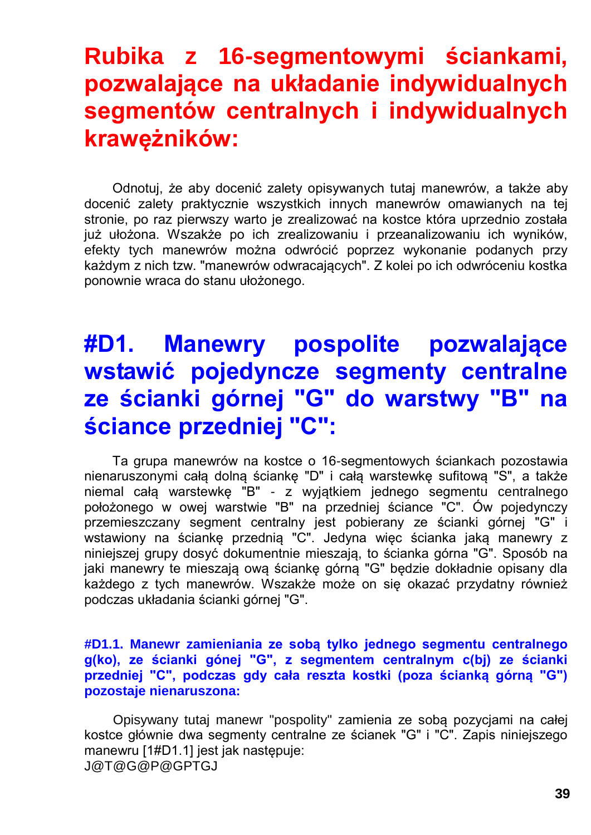## **Rubika z 16-segmentowymi ściankami, pozwalające na układanie indywidualnych segmentów centralnych i indywidualnych krawężników:**

Odnotuj, że aby docenić zalety opisywanych tutaj manewrów, a także aby docenić zalety praktycznie wszystkich innych manewrów omawianych na tej stronie, po raz pierwszy warto je zrealizować na kostce która uprzednio została już ułożona. Wszakże po ich zrealizowaniu i przeanalizowaniu ich wyników, efekty tych manewrów można odwrócić poprzez wykonanie podanych przy każdym z nich tzw. "manewrów odwracających". Z kolei po ich odwróceniu kostka ponownie wraca do stanu ułożonego.

## **#D1. Manewry pospolite pozwalające wstawić pojedyncze segmenty centralne ze ścianki górnej "G" do warstwy "B" na ściance przedniej "C":**

Ta grupa manewrów na kostce o 16-segmentowych ściankach pozostawia nienaruszonymi całą dolną ściankę "D" i całą warstewkę sufitową "S", a także niemal całą warstewkę "B" - z wyjątkiem jednego segmentu centralnego położonego w owej warstwie "B" na przedniej ściance "C". Ów pojedynczy przemieszczany segment centralny jest pobierany ze ścianki górnej "G" i wstawiony na ściankę przednią "C". Jedyna więc ścianka jaką manewry z niniejszej grupy dosyć dokumentnie mieszają, to ścianka górna "G". Sposób na jaki manewry te mieszają ową ściankę górną "G" będzie dokładnie opisany dla każdego z tych manewrów. Wszakże może on się okazać przydatny również podczas układania ścianki górnej "G".

#### **#D1.1. Manewr zamieniania ze sobą tylko jednego segmentu centralnego g(ko), ze ścianki gónej "G", z segmentem centralnym c(bj) ze ścianki przedniej "C", podczas gdy cała reszta kostki (poza ścianką górną "G") pozostaje nienaruszona:**

Opisywany tutaj manewr "pospolity" zamienia ze sobą pozycjami na całej kostce głównie dwa segmenty centralne ze ścianek "G" i "C". Zapis niniejszego manewru [1#D1.1] jest jak następuje: J@T@G@P@GPTGJ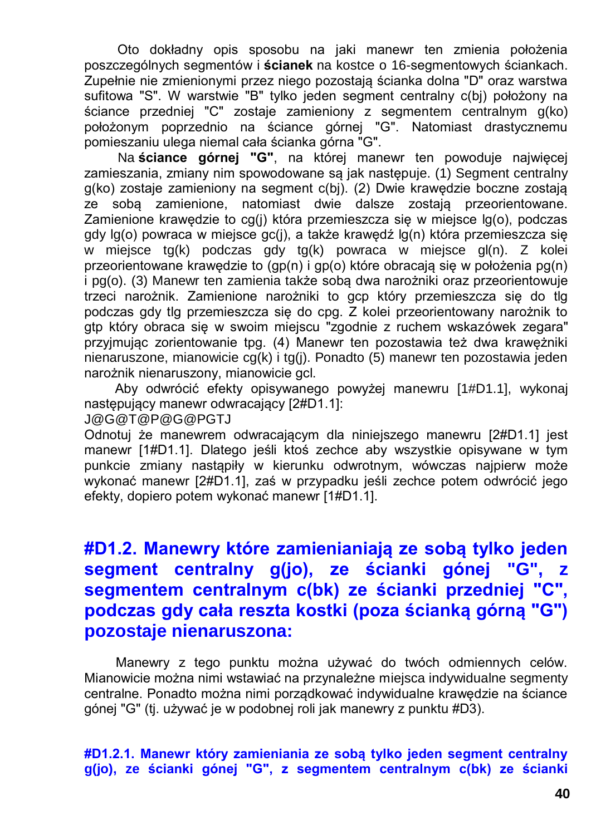Oto dokładny opis sposobu na jaki manewr ten zmienia położenia poszczególnych segmentów i **ścianek** na kostce o 16-segmentowych ściankach. Zupełnie nie zmienionymi przez niego pozostają ścianka dolna "D" oraz warstwa sufitowa "S". W warstwie "B" tylko jeden segment centralny c(bj) położony na ściance przedniej "C" zostaje zamieniony z segmentem centralnym g(ko) położonym poprzednio na ściance górnej "G". Natomiast drastycznemu pomieszaniu ulega niemal cała ścianka górna "G".

Na **ściance górnej "G"**, na której manewr ten powoduje najwięcej zamieszania, zmiany nim spowodowane są jak następuje. (1) Segment centralny g(ko) zostaje zamieniony na segment c(bj). (2) Dwie krawędzie boczne zostają ze sobą zamienione, natomiast dwie dalsze zostają przeorientowane. Zamienione krawędzie to cg(j) która przemieszcza się w miejsce lg(o), podczas gdy lg(o) powraca w miejsce gc(j), a także krawędź lg(n) która przemieszcza się w miejsce tg(k) podczas gdy tg(k) powraca w miejsce gl(n). Z kolei przeorientowane krawędzie to (gp(n) i gp(o) które obracają się w położenia pg(n) i pg(o). (3) Manewr ten zamienia także sobą dwa narożniki oraz przeorientowuje trzeci narożnik. Zamienione narożniki to gcp który przemieszcza się do tlg podczas gdy tlg przemieszcza się do cpg. Z kolei przeorientowany narożnik to gtp który obraca się w swoim miejscu "zgodnie z ruchem wskazówek zegara" przyjmując zorientowanie tpg. (4) Manewr ten pozostawia też dwa krawężniki nienaruszone, mianowicie cg(k) i tg(j). Ponadto (5) manewr ten pozostawia jeden narożnik nienaruszony, mianowicie gcl.

Aby odwrócić efekty opisywanego powyżej manewru [1#D1.1], wykonaj następujący manewr odwracający [2#D1.1]:

J@G@T@P@G@PGTJ

Odnotuj że manewrem odwracającym dla niniejszego manewru [2#D1.1] jest manewr [1#D1.1]. Dlatego jeśli ktoś zechce aby wszystkie opisywane w tym punkcie zmiany nastąpiły w kierunku odwrotnym, wówczas najpierw może wykonać manewr [2#D1.1], zaś w przypadku jeśli zechce potem odwrócić jego efekty, dopiero potem wykonać manewr [1#D1.1].

### **#D1.2. Manewry które zamienianiają ze sobą tylko jeden segment centralny g(jo), ze ścianki gónej "G", z segmentem centralnym c(bk) ze ścianki przedniej "C", podczas gdy cała reszta kostki (poza ścianką górną "G") pozostaje nienaruszona:**

Manewry z tego punktu można używać do twóch odmiennych celów. Mianowicie można nimi wstawiać na przynależne miejsca indywidualne segmenty centralne. Ponadto można nimi porządkować indywidualne krawędzie na ściance gónej "G" (tj. używać je w podobnej roli jak manewry z punktu #D3).

**#D1.2.1. Manewr który zamieniania ze sobą tylko jeden segment centralny g(jo), ze ścianki gónej "G", z segmentem centralnym c(bk) ze ścianki**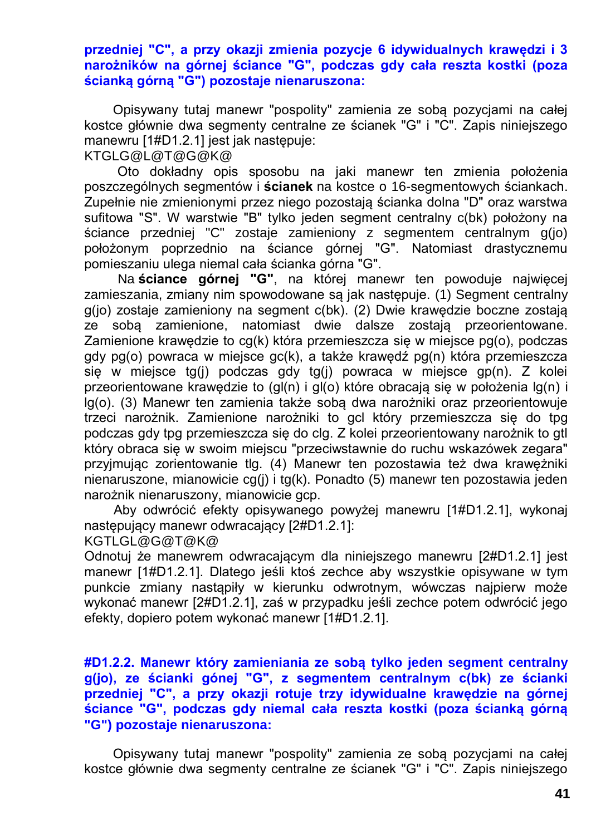#### **przedniej "C", a przy okazji zmienia pozycje 6 idywidualnych krawędzi i 3 narożników na górnej ściance "G", podczas gdy cała reszta kostki (poza ścianką górną "G") pozostaje nienaruszona:**

Opisywany tutaj manewr "pospolity" zamienia ze sobą pozycjami na całej kostce głównie dwa segmenty centralne ze ścianek "G" i "C". Zapis niniejszego manewru [1#D1.2.1] jest jak następuje:

KTGLG@L@T@G@K@

Oto dokładny opis sposobu na jaki manewr ten zmienia położenia poszczególnych segmentów i **ścianek** na kostce o 16-segmentowych ściankach. Zupełnie nie zmienionymi przez niego pozostają ścianka dolna "D" oraz warstwa sufitowa "S". W warstwie "B" tylko jeden segment centralny c(bk) położony na ściance przedniej "C" zostaje zamieniony z segmentem centralnym g(jo) położonym poprzednio na ściance górnej "G". Natomiast drastycznemu pomieszaniu ulega niemal cała ścianka górna "G".

Na **ściance górnej "G"**, na której manewr ten powoduje najwięcej zamieszania, zmiany nim spowodowane są jak następuje. (1) Segment centralny g(jo) zostaje zamieniony na segment c(bk). (2) Dwie krawędzie boczne zostają ze sobą zamienione, natomiast dwie dalsze zostają przeorientowane. Zamienione krawędzie to cg(k) która przemieszcza się w miejsce pg(o), podczas gdy pg(o) powraca w miejsce gc(k), a także krawędź pg(n) która przemieszcza się w miejsce tg(j) podczas gdy tg(j) powraca w miejsce gp(n). Z kolei przeorientowane krawędzie to (gl(n) i gl(o) które obracają się w położenia lg(n) i lg(o). (3) Manewr ten zamienia także sobą dwa narożniki oraz przeorientowuje trzeci narożnik. Zamienione narożniki to gcl który przemieszcza się do tpg podczas gdy tpg przemieszcza się do clg. Z kolei przeorientowany narożnik to gtl który obraca się w swoim miejscu "przeciwstawnie do ruchu wskazówek zegara" przyjmując zorientowanie tlg. (4) Manewr ten pozostawia też dwa krawężniki nienaruszone, mianowicie cg(j) i tg(k). Ponadto (5) manewr ten pozostawia jeden narożnik nienaruszony, mianowicie gcp.

Aby odwrócić efekty opisywanego powyżej manewru [1#D1.2.1], wykonaj następujący manewr odwracający [2#D1.2.1]:

KGTLGL@G@T@K@

Odnotuj że manewrem odwracającym dla niniejszego manewru [2#D1.2.1] jest manewr [1#D1.2.1]. Dlatego jeśli ktoś zechce aby wszystkie opisywane w tym punkcie zmiany nastąpiły w kierunku odwrotnym, wówczas najpierw może wykonać manewr [2#D1.2.1], zaś w przypadku jeśli zechce potem odwrócić jego efekty, dopiero potem wykonać manewr [1#D1.2.1].

**#D1.2.2. Manewr który zamieniania ze sobą tylko jeden segment centralny g(jo), ze ścianki gónej "G", z segmentem centralnym c(bk) ze ścianki przedniej "C", a przy okazji rotuje trzy idywidualne krawędzie na górnej ściance "G", podczas gdy niemal cała reszta kostki (poza ścianką górną "G") pozostaje nienaruszona:**

Opisywany tutaj manewr "pospolity" zamienia ze sobą pozycjami na całej kostce głównie dwa segmenty centralne ze ścianek "G" i "C". Zapis niniejszego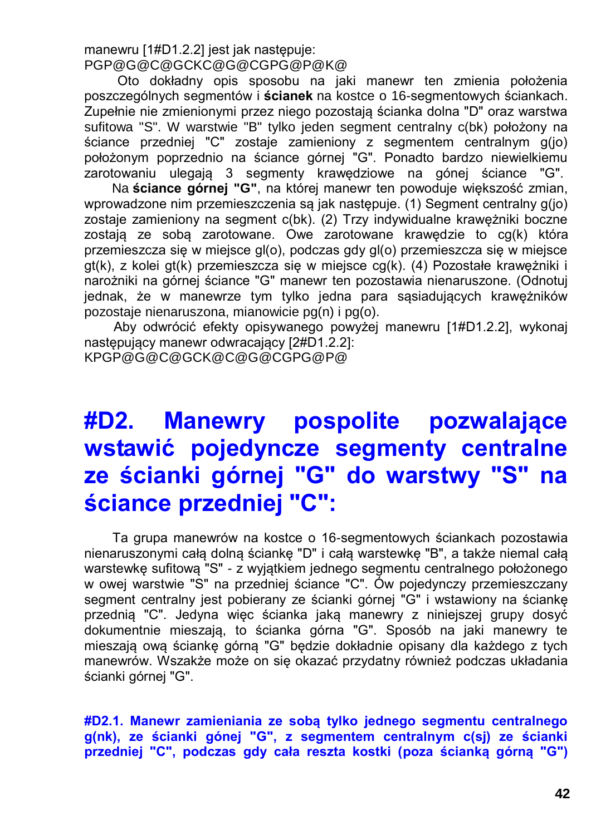manewru [1#D1.2.2] jest jak następuje: PGP@G@C@GCKC@G@CGPG@P@K@

Oto dokładny opis sposobu na jaki manewr ten zmienia położenia poszczególnych segmentów i **ścianek** na kostce o 16-segmentowych ściankach. Zupełnie nie zmienionymi przez niego pozostają ścianka dolna "D" oraz warstwa sufitowa "S". W warstwie "B" tylko jeden segment centralny c(bk) położony na ściance przedniej "C" zostaje zamieniony z segmentem centralnym g(jo) położonym poprzednio na ściance górnej "G". Ponadto bardzo niewielkiemu zarotowaniu ulegają 3 segmenty krawędziowe na gónej ściance "G".

Na **ściance górnej "G"**, na której manewr ten powoduje większość zmian, wprowadzone nim przemieszczenia są jak następuje. (1) Segment centralny g(jo) zostaje zamieniony na segment c(bk). (2) Trzy indywidualne krawężniki boczne zostają ze sobą zarotowane. Owe zarotowane krawędzie to cg(k) która przemieszcza się w miejsce gl(o), podczas gdy gl(o) przemieszcza się w miejsce gt(k), z kolei gt(k) przemieszcza się w miejsce cg(k). (4) Pozostałe krawężniki i narożniki na górnej ściance "G" manewr ten pozostawia nienaruszone. (Odnotuj jednak, że w manewrze tym tylko jedna para sąsiadujących krawężników pozostaje nienaruszona, mianowicie pg(n) i pg(o).

Aby odwrócić efekty opisywanego powyżej manewru [1#D1.2.2], wykonaj następujący manewr odwracający [2#D1.2.2]: KPGP@G@C@GCK@C@G@CGPG@P@

## **#D2. Manewry pospolite pozwalające wstawić pojedyncze segmenty centralne ze ścianki górnej "G" do warstwy "S" na ściance przedniej "C":**

Ta grupa manewrów na kostce o 16-segmentowych ściankach pozostawia nienaruszonymi całą dolną ściankę "D" i całą warstewkę "B", a także niemal całą warstewkę sufitową "S" - z wyjątkiem jednego segmentu centralnego położonego w owej warstwie "S" na przedniej ściance "C". Ów pojedynczy przemieszczany segment centralny jest pobierany ze ścianki górnej "G" i wstawiony na ściankę przednią "C". Jedyna więc ścianka jaką manewry z niniejszej grupy dosyć dokumentnie mieszają, to ścianka górna "G". Sposób na jaki manewry te mieszają ową ściankę górną "G" będzie dokładnie opisany dla każdego z tych manewrów. Wszakże może on się okazać przydatny również podczas układania ścianki górnej "G".

**#D2.1. Manewr zamieniania ze sobą tylko jednego segmentu centralnego g(nk), ze ścianki gónej "G", z segmentem centralnym c(sj) ze ścianki przedniej "C", podczas gdy cała reszta kostki (poza ścianką górną "G")**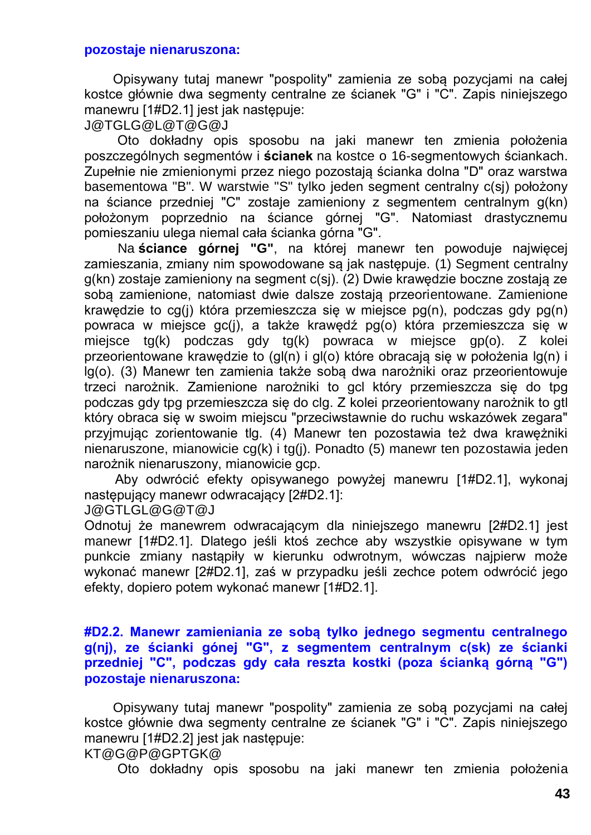#### **pozostaje nienaruszona:**

Opisywany tutaj manewr "pospolity" zamienia ze sobą pozycjami na całej kostce głównie dwa segmenty centralne ze ścianek "G" i "C". Zapis niniejszego manewru [1#D2.1] jest jak następuje:

J@TGLG@L@T@G@J

Oto dokładny opis sposobu na jaki manewr ten zmienia położenia poszczególnych segmentów i **ścianek** na kostce o 16-segmentowych ściankach. Zupełnie nie zmienionymi przez niego pozostają ścianka dolna "D" oraz warstwa basementowa "B". W warstwie "S" tylko jeden segment centralny c(sj) położony na ściance przedniej "C" zostaje zamieniony z segmentem centralnym g(kn) położonym poprzednio na ściance górnej "G". Natomiast drastycznemu pomieszaniu ulega niemal cała ścianka górna "G".

Na **ściance górnej "G"**, na której manewr ten powoduje najwięcej zamieszania, zmiany nim spowodowane są jak następuje. (1) Segment centralny g(kn) zostaje zamieniony na segment c(sj). (2) Dwie krawędzie boczne zostają ze sobą zamienione, natomiast dwie dalsze zostają przeorientowane. Zamienione krawędzie to cg(j) która przemieszcza się w miejsce pg(n), podczas gdy pg(n) powraca w miejsce gc(j), a także krawędź pg(o) która przemieszcza się w miejsce tg(k) podczas gdy tg(k) powraca w miejsce gp(o). Z kolei przeorientowane krawędzie to (gl(n) i gl(o) które obracają się w położenia lg(n) i lg(o). (3) Manewr ten zamienia także sobą dwa narożniki oraz przeorientowuje trzeci narożnik. Zamienione narożniki to gcl który przemieszcza się do tpg podczas gdy tpg przemieszcza się do clg. Z kolei przeorientowany narożnik to gtl który obraca się w swoim miejscu "przeciwstawnie do ruchu wskazówek zegara" przyjmując zorientowanie tlg. (4) Manewr ten pozostawia też dwa krawężniki nienaruszone, mianowicie cg(k) i tg(j). Ponadto (5) manewr ten pozostawia jeden narożnik nienaruszony, mianowicie gcp.

Aby odwrócić efekty opisywanego powyżej manewru [1#D2.1], wykonaj następujący manewr odwracający [2#D2.1]:

J@GTLGL@G@T@J

Odnotuj że manewrem odwracającym dla niniejszego manewru [2#D2.1] jest manewr [1#D2.1]. Dlatego jeśli ktoś zechce aby wszystkie opisywane w tym punkcie zmiany nastąpiły w kierunku odwrotnym, wówczas najpierw może wykonać manewr [2#D2.1], zaś w przypadku jeśli zechce potem odwrócić jego efekty, dopiero potem wykonać manewr [1#D2.1].

#### **#D2.2. Manewr zamieniania ze sobą tylko jednego segmentu centralnego g(nj), ze ścianki gónej "G", z segmentem centralnym c(sk) ze ścianki przedniej "C", podczas gdy cała reszta kostki (poza ścianką górną "G") pozostaje nienaruszona:**

Opisywany tutaj manewr "pospolity" zamienia ze sobą pozycjami na całej kostce głównie dwa segmenty centralne ze ścianek "G" i "C". Zapis niniejszego manewru [1#D2.2] jest jak następuje:

KT@G@P@GPTGK@

Oto dokładny opis sposobu na jaki manewr ten zmienia położenia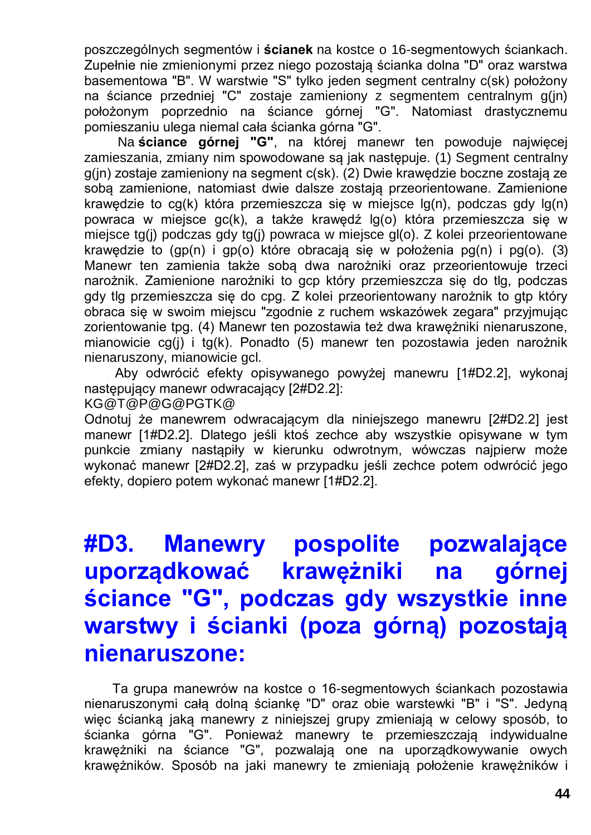poszczególnych segmentów i **ścianek** na kostce o 16-segmentowych ściankach. Zupełnie nie zmienionymi przez niego pozostają ścianka dolna "D" oraz warstwa basementowa "B". W warstwie "S" tylko jeden segment centralny c(sk) położony na ściance przedniej "C" zostaje zamieniony z segmentem centralnym g(jn) położonym poprzednio na ściance górnej "G". Natomiast drastycznemu pomieszaniu ulega niemal cała ścianka górna "G".

Na **ściance górnej "G"**, na której manewr ten powoduje najwięcej zamieszania, zmiany nim spowodowane są jak następuje. (1) Segment centralny g(jn) zostaje zamieniony na segment c(sk). (2) Dwie krawędzie boczne zostają ze sobą zamienione, natomiast dwie dalsze zostają przeorientowane. Zamienione krawędzie to cg(k) która przemieszcza się w miejsce lg(n), podczas gdy lg(n) powraca w miejsce gc(k), a także krawędź lg(o) która przemieszcza się w miejsce tg(j) podczas gdy tg(j) powraca w miejsce gl(o). Z kolei przeorientowane krawędzie to (gp(n) i gp(o) które obracają się w położenia pg(n) i pg(o). (3) Manewr ten zamienia także sobą dwa narożniki oraz przeorientowuje trzeci narożnik. Zamienione narożniki to gcp który przemieszcza się do tlg, podczas gdy tlg przemieszcza się do cpg. Z kolei przeorientowany narożnik to gtp który obraca się w swoim miejscu "zgodnie z ruchem wskazówek zegara" przyjmując zorientowanie tpg. (4) Manewr ten pozostawia też dwa krawężniki nienaruszone, mianowicie cg(j) i tg(k). Ponadto (5) manewr ten pozostawia jeden narożnik nienaruszony, mianowicie gcl.

Aby odwrócić efekty opisywanego powyżej manewru [1#D2.2], wykonaj następujący manewr odwracający [2#D2.2]:

KG@T@P@G@PGTK@

Odnotuj że manewrem odwracającym dla niniejszego manewru [2#D2.2] jest manewr [1#D2.2]. Dlatego jeśli ktoś zechce aby wszystkie opisywane w tym punkcie zmiany nastąpiły w kierunku odwrotnym, wówczas najpierw może wykonać manewr [2#D2.2], zaś w przypadku jeśli zechce potem odwrócić jego efekty, dopiero potem wykonać manewr [1#D2.2].

# **#D3. Manewry pospolite pozwalające uporządkować krawężniki na górnej ściance "G", podczas gdy wszystkie inne warstwy i ścianki (poza górną) pozostają nienaruszone:**

Ta grupa manewrów na kostce o 16-segmentowych ściankach pozostawia nienaruszonymi całą dolną ściankę "D" oraz obie warstewki "B" i "S". Jedyną więc ścianką jaką manewry z niniejszej grupy zmieniają w celowy sposób, to ścianka górna "G". Ponieważ manewry te przemieszczają indywidualne krawężniki na ściance "G", pozwalają one na uporządkowywanie owych krawężników. Sposób na jaki manewry te zmieniają położenie krawężników i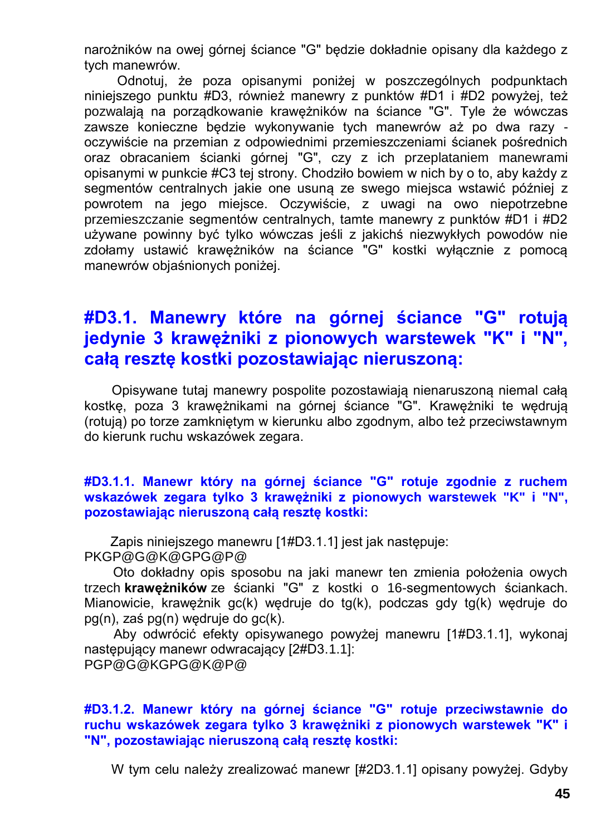narożników na owej górnej ściance "G" będzie dokładnie opisany dla każdego z tych manewrów.

Odnotuj, że poza opisanymi poniżej w poszczególnych podpunktach niniejszego punktu #D3, również manewry z punktów #D1 i #D2 powyżej, też pozwalają na porządkowanie krawężników na ściance "G". Tyle że wówczas zawsze konieczne będzie wykonywanie tych manewrów aż po dwa razy oczywiście na przemian z odpowiednimi przemieszczeniami ścianek pośrednich oraz obracaniem ścianki górnej "G", czy z ich przeplataniem manewrami opisanymi w punkcie #C3 tej strony. Chodziło bowiem w nich by o to, aby każdy z segmentów centralnych jakie one usuną ze swego miejsca wstawić później z powrotem na jego miejsce. Oczywiście, z uwagi na owo niepotrzebne przemieszczanie segmentów centralnych, tamte manewry z punktów #D1 i #D2 używane powinny być tylko wówczas jeśli z jakichś niezwykłych powodów nie zdołamy ustawić krawężników na ściance "G" kostki wyłącznie z pomocą manewrów objaśnionych poniżej.

### **#D3.1. Manewry które na górnej ściance "G" rotują jedynie 3 krawężniki z pionowych warstewek "K" i "N", całą resztę kostki pozostawiając nieruszoną:**

Opisywane tutaj manewry pospolite pozostawiają nienaruszoną niemal całą kostkę, poza 3 krawężnikami na górnej ściance "G". Krawężniki te wędrują (rotują) po torze zamkniętym w kierunku albo zgodnym, albo też przeciwstawnym do kierunk ruchu wskazówek zegara.

#### **#D3.1.1. Manewr który na górnej ściance "G" rotuje zgodnie z ruchem wskazówek zegara tylko 3 krawężniki z pionowych warstewek "K" i "N", pozostawiając nieruszoną całą resztę kostki:**

Zapis niniejszego manewru [1#D3.1.1] jest jak następuje: PKGP@G@K@GPG@P@

Oto dokładny opis sposobu na jaki manewr ten zmienia położenia owych trzech **krawężników** ze ścianki "G" z kostki o 16-segmentowych ściankach. Mianowicie, krawężnik gc(k) wędruje do tg(k), podczas gdy tg(k) wędruje do pg(n), zaś pg(n) wędruje do gc(k).

Aby odwrócić efekty opisywanego powyżej manewru [1#D3.1.1], wykonaj następujący manewr odwracający [2#D3.1.1]: PGP@G@KGPG@K@P@

#### **#D3.1.2. Manewr który na górnej ściance "G" rotuje przeciwstawnie do ruchu wskazówek zegara tylko 3 krawężniki z pionowych warstewek "K" i "N", pozostawiając nieruszoną całą resztę kostki:**

W tym celu należy zrealizować manewr [#2D3.1.1] opisany powyżej. Gdyby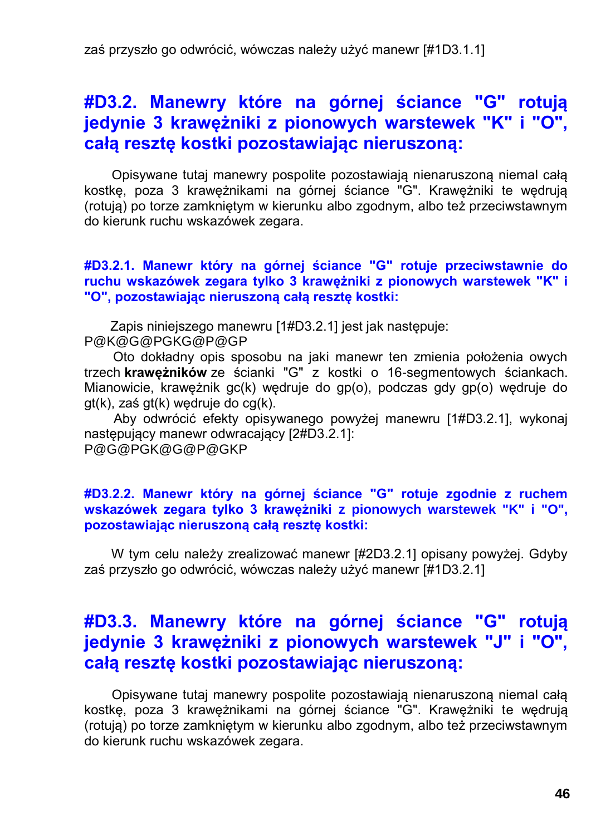### **#D3.2. Manewry które na górnej ściance "G" rotują jedynie 3 krawężniki z pionowych warstewek "K" i "O", całą resztę kostki pozostawiając nieruszoną:**

Opisywane tutaj manewry pospolite pozostawiają nienaruszoną niemal całą kostkę, poza 3 krawężnikami na górnej ściance "G". Krawężniki te wędrują (rotują) po torze zamkniętym w kierunku albo zgodnym, albo też przeciwstawnym do kierunk ruchu wskazówek zegara.

#### **#D3.2.1. Manewr który na górnej ściance "G" rotuje przeciwstawnie do ruchu wskazówek zegara tylko 3 krawężniki z pionowych warstewek "K" i "O", pozostawiając nieruszoną całą resztę kostki:**

Zapis niniejszego manewru [1#D3.2.1] jest jak następuje:

P@K@G@PGKG@P@GP

Oto dokładny opis sposobu na jaki manewr ten zmienia położenia owych trzech **krawężników** ze ścianki "G" z kostki o 16-segmentowych ściankach. Mianowicie, krawężnik gc(k) wędruje do gp(o), podczas gdy gp(o) wędruje do gt(k), zaś gt(k) wędruje do cg(k).

Aby odwrócić efekty opisywanego powyżej manewru [1#D3.2.1], wykonaj następujący manewr odwracający [2#D3.2.1]: P@G@PGK@G@P@GKP

#### **#D3.2.2. Manewr który na górnej ściance "G" rotuje zgodnie z ruchem wskazówek zegara tylko 3 krawężniki z pionowych warstewek "K" i "O", pozostawiając nieruszoną całą resztę kostki:**

W tym celu należy zrealizować manewr [#2D3.2.1] opisany powyżej. Gdyby zaś przyszło go odwrócić, wówczas należy użyć manewr [#1D3.2.1]

### **#D3.3. Manewry które na górnej ściance "G" rotują jedynie 3 krawężniki z pionowych warstewek "J" i "O", całą resztę kostki pozostawiając nieruszoną:**

Opisywane tutaj manewry pospolite pozostawiają nienaruszoną niemal całą kostkę, poza 3 krawężnikami na górnej ściance "G". Krawężniki te wędrują (rotują) po torze zamkniętym w kierunku albo zgodnym, albo też przeciwstawnym do kierunk ruchu wskazówek zegara.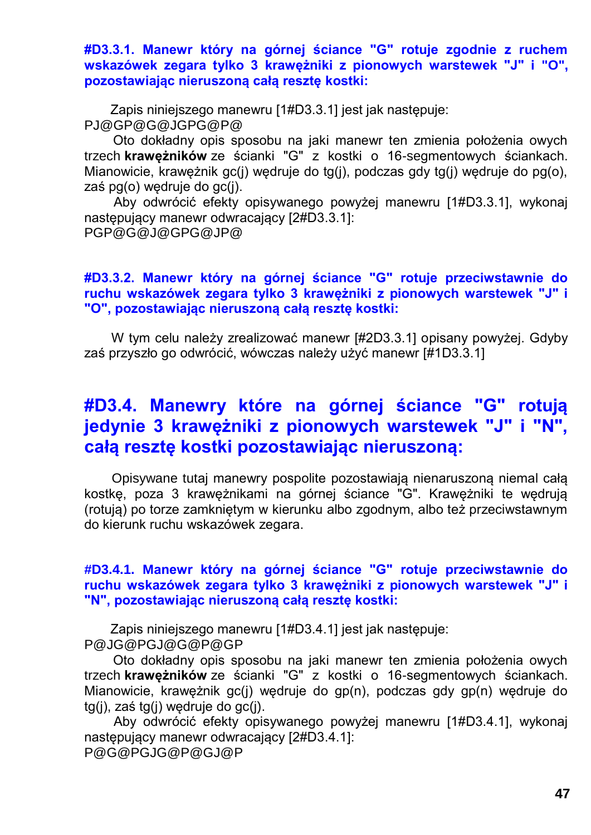**#D3.3.1. Manewr który na górnej ściance "G" rotuje zgodnie z ruchem wskazówek zegara tylko 3 krawężniki z pionowych warstewek "J" i "O", pozostawiając nieruszoną całą resztę kostki:**

Zapis niniejszego manewru [1#D3.3.1] jest jak następuje: PJ@GP@G@JGPG@P@

Oto dokładny opis sposobu na jaki manewr ten zmienia położenia owych trzech **krawężników** ze ścianki "G" z kostki o 16-segmentowych ściankach. Mianowicie, krawężnik gc(j) wędruje do tg(j), podczas gdy tg(j) wędruje do pg(o), zaś pg(o) wędruje do gc(j).

Aby odwrócić efekty opisywanego powyżej manewru [1#D3.3.1], wykonaj następujący manewr odwracający [2#D3.3.1]: PGP@G@J@GPG@JP@

#### **#D3.3.2. Manewr który na górnej ściance "G" rotuje przeciwstawnie do ruchu wskazówek zegara tylko 3 krawężniki z pionowych warstewek "J" i "O", pozostawiając nieruszoną całą resztę kostki:**

W tym celu należy zrealizować manewr [#2D3.3.1] opisany powyżej. Gdyby zaś przyszło go odwrócić, wówczas należy użyć manewr [#1D3.3.1]

### **#D3.4. Manewry które na górnej ściance "G" rotują jedynie 3 krawężniki z pionowych warstewek "J" i "N", całą resztę kostki pozostawiając nieruszoną:**

Opisywane tutaj manewry pospolite pozostawiają nienaruszoną niemal całą kostkę, poza 3 krawężnikami na górnej ściance "G". Krawężniki te wędrują (rotują) po torze zamkniętym w kierunku albo zgodnym, albo też przeciwstawnym do kierunk ruchu wskazówek zegara.

#### **#D3.4.1. Manewr który na górnej ściance "G" rotuje przeciwstawnie do ruchu wskazówek zegara tylko 3 krawężniki z pionowych warstewek "J" i "N", pozostawiając nieruszoną całą resztę kostki:**

Zapis niniejszego manewru [1#D3.4.1] jest jak następuje: P@JG@PGJ@G@P@GP

Oto dokładny opis sposobu na jaki manewr ten zmienia położenia owych trzech **krawężników** ze ścianki "G" z kostki o 16-segmentowych ściankach. Mianowicie, krawężnik gc(j) wędruje do gp(n), podczas gdy gp(n) wędruje do tg(j), zaś tg(j) wędruje do gc(j).

Aby odwrócić efekty opisywanego powyżej manewru [1#D3.4.1], wykonaj następujący manewr odwracający [2#D3.4.1]: P@G@PGJG@P@GJ@P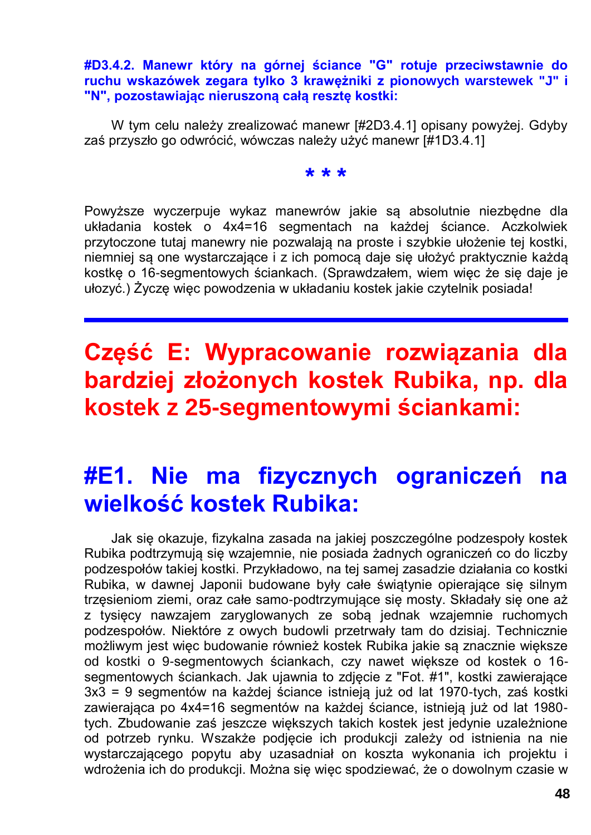#### **#D3.4.2. Manewr który na górnej ściance "G" rotuje przeciwstawnie do ruchu wskazówek zegara tylko 3 krawężniki z pionowych warstewek "J" i "N", pozostawiając nieruszoną całą resztę kostki:**

W tym celu należy zrealizować manewr [#2D3.4.1] opisany powyżej. Gdyby zaś przyszło go odwrócić, wówczas należy użyć manewr [#1D3.4.1]

### **\* \* \***

Powyższe wyczerpuje wykaz manewrów jakie są absolutnie niezbędne dla układania kostek o 4x4=16 segmentach na każdej ściance. Aczkolwiek przytoczone tutaj manewry nie pozwalają na proste i szybkie ułożenie tej kostki, niemniej są one wystarczające i z ich pomocą daje się ułożyć praktycznie każdą kostkę o 16-segmentowych ściankach. (Sprawdzałem, wiem więc że się daje je ułozyć.) Życzę więc powodzenia w układaniu kostek jakie czytelnik posiada!

# **Część E: Wypracowanie rozwiązania dla bardziej złożonych kostek Rubika, np. dla kostek z 25-segmentowymi ściankami:**

# **#E1. Nie ma fizycznych ograniczeń na wielkość kostek Rubika:**

Jak się okazuje, fizykalna zasada na jakiej poszczególne podzespoły kostek Rubika podtrzymują się wzajemnie, nie posiada żadnych ograniczeń co do liczby podzespołów takiej kostki. Przykładowo, na tej samej zasadzie działania co kostki Rubika, w dawnej Japonii budowane były całe świątynie opierające się silnym trzęsieniom ziemi, oraz całe samo-podtrzymujące się mosty. Składały się one aż z tysięcy nawzajem zaryglowanych ze sobą jednak wzajemnie ruchomych podzespołów. Niektóre z owych budowli przetrwały tam do dzisiaj. Technicznie możliwym jest więc budowanie również kostek Rubika jakie są znacznie większe od kostki o 9-segmentowych ściankach, czy nawet większe od kostek o 16 segmentowych ściankach. Jak ujawnia to zdjęcie z "Fot. #1", kostki zawierające 3x3 = 9 segmentów na każdej ściance istnieją już od lat 1970-tych, zaś kostki zawierająca po 4x4=16 segmentów na każdej ściance, istnieją już od lat 1980 tych. Zbudowanie zaś jeszcze większych takich kostek jest jedynie uzależnione od potrzeb rynku. Wszakże podjęcie ich produkcji zależy od istnienia na nie wystarczającego popytu aby uzasadniał on koszta wykonania ich projektu i wdrożenia ich do produkcji. Można się więc spodziewać, że o dowolnym czasie w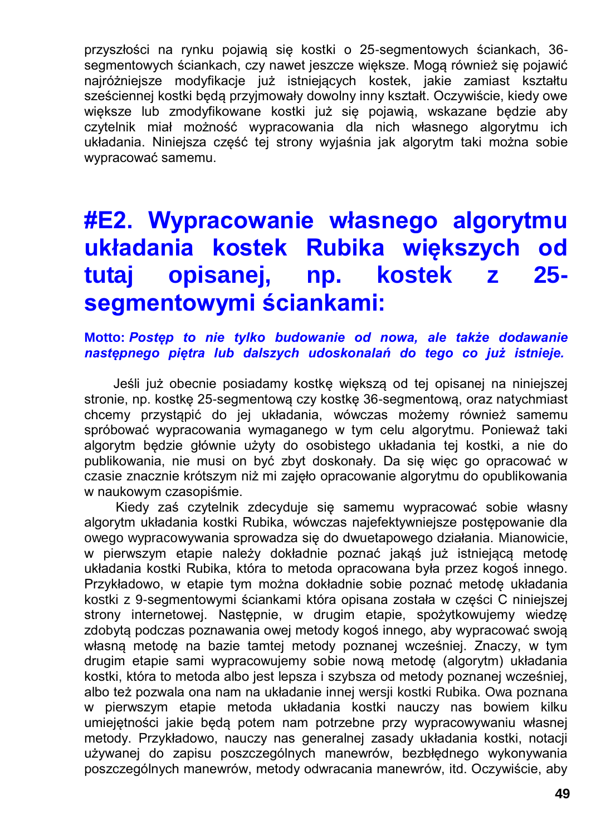przyszłości na rynku pojawią się kostki o 25-segmentowych ściankach, 36 segmentowych ściankach, czy nawet jeszcze większe. Mogą również się pojawić najróżniejsze modyfikacje już istniejących kostek, jakie zamiast kształtu sześciennej kostki będą przyjmowały dowolny inny kształt. Oczywiście, kiedy owe większe lub zmodyfikowane kostki już się pojawią, wskazane będzie aby czytelnik miał możność wypracowania dla nich własnego algorytmu ich układania. Niniejsza część tej strony wyjaśnia jak algorytm taki można sobie wypracować samemu.

# **#E2. Wypracowanie własnego algorytmu układania kostek Rubika większych od tutaj opisanej, np. kostek z 25 segmentowymi ściankami:**

**Motto:** *Postęp to nie tylko budowanie od nowa, ale także dodawanie następnego piętra lub dalszych udoskonalań do tego co już istnieje.*

Jeśli już obecnie posiadamy kostkę większą od tej opisanej na niniejszej stronie, np. kostkę 25-segmentową czy kostkę 36-segmentową, oraz natychmiast chcemy przystąpić do jej układania, wówczas możemy również samemu spróbować wypracowania wymaganego w tym celu algorytmu. Ponieważ taki algorytm będzie głównie użyty do osobistego układania tej kostki, a nie do publikowania, nie musi on być zbyt doskonały. Da się więc go opracować w czasie znacznie krótszym niż mi zajęło opracowanie algorytmu do opublikowania w naukowym czasopiśmie.

Kiedy zaś czytelnik zdecyduje się samemu wypracować sobie własny algorytm układania kostki Rubika, wówczas najefektywniejsze postępowanie dla owego wypracowywania sprowadza się do dwuetapowego działania. Mianowicie, w pierwszym etapie należy dokładnie poznać jakąś już istniejącą metodę układania kostki Rubika, która to metoda opracowana była przez kogoś innego. Przykładowo, w etapie tym można dokładnie sobie poznać metodę układania kostki z 9-segmentowymi ściankami która opisana została w części C niniejszej strony internetowej. Następnie, w drugim etapie, spożytkowujemy wiedzę zdobytą podczas poznawania owej metody kogoś innego, aby wypracować swoją własną metodę na bazie tamtej metody poznanej wcześniej. Znaczy, w tym drugim etapie sami wypracowujemy sobie nową metodę (algorytm) układania kostki, która to metoda albo jest lepsza i szybsza od metody poznanej wcześniej, albo też pozwala ona nam na układanie innej wersji kostki Rubika. Owa poznana w pierwszym etapie metoda układania kostki nauczy nas bowiem kilku umiejętności jakie będą potem nam potrzebne przy wypracowywaniu własnej metody. Przykładowo, nauczy nas generalnej zasady układania kostki, notacji używanej do zapisu poszczególnych manewrów, bezbłędnego wykonywania poszczególnych manewrów, metody odwracania manewrów, itd. Oczywiście, aby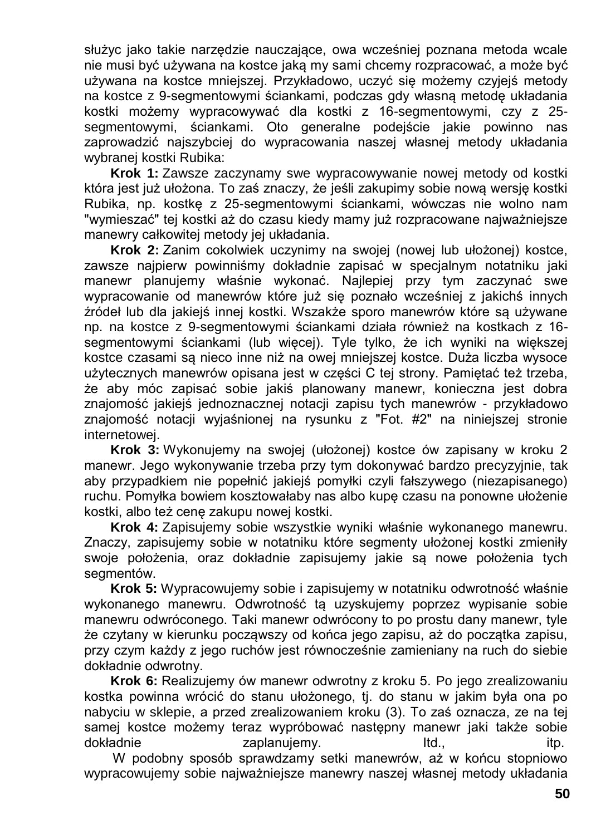służyc jako takie narzędzie nauczające, owa wcześniej poznana metoda wcale nie musi być używana na kostce jaką my sami chcemy rozpracować, a może być używana na kostce mniejszej. Przykładowo, uczyć się możemy czyjejś metody na kostce z 9-segmentowymi ściankami, podczas gdy własną metodę układania kostki możemy wypracowywać dla kostki z 16-segmentowymi, czy z 25 segmentowymi, ściankami. Oto generalne podejście jakie powinno nas zaprowadzić najszybciej do wypracowania naszej własnej metody układania wybranej kostki Rubika:

**Krok 1:** Zawsze zaczynamy swe wypracowywanie nowej metody od kostki która jest już ułożona. To zaś znaczy, że jeśli zakupimy sobie nową wersję kostki Rubika, np. kostkę z 25-segmentowymi ściankami, wówczas nie wolno nam "wymieszać" tej kostki aż do czasu kiedy mamy już rozpracowane najważniejsze manewry całkowitej metody jej układania.

**Krok 2:** Zanim cokolwiek uczynimy na swojej (nowej lub ułożonej) kostce, zawsze najpierw powinniśmy dokładnie zapisać w specjalnym notatniku jaki manewr planujemy właśnie wykonać. Najlepiej przy tym zaczynać swe wypracowanie od manewrów które już się poznało wcześniej z jakichś innych źródeł lub dla jakiejś innej kostki. Wszakże sporo manewrów które są używane np. na kostce z 9-segmentowymi ściankami działa również na kostkach z 16 segmentowymi ściankami (lub więcej). Tyle tylko, że ich wyniki na większej kostce czasami są nieco inne niż na owej mniejszej kostce. Duża liczba wysoce użytecznych manewrów opisana jest w części C tej strony. Pamiętać też trzeba, że aby móc zapisać sobie jakiś planowany manewr, konieczna jest dobra znajomość jakiejś jednoznacznej notacji zapisu tych manewrów - przykładowo znajomość notacji wyjaśnionej na rysunku z "Fot. #2" na niniejszej stronie internetowej.

**Krok 3:** Wykonujemy na swojej (ułożonej) kostce ów zapisany w kroku 2 manewr. Jego wykonywanie trzeba przy tym dokonywać bardzo precyzyjnie, tak aby przypadkiem nie popełnić jakiejś pomyłki czyli fałszywego (niezapisanego) ruchu. Pomyłka bowiem kosztowałaby nas albo kupę czasu na ponowne ułożenie kostki, albo też cenę zakupu nowej kostki.

**Krok 4:** Zapisujemy sobie wszystkie wyniki właśnie wykonanego manewru. Znaczy, zapisujemy sobie w notatniku które segmenty ułożonej kostki zmieniły swoje położenia, oraz dokładnie zapisujemy jakie są nowe położenia tych segmentów.

**Krok 5:** Wypracowujemy sobie i zapisujemy w notatniku odwrotność właśnie wykonanego manewru. Odwrotność tą uzyskujemy poprzez wypisanie sobie manewru odwróconego. Taki manewr odwrócony to po prostu dany manewr, tyle że czytany w kierunku począwszy od końca jego zapisu, aż do początka zapisu, przy czym każdy z jego ruchów jest równocześnie zamieniany na ruch do siebie dokładnie odwrotny.

**Krok 6:** Realizujemy ów manewr odwrotny z kroku 5. Po jego zrealizowaniu kostka powinna wrócić do stanu ułożonego, tj. do stanu w jakim była ona po nabyciu w sklepie, a przed zrealizowaniem kroku (3). To zaś oznacza, ze na tej samej kostce możemy teraz wypróbować następny manewr jaki także sobie dokładnie itp. zaplanujemy. Itd., itp. itp.

W podobny sposób sprawdzamy setki manewrów, aż w końcu stopniowo wypracowujemy sobie najważniejsze manewry naszej własnej metody układania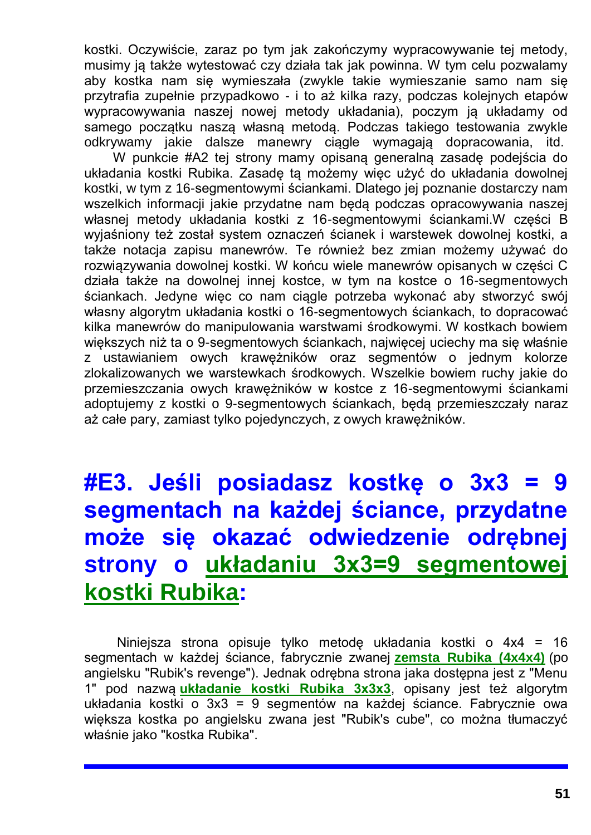kostki. Oczywiście, zaraz po tym jak zakończymy wypracowywanie tej metody, musimy ją także wytestować czy działa tak jak powinna. W tym celu pozwalamy aby kostka nam się wymieszała (zwykle takie wymieszanie samo nam się przytrafia zupełnie przypadkowo - i to aż kilka razy, podczas kolejnych etapów wypracowywania naszej nowej metody układania), poczym ją układamy od samego początku naszą własną metodą. Podczas takiego testowania zwykle odkrywamy jakie dalsze manewry ciągle wymagają dopracowania, itd.

W punkcie #A2 tej strony mamy opisaną generalną zasadę podejścia do układania kostki Rubika. Zasadę tą możemy więc użyć do układania dowolnej kostki, w tym z 16-segmentowymi ściankami. Dlatego jej poznanie dostarczy nam wszelkich informacji jakie przydatne nam będą podczas opracowywania naszej własnej metody układania kostki z 16-segmentowymi ściankami.W części B wyjaśniony też został system oznaczeń ścianek i warstewek dowolnej kostki, a także notacja zapisu manewrów. Te również bez zmian możemy używać do rozwiązywania dowolnej kostki. W końcu wiele manewrów opisanych w części C działa także na dowolnej innej kostce, w tym na kostce o 16-segmentowych ściankach. Jedyne więc co nam ciągle potrzeba wykonać aby stworzyć swój własny algorytm układania kostki o 16-segmentowych ściankach, to dopracować kilka manewrów do manipulowania warstwami środkowymi. W kostkach bowiem większych niż ta o 9-segmentowych ściankach, najwięcej uciechy ma się właśnie z ustawianiem owych krawężników oraz segmentów o jednym kolorze zlokalizowanych we warstewkach środkowych. Wszelkie bowiem ruchy jakie do przemieszczania owych krawężników w kostce z 16-segmentowymi ściankami adoptujemy z kostki o 9-segmentowych ściankach, będą przemieszczały naraz aż całe pary, zamiast tylko pojedynczych, z owych krawężników.

# **#E3. Jeśli posiadasz kostkę o 3x3 = 9 segmentach na każdej ściance, przydatne może się okazać odwiedzenie odrębnej strony o [układaniu 3x3=9 segmentowej](http://totalizm.com.pl/rubik_pl.htm)  [kostki Rubika:](http://totalizm.com.pl/rubik_pl.htm)**

Niniejsza strona opisuje tylko metodę układania kostki o 4x4 = 16 segmentach w każdej ściance, fabrycznie zwanej **[zemsta Rubika](http://totalizm.com.pl/rubik_16_pl.htm) (4x4x4)** (po angielsku "Rubik's revenge"). Jednak odrębna strona jaka dostępna jest z "Menu 1" pod nazwą **[układanie kostki Rubika 3x3x3](http://totalizm.com.pl/rubik_pl.htm)**, opisany jest też algorytm układania kostki o 3x3 = 9 segmentów na każdej ściance. Fabrycznie owa większa kostka po angielsku zwana jest "Rubik's cube", co można tłumaczyć właśnie jako "kostka Rubika".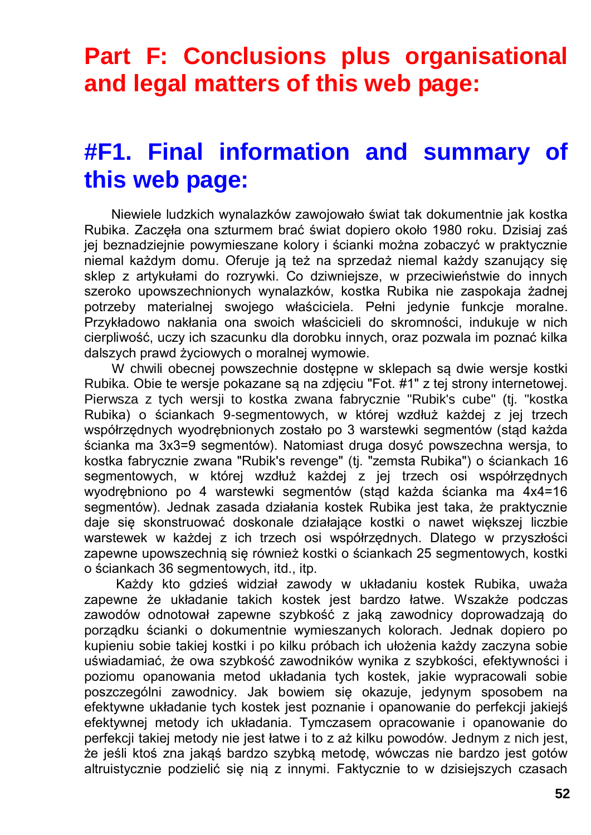# **Part F: Conclusions plus organisational and legal matters of this web page:**

## **#F1. Final information and summary of this web page:**

Niewiele ludzkich wynalazków zawojowało świat tak dokumentnie jak kostka Rubika. Zaczęła ona szturmem brać świat dopiero około 1980 roku. Dzisiaj zaś jej beznadziejnie powymieszane kolory i ścianki można zobaczyć w praktycznie niemal każdym domu. Oferuje ją też na sprzedaż niemal każdy szanujący się sklep z artykułami do rozrywki. Co dziwniejsze, w przeciwieństwie do innych szeroko upowszechnionych wynalazków, kostka Rubika nie zaspokaja żadnej potrzeby materialnej swojego właściciela. Pełni jedynie funkcje moralne. Przykładowo nakłania ona swoich właścicieli do skromności, indukuje w nich cierpliwość, uczy ich szacunku dla dorobku innych, oraz pozwala im poznać kilka dalszych prawd życiowych o moralnej wymowie.

W chwili obecnej powszechnie dostępne w sklepach są dwie wersje kostki Rubika. Obie te wersje pokazane są na zdjęciu "Fot. #1" z tej strony internetowej. Pierwsza z tych wersji to kostka zwana fabrycznie "Rubik's cube" (tj. "kostka Rubika) o ściankach 9-segmentowych, w której wzdłuż każdej z jej trzech współrzędnych wyodrębnionych zostało po 3 warstewki segmentów (stąd każda ścianka ma 3x3=9 segmentów). Natomiast druga dosyć powszechna wersja, to kostka fabrycznie zwana "Rubik's revenge" (tj. "zemsta Rubika") o ściankach 16 segmentowych, w której wzdłuż każdej z jej trzech osi współrzędnych wyodrębniono po 4 warstewki segmentów (stąd każda ścianka ma 4x4=16 segmentów). Jednak zasada działania kostek Rubika jest taka, że praktycznie daje się skonstruować doskonale działające kostki o nawet większej liczbie warstewek w każdej z ich trzech osi współrzędnych. Dlatego w przyszłości zapewne upowszechnią się również kostki o ściankach 25 segmentowych, kostki o ściankach 36 segmentowych, itd., itp.

Każdy kto gdzieś widział zawody w układaniu kostek Rubika, uważa zapewne że układanie takich kostek jest bardzo łatwe. Wszakże podczas zawodów odnotował zapewne szybkość z jaką zawodnicy doprowadzają do porządku ścianki o dokumentnie wymieszanych kolorach. Jednak dopiero po kupieniu sobie takiej kostki i po kilku próbach ich ułożenia każdy zaczyna sobie uświadamiać, że owa szybkość zawodników wynika z szybkości, efektywności i poziomu opanowania metod układania tych kostek, jakie wypracowali sobie poszczególni zawodnicy. Jak bowiem się okazuje, jedynym sposobem na efektywne układanie tych kostek jest poznanie i opanowanie do perfekcji jakiejś efektywnej metody ich układania. Tymczasem opracowanie i opanowanie do perfekcji takiej metody nie jest łatwe i to z aż kilku powodów. Jednym z nich jest, że jeśli ktoś zna jakąś bardzo szybką metodę, wówczas nie bardzo jest gotów altruistycznie podzielić się nią z innymi. Faktycznie to w dzisiejszych czasach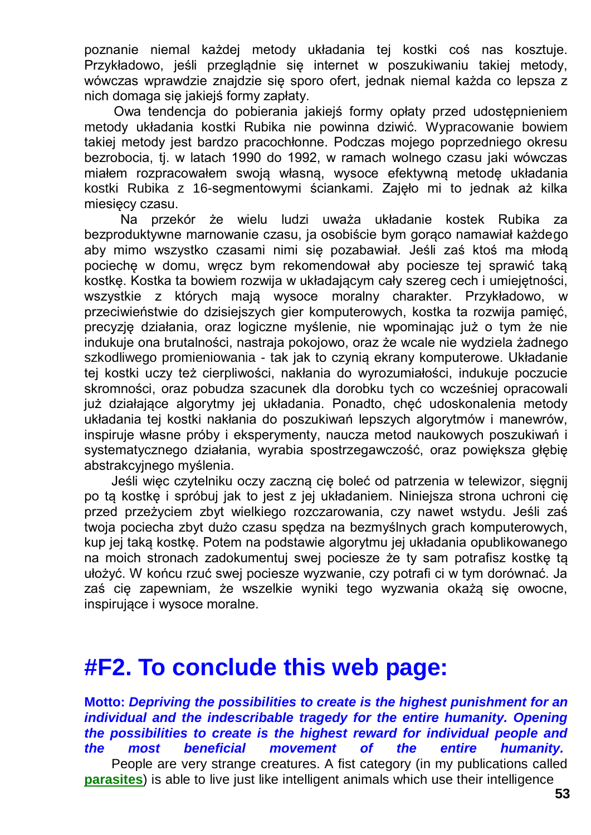poznanie niemal każdej metody układania tej kostki coś nas kosztuje. Przykładowo, jeśli przeglądnie się internet w poszukiwaniu takiej metody, wówczas wprawdzie znajdzie się sporo ofert, jednak niemal każda co lepsza z nich domaga się jakiejś formy zapłaty.

Owa tendencja do pobierania jakiejś formy opłaty przed udostępnieniem metody układania kostki Rubika nie powinna dziwić. Wypracowanie bowiem takiej metody jest bardzo pracochłonne. Podczas mojego poprzedniego okresu bezrobocia, tj. w latach 1990 do 1992, w ramach wolnego czasu jaki wówczas miałem rozpracowałem swoją własną, wysoce efektywną metodę układania kostki Rubika z 16-segmentowymi ściankami. Zajęło mi to jednak aż kilka miesięcy czasu.

Na przekór że wielu ludzi uważa układanie kostek Rubika za bezproduktywne marnowanie czasu, ja osobiście bym gorąco namawiał każdego aby mimo wszystko czasami nimi się pozabawiał. Jeśli zaś ktoś ma młodą pociechę w domu, wręcz bym rekomendował aby pociesze tej sprawić taką kostkę. Kostka ta bowiem rozwija w układającym cały szereg cech i umiejętności, wszystkie z których mają wysoce moralny charakter. Przykładowo, przeciwieństwie do dzisiejszych gier komputerowych, kostka ta rozwija pamięć, precyzję działania, oraz logiczne myślenie, nie wpominając już o tym że nie indukuje ona brutalności, nastraja pokojowo, oraz że wcale nie wydziela żadnego szkodliwego promieniowania - tak jak to czynią ekrany komputerowe. Układanie tej kostki uczy też cierpliwości, nakłania do wyrozumiałości, indukuje poczucie skromności, oraz pobudza szacunek dla dorobku tych co wcześniej opracowali już działające algorytmy jej układania. Ponadto, chęć udoskonalenia metody układania tej kostki nakłania do poszukiwań lepszych algorytmów i manewrów, inspiruje własne próby i eksperymenty, naucza metod naukowych poszukiwań i systematycznego działania, wyrabia spostrzegawczość, oraz powiększa głębię abstrakcyjnego myślenia.

Jeśli więc czytelniku oczy zaczną cię boleć od patrzenia w telewizor, sięgnij po tą kostkę i spróbuj jak to jest z jej układaniem. Niniejsza strona uchroni cię przed przeżyciem zbyt wielkiego rozczarowania, czy nawet wstydu. Jeśli zaś twoja pociecha zbyt dużo czasu spędza na bezmyślnych grach komputerowych, kup jej taką kostkę. Potem na podstawie algorytmu jej układania opublikowanego na moich stronach zadokumentuj swej pociesze że ty sam potrafisz kostkę tą ułożyć. W końcu rzuć swej pociesze wyzwanie, czy potrafi ci w tym dorównać. Ja zaś cię zapewniam, że wszelkie wyniki tego wyzwania okażą się owocne, inspirujące i wysoce moralne.

### **#F2. To conclude this web page:**

**Motto:** *Depriving the possibilities to create is the highest punishment for an*  individual and the indescribable tragedy for the entire humanity. Opening *the possibilities to create is the highest reward for individual people and the most beneficial movement of the entire humanity.* People are very strange creatures. A fist category (in my publications called **[parasites](http://totalizm.com.pl/totalizm.htm)**) is able to live just like intelligent animals which use their intelligence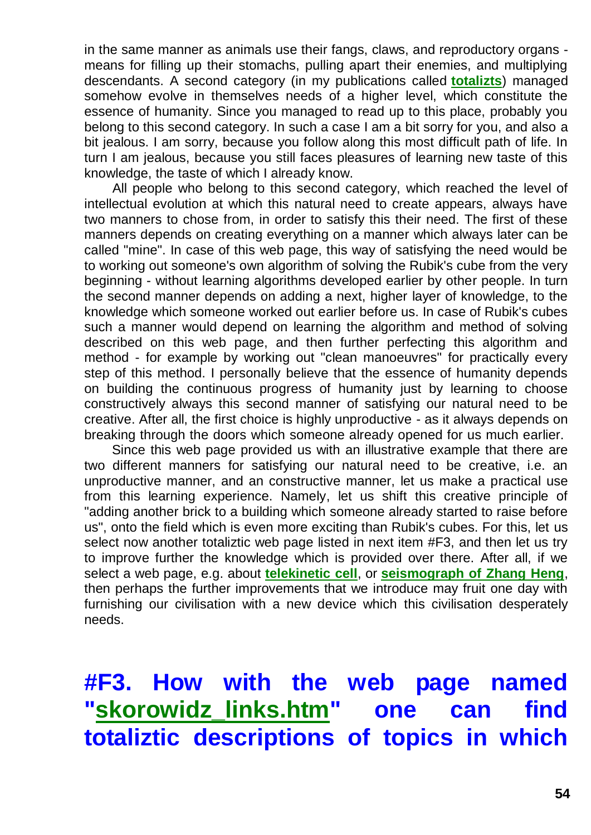in the same manner as animals use their fangs, claws, and reproductory organs means for filling up their stomachs, pulling apart their enemies, and multiplying descendants. A second category (in my publications called **[totalizts](http://totalizm.com.pl/karma.htm)**) managed somehow evolve in themselves needs of a higher level, which constitute the essence of humanity. Since you managed to read up to this place, probably you belong to this second category. In such a case I am a bit sorry for you, and also a bit jealous. I am sorry, because you follow along this most difficult path of life. In turn I am jealous, because you still faces pleasures of learning new taste of this knowledge, the taste of which I already know.

All people who belong to this second category, which reached the level of intellectual evolution at which this natural need to create appears, always have two manners to chose from, in order to satisfy this their need. The first of these manners depends on creating everything on a manner which always later can be called "mine". In case of this web page, this way of satisfying the need would be to working out someone's own algorithm of solving the Rubik's cube from the very beginning - without learning algorithms developed earlier by other people. In turn the second manner depends on adding a next, higher layer of knowledge, to the knowledge which someone worked out earlier before us. In case of Rubik's cubes such a manner would depend on learning the algorithm and method of solving described on this web page, and then further perfecting this algorithm and method - for example by working out "clean manoeuvres" for practically every step of this method. I personally believe that the essence of humanity depends on building the continuous progress of humanity just by learning to choose constructively always this second manner of satisfying our natural need to be creative. After all, the first choice is highly unproductive - as it always depends on breaking through the doors which someone already opened for us much earlier.

Since this web page provided us with an illustrative example that there are two different manners for satisfying our natural need to be creative, i.e. an unproductive manner, and an constructive manner, let us make a practical use from this learning experience. Namely, let us shift this creative principle of "adding another brick to a building which someone already started to raise before us", onto the field which is even more exciting than Rubik's cubes. For this, let us select now another totaliztic web page listed in next item #F3, and then let us try to improve further the knowledge which is provided over there. After all, if we select a web page, e.g. about **[telekinetic cell](http://totalizm.com.pl/fe_cell_pl.htm)**, or **[seismograph of Zhang Heng](http://totalizm.com.pl/seismograph_pl.htm)**, then perhaps the further improvements that we introduce may fruit one day with furnishing our civilisation with a new device which this civilisation desperately needs.

# **#F3. How with the web page named ["skorowidz\\_links.htm"](http://totalizm.com.pl/skorowidz_links.htm) one can find totaliztic descriptions of topics in which**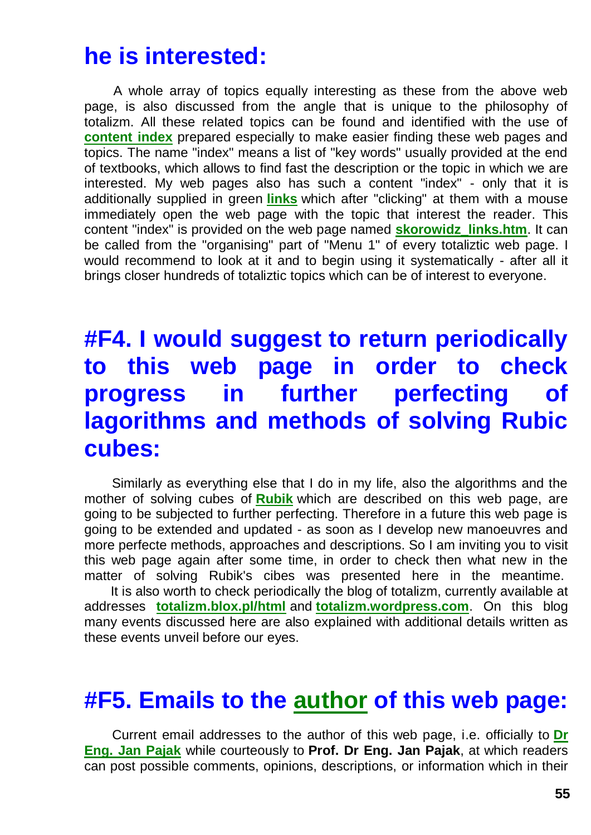### **he is interested:**

A whole array of topics equally interesting as these from the above web page, is also discussed from the angle that is unique to the philosophy of totalizm. All these related topics can be found and identified with the use of **[content index](http://totalizm.com.pl/skorowidz_links.htm)** prepared especially to make easier finding these web pages and topics. The name "index" means a list of "key words" usually provided at the end of textbooks, which allows to find fast the description or the topic in which we are interested. My web pages also has such a content "index" - only that it is additionally supplied in green **[links](http://totalizm.com.pl/pigs.htm)** which after "clicking" at them with a mouse immediately open the web page with the topic that interest the reader. This content "index" is provided on the web page named **[skorowidz\\_links.htm](http://totalizm.com.pl/skorowidz_links.htm)**. It can be called from the "organising" part of "Menu 1" of every totaliztic web page. I would recommend to look at it and to begin using it systematically - after all it brings closer hundreds of totaliztic topics which can be of interest to everyone.

## **#F4. I would suggest to return periodically to this web page in order to check progress in further perfecting of lagorithms and methods of solving Rubic cubes:**

Similarly as everything else that I do in my life, also the algorithms and the mother of solving cubes of **[Rubik](http://totalizm.com.pl/rubik.htm)** which are described on this web page, are going to be subjected to further perfecting. Therefore in a future this web page is going to be extended and updated - as soon as I develop new manoeuvres and more perfecte methods, approaches and descriptions. So I am inviting you to visit this web page again after some time, in order to check then what new in the matter of solving Rubik's cibes was presented here in the meantime.

It is also worth to check periodically the blog of totalizm, currently available at addresses **[totalizm.blox.pl/html](http://totalizm.blox.pl/html/)** and **[totalizm.wordpress.com](http://totalizm.wordpress.com/)**. On this blog many events discussed here are also explained with additional details written as these events unveil before our eyes.

### **#F5. Emails to the [author](http://totalizm.com.pl/pajak_jan_uk.htm) of this web page:**

Current email addresses to the author of this web page, i.e. officially to **[Dr](http://images.google.co.nz/images?hl=en&q=Jan+Pajak&btnG=Search+Images&gbv=1)  [Eng. Jan Pajak](http://images.google.co.nz/images?hl=en&q=Jan+Pajak&btnG=Search+Images&gbv=1)** while courteously to **Prof. Dr Eng. Jan Pajak**, at which readers can post possible comments, opinions, descriptions, or information which in their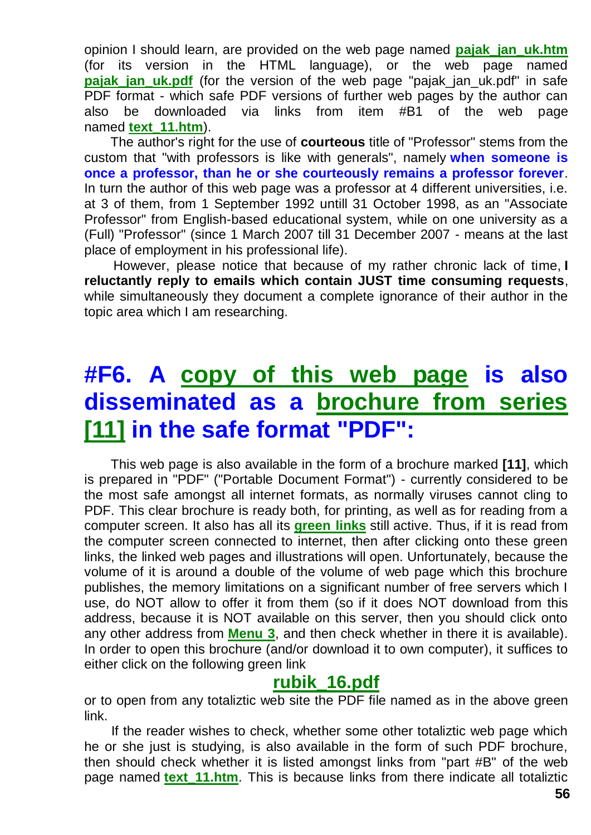opinion I should learn, are provided on the web page named **[pajak\\_jan\\_uk.htm](http://totalizm.com.pl/pajak_jan_uk.htm)** (for its version in the HTML language), or the web page named **pajak jan uk.pdf** (for the version of the web page "pajak jan uk.pdf" in safe PDF format - which safe PDF versions of further web pages by the author can also be downloaded via links from item #B1 of the web page named **[text\\_11.htm](http://totalizm.com.pl/text_11.htm)**).

The author's right for the use of **courteous** title of "Professor" stems from the custom that "with professors is like with generals", namely **when someone is once a professor, than he or she courteously remains a professor forever**. In turn the author of this web page was a professor at 4 different universities, i.e. at 3 of them, from 1 September 1992 untill 31 October 1998, as an "Associate Professor" from English-based educational system, while on one university as a (Full) "Professor" (since 1 March 2007 till 31 December 2007 - means at the last place of employment in his professional life).

However, please notice that because of my rather chronic lack of time, **I reluctantly reply to emails which contain JUST time consuming requests**, while simultaneously they document a complete ignorance of their author in the topic area which I am researching.

# **#F6. A [copy of this web page](http://totalizm.com.pl/rubik_16.pdf) is also disseminated as a [brochure from series](http://totalizm.com.pl/text_11.htm)  [\[11\]](http://totalizm.com.pl/text_11.htm) in the safe format "PDF":**

This web page is also available in the form of a brochure marked **[11]**, which is prepared in "PDF" ("Portable Document Format") - currently considered to be the most safe amongst all internet formats, as normally viruses cannot cling to PDF. This clear brochure is ready both, for printing, as well as for reading from a computer screen. It also has all its **[green links](http://totalizm.com.pl/nirvana.htm)** still active. Thus, if it is read from the computer screen connected to internet, then after clicking onto these green links, the linked web pages and illustrations will open. Unfortunately, because the volume of it is around a double of the volume of web page which this brochure publishes, the memory limitations on a significant number of free servers which I use, do NOT allow to offer it from them (so if it does NOT download from this address, because it is NOT available on this server, then you should click onto any other address from **[Menu 3](http://totalizm.com.pl/menu.htm)**, and then check whether in there it is available). In order to open this brochure (and/or download it to own computer), it suffices to either click on the following green link

### **[rubik\\_16.pdf](http://totalizm.com.pl/rubik_16.pdf)**

or to open from any totaliztic web site the PDF file named as in the above green link.

If the reader wishes to check, whether some other totaliztic web page which he or she just is studying, is also available in the form of such PDF brochure, then should check whether it is listed amongst links from "part #B" of the web page named **[text\\_11.htm](http://totalizm.com.pl/text_11.htm)**. This is because links from there indicate all totaliztic